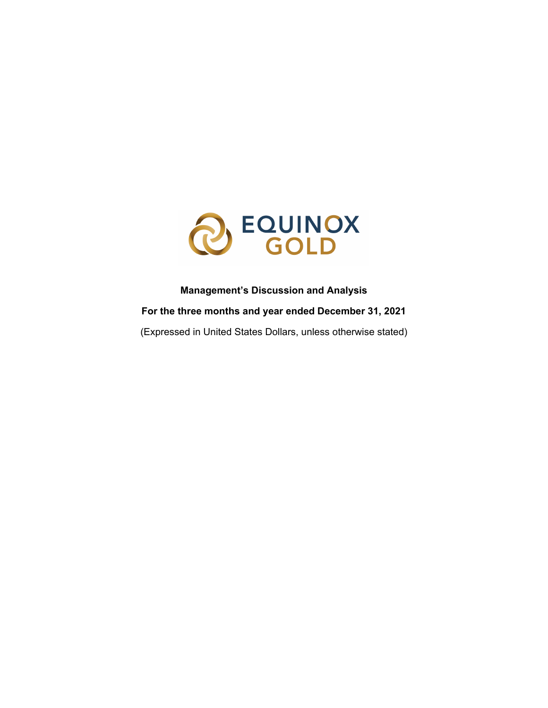

## **Management's Discussion and Analysis**

**For the three months and year ended December 31, 2021**

(Expressed in United States Dollars, unless otherwise stated)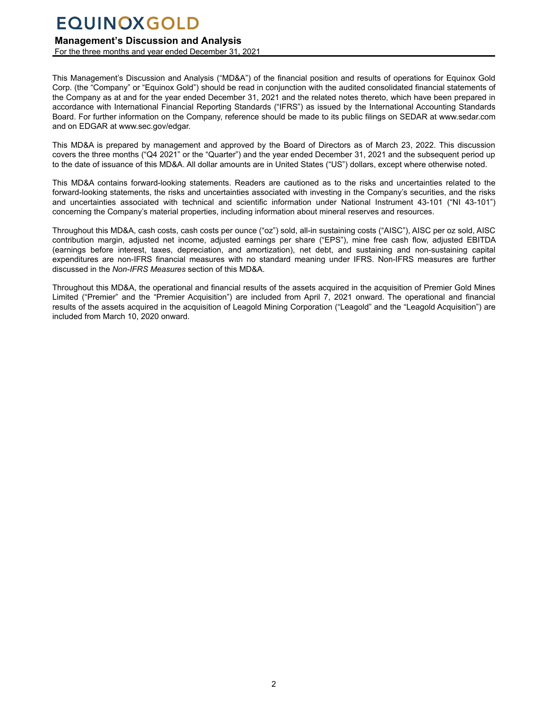## **Management's Discussion and Analysis**

For the three months and year ended December 31, 2021

This Management's Discussion and Analysis ("MD&A") of the financial position and results of operations for Equinox Gold Corp. (the "Company" or "Equinox Gold") should be read in conjunction with the audited consolidated financial statements of the Company as at and for the year ended December 31, 2021 and the related notes thereto, which have been prepared in accordance with International Financial Reporting Standards ("IFRS") as issued by the International Accounting Standards Board. For further information on the Company, reference should be made to its public filings on SEDAR at www.sedar.com and on EDGAR at www.sec.gov/edgar.

This MD&A is prepared by management and approved by the Board of Directors as of March 23, 2022. This discussion covers the three months ("Q4 2021" or the "Quarter") and the year ended December 31, 2021 and the subsequent period up to the date of issuance of this MD&A. All dollar amounts are in United States ("US") dollars, except where otherwise noted.

This MD&A contains forward-looking statements. Readers are cautioned as to the risks and uncertainties related to the forward-looking statements, the risks and uncertainties associated with investing in the Company's securities, and the risks and uncertainties associated with technical and scientific information under National Instrument 43-101 ("NI 43-101") concerning the Company's material properties, including information about mineral reserves and resources.

Throughout this MD&A, cash costs, cash costs per ounce ("oz") sold, all-in sustaining costs ("AISC"), AISC per oz sold, AISC contribution margin, adjusted net income, adjusted earnings per share ("EPS"), mine free cash flow, adjusted EBITDA (earnings before interest, taxes, depreciation, and amortization), net debt, and sustaining and non-sustaining capital expenditures are non-IFRS financial measures with no standard meaning under IFRS. Non-IFRS measures are further discussed in the *Non-IFRS Measures* section of this MD&A.

Throughout this MD&A, the operational and financial results of the assets acquired in the acquisition of Premier Gold Mines Limited ("Premier" and the "Premier Acquisition") are included from April 7, 2021 onward. The operational and financial results of the assets acquired in the acquisition of Leagold Mining Corporation ("Leagold" and the "Leagold Acquisition") are included from March 10, 2020 onward.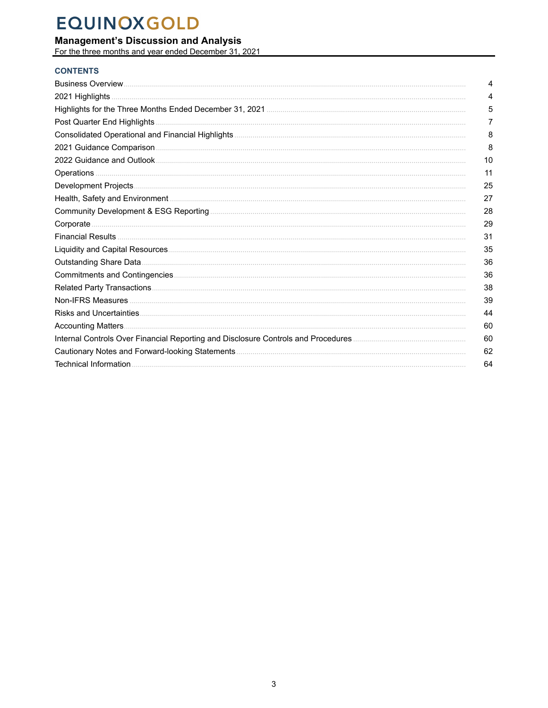# **Management's Discussion and Analysis**<br>For the three months and year ended December 31, 2021

## **CONTENTS**

| 4  |
|----|
| 4  |
| 5  |
| 7  |
| 8  |
| 8  |
| 10 |
| 11 |
| 25 |
| 27 |
| 28 |
| 29 |
| 31 |
| 35 |
| 36 |
| 36 |
| 38 |
| 39 |
| 44 |
| 60 |
| 60 |
| 62 |
| 64 |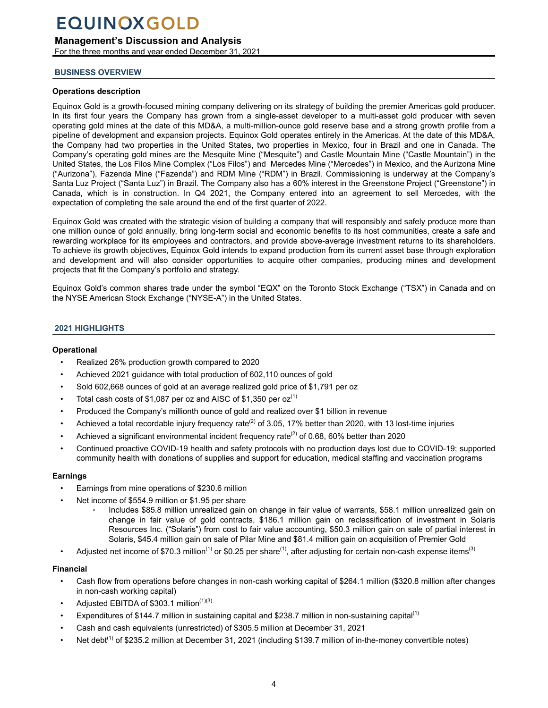## <span id="page-3-0"></span>**Management's Discussion and Analysis**

For the three months and year ended December 31, 2021

### **BUSINESS OVERVIEW**

### **Operations description**

Equinox Gold is a growth-focused mining company delivering on its strategy of building the premier Americas gold producer. In its first four years the Company has grown from a single-asset developer to a multi-asset gold producer with seven operating gold mines at the date of this MD&A, a multi-million-ounce gold reserve base and a strong growth profile from a pipeline of development and expansion projects. Equinox Gold operates entirely in the Americas. At the date of this MD&A, the Company had two properties in the United States, two properties in Mexico, four in Brazil and one in Canada. The Company's operating gold mines are the Mesquite Mine ("Mesquite") and Castle Mountain Mine ("Castle Mountain") in the United States, the Los Filos Mine Complex ("Los Filos") and Mercedes Mine ("Mercedes") in Mexico, and the Aurizona Mine ("Aurizona"), Fazenda Mine ("Fazenda") and RDM Mine ("RDM") in Brazil. Commissioning is underway at the Company's Santa Luz Project ("Santa Luz") in Brazil. The Company also has a 60% interest in the Greenstone Project ("Greenstone") in Canada, which is in construction. In Q4 2021, the Company entered into an agreement to sell Mercedes, with the expectation of completing the sale around the end of the first quarter of 2022.

Equinox Gold was created with the strategic vision of building a company that will responsibly and safely produce more than one million ounce of gold annually, bring long-term social and economic benefits to its host communities, create a safe and rewarding workplace for its employees and contractors, and provide above-average investment returns to its shareholders. To achieve its growth objectives, Equinox Gold intends to expand production from its current asset base through exploration and development and will also consider opportunities to acquire other companies, producing mines and development projects that fit the Company's portfolio and strategy.

Equinox Gold's common shares trade under the symbol "EQX" on the Toronto Stock Exchange ("TSX") in Canada and on the NYSE American Stock Exchange ("NYSE-A") in the United States.

### **2021 HIGHLIGHTS**

### **Operational**

- Realized 26% production growth compared to 2020
- Achieved 2021 guidance with total production of 602,110 ounces of gold
- Sold 602,668 ounces of gold at an average realized gold price of \$1,791 per oz
- Total cash costs of \$1,087 per oz and AISC of \$1,350 per oz<sup>(1)</sup>
- Produced the Company's millionth ounce of gold and realized over \$1 billion in revenue
- Achieved a total recordable injury frequency rate<sup>(2)</sup> of 3.05, 17% better than 2020, with 13 lost-time injuries
- Achieved a significant environmental incident frequency rate<sup>(2)</sup> of 0.68, 60% better than 2020
- Continued proactive COVID-19 health and safety protocols with no production days lost due to COVID-19; supported community health with donations of supplies and support for education, medical staffing and vaccination programs

### **Earnings**

- Earnings from mine operations of \$230.6 million
- Net income of \$554.9 million or \$1.95 per share
	- Includes \$85.8 million unrealized gain on change in fair value of warrants, \$58.1 million unrealized gain on change in fair value of gold contracts, \$186.1 million gain on reclassification of investment in Solaris Resources Inc. ("Solaris") from cost to fair value accounting, \$50.3 million gain on sale of partial interest in Solaris, \$45.4 million gain on sale of Pilar Mine and \$81.4 million gain on acquisition of Premier Gold
- Adjusted net income of \$70.3 million<sup>(1)</sup> or \$0.25 per share<sup>(1)</sup>, after adjusting for certain non-cash expense items<sup>(3)</sup>

### **Financial**

- Cash flow from operations before changes in non-cash working capital of \$264.1 million (\$320.8 million after changes in non-cash working capital)
- Adjusted EBITDA of  $$303.1$  million<sup> $(1)(3)$ </sup>
- Expenditures of \$144.7 million in sustaining capital and \$238.7 million in non-sustaining capital<sup>(1)</sup>
- Cash and cash equivalents (unrestricted) of \$305.5 million at December 31, 2021
- Net debt<sup>(1)</sup> of \$235.2 million at December 31, 2021 (including \$139.7 million of in-the-money convertible notes)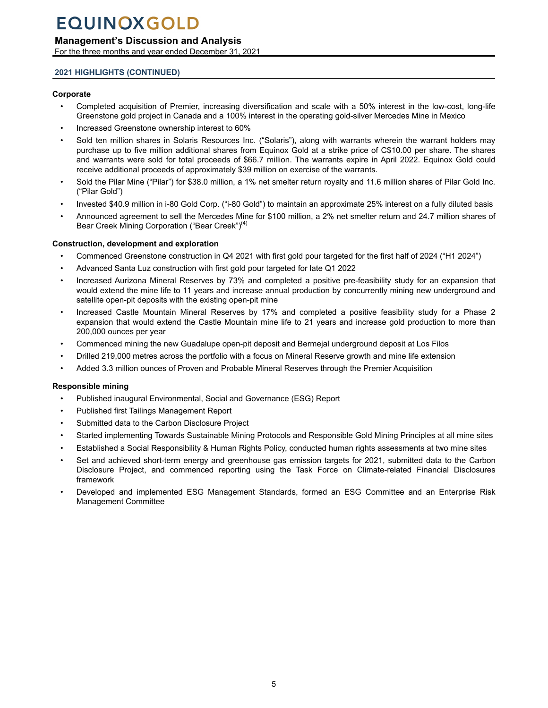## <span id="page-4-0"></span>**Management's Discussion and Analysis**

For the three months and year ended December 31, 2021

### **2021 HIGHLIGHTS (CONTINUED)**

### **Corporate**

- Completed acquisition of Premier, increasing diversification and scale with a 50% interest in the low-cost, long-life Greenstone gold project in Canada and a 100% interest in the operating gold-silver Mercedes Mine in Mexico
- Increased Greenstone ownership interest to 60%
- Sold ten million shares in Solaris Resources Inc. ("Solaris"), along with warrants wherein the warrant holders may purchase up to five million additional shares from Equinox Gold at a strike price of C\$10.00 per share. The shares and warrants were sold for total proceeds of \$66.7 million. The warrants expire in April 2022. Equinox Gold could receive additional proceeds of approximately \$39 million on exercise of the warrants.
- Sold the Pilar Mine ("Pilar") for \$38.0 million, a 1% net smelter return royalty and 11.6 million shares of Pilar Gold Inc. ("Pilar Gold")
- Invested \$40.9 million in i-80 Gold Corp. ("i-80 Gold") to maintain an approximate 25% interest on a fully diluted basis
- Announced agreement to sell the Mercedes Mine for \$100 million, a 2% net smelter return and 24.7 million shares of Bear Creek Mining Corporation ("Bear Creek")<sup>(4)</sup>

### **Construction, development and exploration**

- Commenced Greenstone construction in Q4 2021 with first gold pour targeted for the first half of 2024 ("H1 2024")
- Advanced Santa Luz construction with first gold pour targeted for late Q1 2022
- Increased Aurizona Mineral Reserves by 73% and completed a positive pre-feasibility study for an expansion that would extend the mine life to 11 years and increase annual production by concurrently mining new underground and satellite open-pit deposits with the existing open-pit mine
- Increased Castle Mountain Mineral Reserves by 17% and completed a positive feasibility study for a Phase 2 expansion that would extend the Castle Mountain mine life to 21 years and increase gold production to more than 200,000 ounces per year
- Commenced mining the new Guadalupe open-pit deposit and Bermejal underground deposit at Los Filos
- Drilled 219,000 metres across the portfolio with a focus on Mineral Reserve growth and mine life extension
- Added 3.3 million ounces of Proven and Probable Mineral Reserves through the Premier Acquisition

### **Responsible mining**

- Published inaugural Environmental, Social and Governance (ESG) Report
- Published first Tailings Management Report
- Submitted data to the Carbon Disclosure Project
- Started implementing Towards Sustainable Mining Protocols and Responsible Gold Mining Principles at all mine sites
- Established a Social Responsibility & Human Rights Policy, conducted human rights assessments at two mine sites
- Set and achieved short-term energy and greenhouse gas emission targets for 2021, submitted data to the Carbon Disclosure Project, and commenced reporting using the Task Force on Climate-related Financial Disclosures framework
- Developed and implemented ESG Management Standards, formed an ESG Committee and an Enterprise Risk Management Committee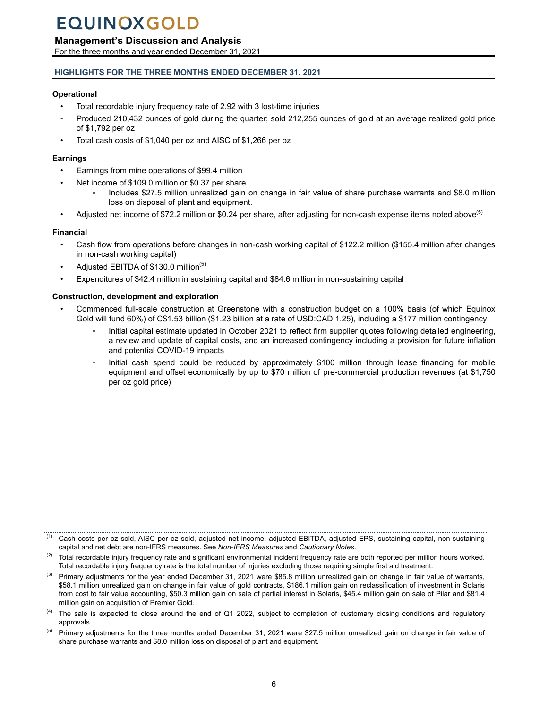## **Management's Discussion and Analysis**

For the three months and year ended December 31, 2021

## **HIGHLIGHTS FOR THE THREE MONTHS ENDED DECEMBER 31, 2021**

## **Operational**

- Total recordable injury frequency rate of 2.92 with 3 lost-time injuries
- Produced 210,432 ounces of gold during the quarter; sold 212,255 ounces of gold at an average realized gold price of \$1,792 per oz
- Total cash costs of \$1,040 per oz and AISC of \$1,266 per oz

## **Earnings**

- Earnings from mine operations of \$99.4 million
- Net income of \$109.0 million or \$0.37 per share
	- Includes \$27.5 million unrealized gain on change in fair value of share purchase warrants and \$8.0 million loss on disposal of plant and equipment.
- Adjusted net income of \$72.2 million or \$0.24 per share, after adjusting for non-cash expense items noted above<sup>(5)</sup>

## **Financial**

- Cash flow from operations before changes in non-cash working capital of \$122.2 million (\$155.4 million after changes in non-cash working capital)
- Adjusted EBITDA of \$130.0 million<sup>(5)</sup>
- Expenditures of \$42.4 million in sustaining capital and \$84.6 million in non-sustaining capital

## **Construction, development and exploration**

- Commenced full-scale construction at Greenstone with a construction budget on a 100% basis (of which Equinox Gold will fund 60%) of C\$1.53 billion (\$1.23 billion at a rate of USD:CAD 1.25), including a \$177 million contingency
	- Initial capital estimate updated in October 2021 to reflect firm supplier quotes following detailed engineering, a review and update of capital costs, and an increased contingency including a provision for future inflation and potential COVID-19 impacts
	- Initial cash spend could be reduced by approximately \$100 million through lease financing for mobile equipment and offset economically by up to \$70 million of pre-commercial production revenues (at \$1,750 per oz gold price)

Cash costs per oz sold, AISC per oz sold, adjusted net income, adjusted EBITDA, adjusted EPS, sustaining capital, non-sustaining capital and net debt are non-IFRS measures. See *Non-IFRS Measures* and *Cautionary Notes*.

 $(2)$  Total recordable injury frequency rate and significant environmental incident frequency rate are both reported per million hours worked. Total recordable injury frequency rate is the total number of injuries excluding those requiring simple first aid treatment.

 $^{(3)}$  Primary adjustments for the year ended December 31, 2021 were \$85.8 million unrealized gain on change in fair value of warrants, \$58.1 million unrealized gain on change in fair value of gold contracts, \$186.1 million gain on reclassification of investment in Solaris from cost to fair value accounting, \$50.3 million gain on sale of partial interest in Solaris, \$45.4 million gain on sale of Pilar and \$81.4 million gain on acquisition of Premier Gold.

 $(4)$  The sale is expected to close around the end of Q1 2022, subject to completion of customary closing conditions and regulatory approvals.

 $<sup>(5)</sup>$  Primary adjustments for the three months ended December 31, 2021 were \$27.5 million unrealized gain on change in fair value of</sup> share purchase warrants and \$8.0 million loss on disposal of plant and equipment.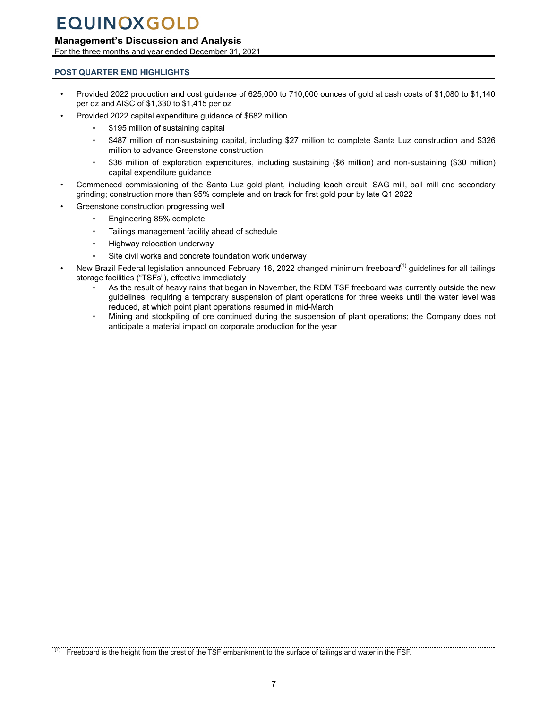## <span id="page-6-0"></span>**Management's Discussion and Analysis**

For the three months and year ended December 31, 2021

## **POST QUARTER END HIGHLIGHTS**

- Provided 2022 production and cost guidance of 625,000 to 710,000 ounces of gold at cash costs of \$1,080 to \$1,140 per oz and AISC of \$1,330 to \$1,415 per oz
	- Provided 2022 capital expenditure guidance of \$682 million
		- \$195 million of sustaining capital
		- \$487 million of non-sustaining capital, including \$27 million to complete Santa Luz construction and \$326 million to advance Greenstone construction
		- \$36 million of exploration expenditures, including sustaining (\$6 million) and non-sustaining (\$30 million) capital expenditure guidance
- Commenced commissioning of the Santa Luz gold plant, including leach circuit, SAG mill, ball mill and secondary grinding; construction more than 95% complete and on track for first gold pour by late Q1 2022
- Greenstone construction progressing well
	- Engineering 85% complete
	- Tailings management facility ahead of schedule
	- Highway relocation underway
	- Site civil works and concrete foundation work underway
- New Brazil Federal legislation announced February 16, 2022 changed minimum freeboard<sup>(1)</sup> guidelines for all tailings storage facilities ("TSFs"), effective immediately
	- As the result of heavy rains that began in November, the RDM TSF freeboard was currently outside the new guidelines, requiring a temporary suspension of plant operations for three weeks until the water level was reduced, at which point plant operations resumed in mid-March
	- Mining and stockpiling of ore continued during the suspension of plant operations; the Company does not anticipate a material impact on corporate production for the year

<sup>(1)</sup> Freeboard is the height from the crest of the TSF embankment to the surface of tailings and water in the FSF.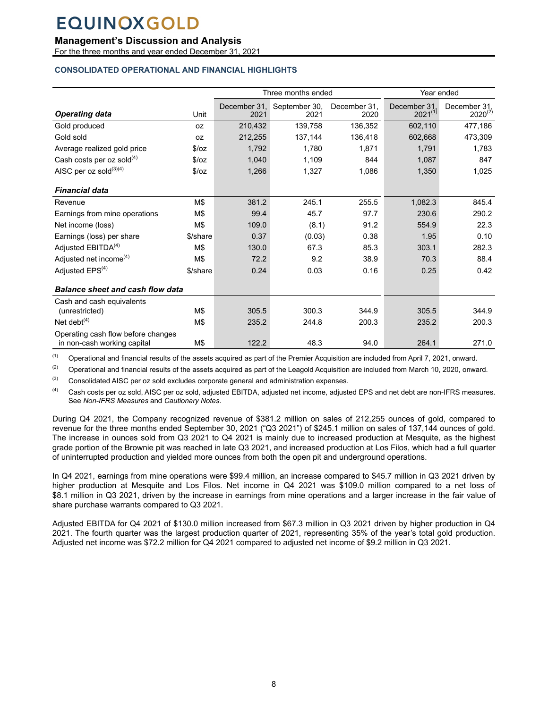## <span id="page-7-0"></span>**Management's Discussion and Analysis**

For the three months and year ended December 31, 2021

## **CONSOLIDATED OPERATIONAL AND FINANCIAL HIGHLIGHTS**

|                                                                   |            |                      | Three months ended    |                      |                             | Year ended                   |  |
|-------------------------------------------------------------------|------------|----------------------|-----------------------|----------------------|-----------------------------|------------------------------|--|
| <b>Operating data</b>                                             | Unit       | December 31.<br>2021 | September 30,<br>2021 | December 31.<br>2020 | December 31<br>$2021^{(1)}$ | December 31,<br>$2020^{(2)}$ |  |
| Gold produced                                                     | 0Z         | 210,432              | 139,758               | 136,352              | 602,110                     | 477,186                      |  |
| Gold sold                                                         | <b>OZ</b>  | 212.255              | 137,144               | 136,418              | 602,668                     | 473,309                      |  |
| Average realized gold price                                       | $\sqrt{2}$ | 1,792                | 1,780                 | 1,871                | 1,791                       | 1,783                        |  |
| Cash costs per oz sold $(4)$                                      | \$/oz      | 1,040                | 1,109                 | 844                  | 1,087                       | 847                          |  |
| AISC per oz sold(3)(4)                                            | 5/oz       | 1,266                | 1,327                 | 1,086                | 1,350                       | 1,025                        |  |
| <b>Financial data</b>                                             |            |                      |                       |                      |                             |                              |  |
| Revenue                                                           | M\$        | 381.2                | 245.1                 | 255.5                | 1,082.3                     | 845.4                        |  |
| Earnings from mine operations                                     | M\$        | 99.4                 | 45.7                  | 97.7                 | 230.6                       | 290.2                        |  |
| Net income (loss)                                                 | M\$        | 109.0                | (8.1)                 | 91.2                 | 554.9                       | 22.3                         |  |
| Earnings (loss) per share                                         | \$/share   | 0.37                 | (0.03)                | 0.38                 | 1.95                        | 0.10                         |  |
| Adjusted EBITDA <sup>(4)</sup>                                    | M\$        | 130.0                | 67.3                  | 85.3                 | 303.1                       | 282.3                        |  |
| Adjusted net income <sup>(4)</sup>                                | M\$        | 72.2                 | 9.2                   | 38.9                 | 70.3                        | 88.4                         |  |
| Adjusted EPS <sup>(4)</sup>                                       | \$/share   | 0.24                 | 0.03                  | 0.16                 | 0.25                        | 0.42                         |  |
| <b>Balance sheet and cash flow data</b>                           |            |                      |                       |                      |                             |                              |  |
| Cash and cash equivalents                                         |            |                      |                       |                      |                             |                              |  |
| (unrestricted)                                                    | M\$        | 305.5                | 300.3                 | 344.9                | 305.5                       | 344.9                        |  |
| Net debt $(4)$                                                    | M\$        | 235.2                | 244.8                 | 200.3                | 235.2                       | 200.3                        |  |
| Operating cash flow before changes<br>in non-cash working capital | M\$        | 122.2                | 48.3                  | 94.0                 | 264.1                       | 271.0                        |  |

 $(1)$  Operational and financial results of the assets acquired as part of the Premier Acquisition are included from April 7, 2021, onward.

 $(2)$  Operational and financial results of the assets acquired as part of the Leagold Acquisition are included from March 10, 2020, onward.

 $(3)$  Consolidated AISC per oz sold excludes corporate general and administration expenses.

(4) Cash costs per oz sold, AISC per oz sold, adjusted EBITDA, adjusted net income, adjusted EPS and net debt are non-IFRS measures. See *Non-IFRS Measures* and *Cautionary Notes*.

During Q4 2021, the Company recognized revenue of \$381.2 million on sales of 212,255 ounces of gold, compared to revenue for the three months ended September 30, 2021 ("Q3 2021") of \$245.1 million on sales of 137,144 ounces of gold. The increase in ounces sold from Q3 2021 to Q4 2021 is mainly due to increased production at Mesquite, as the highest grade portion of the Brownie pit was reached in late Q3 2021, and increased production at Los Filos, which had a full quarter of uninterrupted production and yielded more ounces from both the open pit and underground operations.

In Q4 2021, earnings from mine operations were \$99.4 million, an increase compared to \$45.7 million in Q3 2021 driven by higher production at Mesquite and Los Filos. Net income in Q4 2021 was \$109.0 million compared to a net loss of \$8.1 million in Q3 2021, driven by the increase in earnings from mine operations and a larger increase in the fair value of share purchase warrants compared to Q3 2021.

Adjusted EBITDA for Q4 2021 of \$130.0 million increased from \$67.3 million in Q3 2021 driven by higher production in Q4 2021. The fourth quarter was the largest production quarter of 2021, representing 35% of the year's total gold production. Adjusted net income was \$72.2 million for Q4 2021 compared to adjusted net income of \$9.2 million in Q3 2021.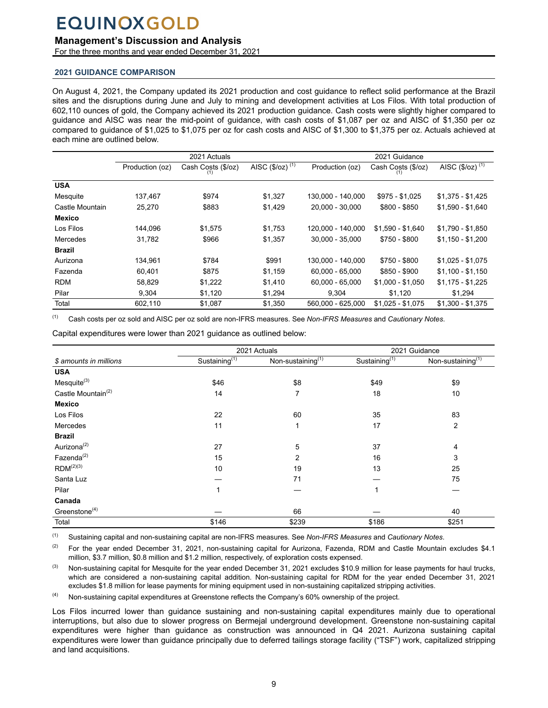## **Management's Discussion and Analysis**

For the three months and year ended December 31, 2021

### **2021 GUIDANCE COMPARISON**

On August 4, 2021, the Company updated its 2021 production and cost guidance to reflect solid performance at the Brazil sites and the disruptions during June and July to mining and development activities at Los Filos. With total production of 602,110 ounces of gold, the Company achieved its 2021 production guidance. Cash costs were slightly higher compared to guidance and AISC was near the mid-point of guidance, with cash costs of \$1,087 per oz and AISC of \$1,350 per oz compared to guidance of \$1,025 to \$1,075 per oz for cash costs and AISC of \$1,300 to \$1,375 per oz. Actuals achieved at each mine are outlined below.

|                 |                 | 2021 Actuals       |                             |                   | 2021 Guidance      |                                      |  |  |  |
|-----------------|-----------------|--------------------|-----------------------------|-------------------|--------------------|--------------------------------------|--|--|--|
|                 | Production (oz) | Cash Costs (\$/oz) | AISC (\$/oz) <sup>(1)</sup> | Production (oz)   | Cash Costs (\$/oz) | AISC $(\frac{5}{2})^{(\frac{1}{1})}$ |  |  |  |
| <b>USA</b>      |                 |                    |                             |                   |                    |                                      |  |  |  |
| Mesquite        | 137,467         | \$974              | \$1,327                     | 130,000 - 140,000 | $$975 - $1,025$    | $$1,375 - $1,425$                    |  |  |  |
| Castle Mountain | 25,270          | \$883              | \$1,429                     | 20.000 - 30.000   | $$800 - $850$      | $$1,590 - $1,640$                    |  |  |  |
| <b>Mexico</b>   |                 |                    |                             |                   |                    |                                      |  |  |  |
| Los Filos       | 144.096         | \$1,575            | \$1,753                     | 120.000 - 140.000 | $$1.590 - $1.640$  | $$1,790 - $1,850$                    |  |  |  |
| Mercedes        | 31,782          | \$966              | \$1.357                     | 30.000 - 35.000   | \$750 - \$800      | $$1.150 - $1.200$                    |  |  |  |
| <b>Brazil</b>   |                 |                    |                             |                   |                    |                                      |  |  |  |
| Aurizona        | 134,961         | \$784              | \$991                       | 130,000 - 140,000 | \$750 - \$800      | $$1,025 - $1,075$                    |  |  |  |
| Fazenda         | 60,401          | \$875              | \$1,159                     | $60,000 - 65,000$ | \$850 - \$900      | $$1,100 - $1,150$                    |  |  |  |
| <b>RDM</b>      | 58,829          | \$1,222            | \$1,410                     | $60.000 - 65.000$ | $$1,000 - $1,050$  | $$1,175 - $1,225$                    |  |  |  |
| Pilar           | 9,304           | \$1,120            | \$1,294                     | 9,304             | \$1,120            | \$1,294                              |  |  |  |
| Total           | 602,110         | \$1,087            | \$1,350                     | 560.000 - 625.000 | $$1.025 - $1.075$  | $$1.300 - $1.375$                    |  |  |  |

(1) Cash costs per oz sold and AISC per oz sold are non-IFRS measures. See *Non-IFRS Measures* and *Cautionary Notes*.

Capital expenditures were lower than 2021 guidance as outlined below:

|                                |                           | 2021 Actuals                  |                           | 2021 Guidance        |
|--------------------------------|---------------------------|-------------------------------|---------------------------|----------------------|
| \$ amounts in millions         | Sustaining <sup>(1)</sup> | Non-sustaining <sup>(1)</sup> | Sustaining <sup>(1)</sup> | Non-sustaining $(1)$ |
| <b>USA</b>                     |                           |                               |                           |                      |
| Message <sup>(3)</sup>         | \$46                      | \$8                           | \$49                      | \$9                  |
| Castle Mountain <sup>(2)</sup> | 14                        | 7                             | 18                        | 10                   |
| <b>Mexico</b>                  |                           |                               |                           |                      |
| Los Filos                      | 22                        | 60                            | 35                        | 83                   |
| Mercedes                       | 11                        | 1                             | 17                        | 2                    |
| <b>Brazil</b>                  |                           |                               |                           |                      |
| Aurizona <sup>(2)</sup>        | 27                        | 5                             | 37                        | 4                    |
| Fazenda <sup>(2)</sup>         | 15                        | 2                             | 16                        | 3                    |
| $RDM^{(2)(3)}$                 | 10                        | 19                            | 13                        | 25                   |
| Santa Luz                      |                           | 71                            |                           | 75                   |
| Pilar                          |                           |                               | 1                         |                      |
| Canada                         |                           |                               |                           |                      |
| Greenstone $(4)$               |                           | 66                            |                           | 40                   |
| Total                          | \$146                     | \$239                         | \$186                     | \$251                |

(1) Sustaining capital and non-sustaining capital are non-IFRS measures. See *Non-IFRS Measures* and *Cautionary Notes*.

 $(2)$  For the year ended December 31, 2021, non-sustaining capital for Aurizona, Fazenda, RDM and Castle Mountain excludes \$4.1 million, \$3.7 million, \$0.8 million and \$1.2 million, respectively, of exploration costs expensed.

<sup>(3)</sup> Non-sustaining capital for Mesquite for the year ended December 31, 2021 excludes \$10.9 million for lease payments for haul trucks, which are considered a non-sustaining capital addition. Non-sustaining capital for RDM for the year ended December 31, 2021 excludes \$1.8 million for lease payments for mining equipment used in non-sustaining capitalized stripping activities.

(4) Non-sustaining capital expenditures at Greenstone reflects the Company's 60% ownership of the project.

Los Filos incurred lower than guidance sustaining and non-sustaining capital expenditures mainly due to operational interruptions, but also due to slower progress on Bermejal underground development. Greenstone non-sustaining capital expenditures were higher than guidance as construction was announced in Q4 2021. Aurizona sustaining capital expenditures were lower than guidance principally due to deferred tailings storage facility ("TSF") work, capitalized stripping and land acquisitions.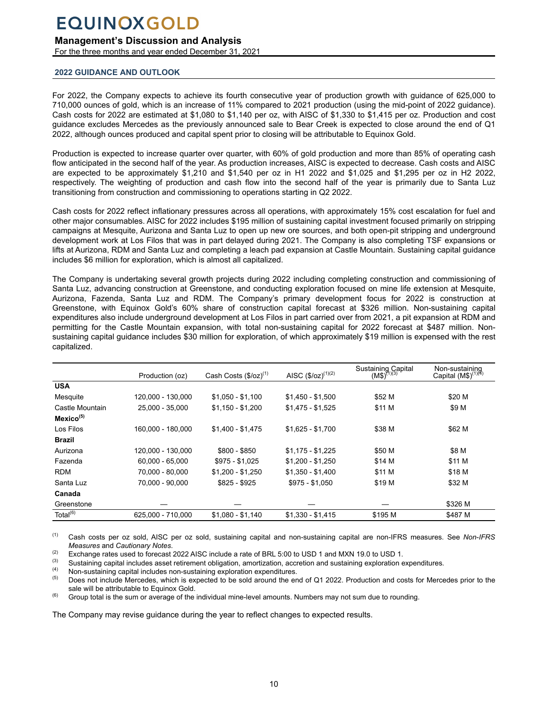## <span id="page-9-0"></span>**Management's Discussion and Analysis**

For the three months and year ended December 31, 2021

### **2022 GUIDANCE AND OUTLOOK**

For 2022, the Company expects to achieve its fourth consecutive year of production growth with guidance of 625,000 to 710,000 ounces of gold, which is an increase of 11% compared to 2021 production (using the mid-point of 2022 guidance). Cash costs for 2022 are estimated at \$1,080 to \$1,140 per oz, with AISC of \$1,330 to \$1,415 per oz. Production and cost guidance excludes Mercedes as the previously announced sale to Bear Creek is expected to close around the end of Q1 2022, although ounces produced and capital spent prior to closing will be attributable to Equinox Gold.

Production is expected to increase quarter over quarter, with 60% of gold production and more than 85% of operating cash flow anticipated in the second half of the year. As production increases, AISC is expected to decrease. Cash costs and AISC are expected to be approximately \$1,210 and \$1,540 per oz in H1 2022 and \$1,025 and \$1,295 per oz in H2 2022, respectively. The weighting of production and cash flow into the second half of the year is primarily due to Santa Luz transitioning from construction and commissioning to operations starting in Q2 2022.

Cash costs for 2022 reflect inflationary pressures across all operations, with approximately 15% cost escalation for fuel and other major consumables. AISC for 2022 includes \$195 million of sustaining capital investment focused primarily on stripping campaigns at Mesquite, Aurizona and Santa Luz to open up new ore sources, and both open-pit stripping and underground development work at Los Filos that was in part delayed during 2021. The Company is also completing TSF expansions or lifts at Aurizona, RDM and Santa Luz and completing a leach pad expansion at Castle Mountain. Sustaining capital guidance includes \$6 million for exploration, which is almost all capitalized.

The Company is undertaking several growth projects during 2022 including completing construction and commissioning of Santa Luz, advancing construction at Greenstone, and conducting exploration focused on mine life extension at Mesquite, Aurizona, Fazenda, Santa Luz and RDM. The Company's primary development focus for 2022 is construction at Greenstone, with Equinox Gold's 60% share of construction capital forecast at \$326 million. Non-sustaining capital expenditures also include underground development at Los Filos in part carried over from 2021, a pit expansion at RDM and permitting for the Castle Mountain expansion, with total non-sustaining capital for 2022 forecast at \$487 million. Nonsustaining capital guidance includes \$30 million for exploration, of which approximately \$19 million is expensed with the rest capitalized.

|                       | Production (oz)   | Cash Costs (\$/oz) <sup>(1)</sup> | AISC $(\$/oz)^{(1)(2)}$ | Sustaining Capital<br>$(M$)^{(1)(3)}$ | Non-sustaining<br>Capital (M\$) <sup>(1)(4)</sup> |
|-----------------------|-------------------|-----------------------------------|-------------------------|---------------------------------------|---------------------------------------------------|
| <b>USA</b>            |                   |                                   |                         |                                       |                                                   |
| Mesquite              | 120.000 - 130.000 | $$1,050 - $1,100$                 | $$1,450 - $1,500$       | \$52 M                                | \$20 M                                            |
| Castle Mountain       | 25.000 - 35.000   | $$1,150 - $1,200$                 | $$1,475 - $1,525$       | \$11 M                                | \$9 M                                             |
| Mexico <sup>(5)</sup> |                   |                                   |                         |                                       |                                                   |
| Los Filos             | 160.000 - 180.000 | $$1,400 - $1,475$                 | $$1,625 - $1,700$       | \$38 M                                | \$62 M                                            |
| <b>Brazil</b>         |                   |                                   |                         |                                       |                                                   |
| Aurizona              | 120.000 - 130.000 | \$800 - \$850                     | $$1.175 - $1.225$       | \$50 M                                | \$8 M                                             |
| Fazenda               | $60.000 - 65.000$ | $$975 - $1,025$                   | $$1,200 - $1,250$       | \$14 M                                | \$11 M                                            |
| <b>RDM</b>            | 70.000 - 80.000   | $$1.200 - $1.250$                 | $$1.350 - $1.400$       | \$11 M                                | \$18 M                                            |
| Santa Luz             | 70.000 - 90.000   | $$825 - $925$                     | $$975 - $1,050$         | \$19 M                                | \$32 M                                            |
| Canada                |                   |                                   |                         |                                       |                                                   |
| Greenstone            |                   |                                   |                         |                                       | \$326 M                                           |
| Total $^{(6)}$        | 625.000 - 710.000 | $$1,080 - $1,140$                 | $$1,330 - $1,415$       | \$195 M                               | \$487 M                                           |

(1) Cash costs per oz sold, AISC per oz sold, sustaining capital and non-sustaining capital are non-IFRS measures. See *Non-IFRS Measures* and *Cautionary Notes*.

(2) Exchange rates used to forecast 2022 AISC include a rate of BRL 5:00 to USD 1 and MXN 19.0 to USD 1.<br>Sustaining conital includes asset retirement obligation, americation, accrotion and sustaining exploration of

(3) Sustaining capital includes asset retirement obligation, amortization, accretion and sustaining exploration expenditures.<br>(4) Nep quaterning capital includes non-quaterning evaluation expenditures

(4) Non-sustaining capital includes non-sustaining exploration expenditures.<br> $\frac{1}{2}$ 

Does not include Mercedes, which is expected to be sold around the end of Q1 2022. Production and costs for Mercedes prior to the sale will be attributable to Equinox Gold.

 $(6)$  Group total is the sum or average of the individual mine-level amounts. Numbers may not sum due to rounding.

The Company may revise guidance during the year to reflect changes to expected results.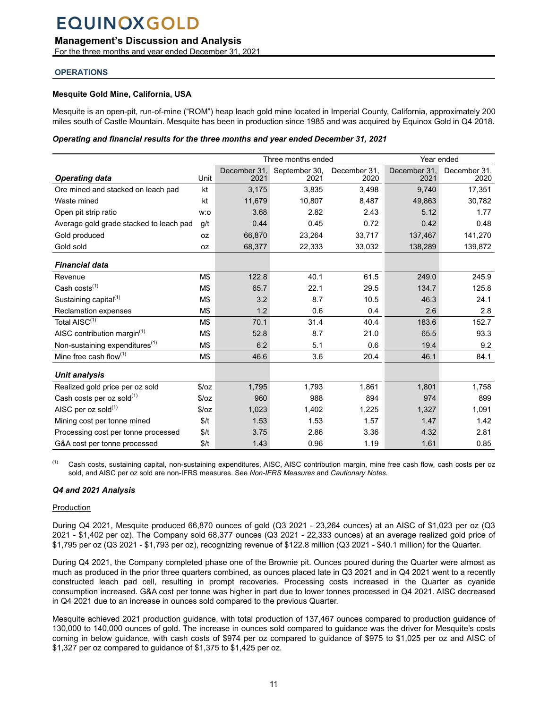## <span id="page-10-0"></span>**Management's Discussion and Analysis**

For the three months and year ended December 31, 2021

## **OPERATIONS**

## **Mesquite Gold Mine, California, USA**

Mesquite is an open-pit, run-of-mine ("ROM") heap leach gold mine located in Imperial County, California, approximately 200 miles south of Castle Mountain. Mesquite has been in production since 1985 and was acquired by Equinox Gold in Q4 2018.

#### *Operating and financial results for the three months and year ended December 31, 2021*

|                                            |       |              | Three months ended |              | Year ended   |              |
|--------------------------------------------|-------|--------------|--------------------|--------------|--------------|--------------|
|                                            |       | December 31, | September 30,      | December 31, | December 31, | December 31, |
| <b>Operating data</b>                      | Unit  | 2021         | 2021               | 2020         | 2021         | 2020         |
| Ore mined and stacked on leach pad         | kt    | 3,175        | 3,835              | 3,498        | 9,740        | 17,351       |
| Waste mined                                | kt    | 11,679       | 10,807             | 8,487        | 49,863       | 30,782       |
| Open pit strip ratio                       | w:o   | 3.68         | 2.82               | 2.43         | 5.12         | 1.77         |
| Average gold grade stacked to leach pad    | g/t   | 0.44         | 0.45               | 0.72         | 0.42         | 0.48         |
| Gold produced                              | 0Z    | 66,870       | 23,264             | 33,717       | 137,467      | 141,270      |
| Gold sold                                  | 0Z    | 68,377       | 22,333             | 33,032       | 138,289      | 139,872      |
| <b>Financial data</b>                      |       |              |                    |              |              |              |
| Revenue                                    | M\$   | 122.8        | 40.1               | 61.5         | 249.0        | 245.9        |
| Cash costs <sup>(1)</sup>                  | M\$   | 65.7         | 22.1               | 29.5         | 134.7        | 125.8        |
| Sustaining capital <sup>(1)</sup>          | M\$   | 3.2          | 8.7                | 10.5         | 46.3         | 24.1         |
| <b>Reclamation expenses</b>                | M\$   | 1.2          | 0.6                | 0.4          | 2.6          | 2.8          |
| Total AISC <sup>(1)</sup>                  | M\$   | 70.1         | 31.4               | 40.4         | 183.6        | 152.7        |
| AISC contribution margin $(1)$             | M\$   | 52.8         | 8.7                | 21.0         | 65.5         | 93.3         |
| Non-sustaining expenditures <sup>(1)</sup> | M\$   | 6.2          | 5.1                | 0.6          | 19.4         | 9.2          |
| Mine free cash flow $(1)$                  | M\$   | 46.6         | 3.6                | 20.4         | 46.1         | 84.1         |
| Unit analysis                              |       |              |                    |              |              |              |
| Realized gold price per oz sold            | \$/oz | 1,795        | 1,793              | 1,861        | 1,801        | 1,758        |
| Cash costs per oz sold $(1)$               | \$/oz | 960          | 988                | 894          | 974          | 899          |
| AISC per $oz$ sold <sup>(1)</sup>          | \$/oz | 1,023        | 1,402              | 1,225        | 1,327        | 1,091        |
| Mining cost per tonne mined                | \$/t  | 1.53         | 1.53               | 1.57         | 1.47         | 1.42         |
| Processing cost per tonne processed        | \$/t  | 3.75         | 2.86               | 3.36         | 4.32         | 2.81         |
| G&A cost per tonne processed               | \$/t  | 1.43         | 0.96               | 1.19         | 1.61         | 0.85         |

(1) Cash costs, sustaining capital, non-sustaining expenditures, AISC, AISC contribution margin, mine free cash flow, cash costs per oz sold, and AISC per oz sold are non-IFRS measures. See *Non-IFRS Measures* and *Cautionary Notes*.

### *Q4 and 2021 Analysis*

### **Production**

During Q4 2021, Mesquite produced 66,870 ounces of gold (Q3 2021 - 23,264 ounces) at an AISC of \$1,023 per oz (Q3 2021 - \$1,402 per oz). The Company sold 68,377 ounces (Q3 2021 - 22,333 ounces) at an average realized gold price of \$1,795 per oz (Q3 2021 - \$1,793 per oz), recognizing revenue of \$122.8 million (Q3 2021 - \$40.1 million) for the Quarter.

During Q4 2021, the Company completed phase one of the Brownie pit. Ounces poured during the Quarter were almost as much as produced in the prior three quarters combined, as ounces placed late in Q3 2021 and in Q4 2021 went to a recently constructed leach pad cell, resulting in prompt recoveries. Processing costs increased in the Quarter as cyanide consumption increased. G&A cost per tonne was higher in part due to lower tonnes processed in Q4 2021. AISC decreased in Q4 2021 due to an increase in ounces sold compared to the previous Quarter.

Mesquite achieved 2021 production guidance, with total production of 137,467 ounces compared to production guidance of 130,000 to 140,000 ounces of gold. The increase in ounces sold compared to guidance was the driver for Mesquite's costs coming in below guidance, with cash costs of \$974 per oz compared to guidance of \$975 to \$1,025 per oz and AISC of \$1,327 per oz compared to guidance of \$1,375 to \$1,425 per oz.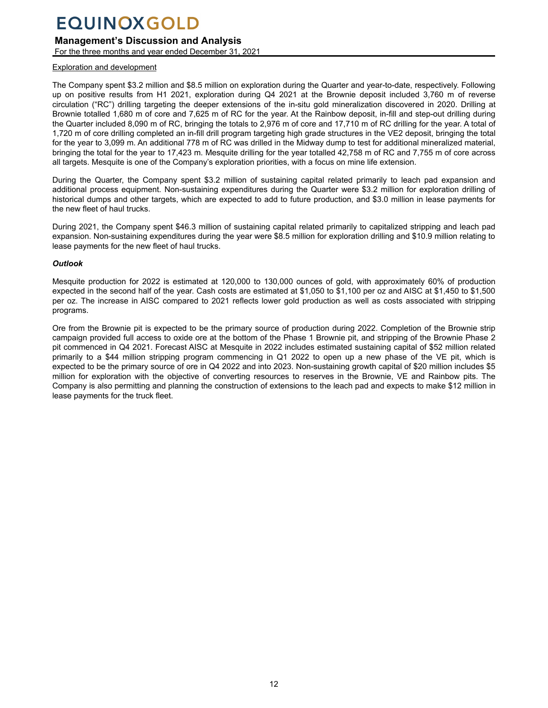## **Management's Discussion and Analysis**

For the three months and year ended December 31, 2021

#### Exploration and development

The Company spent \$3.2 million and \$8.5 million on exploration during the Quarter and year-to-date, respectively. Following up on positive results from H1 2021, exploration during Q4 2021 at the Brownie deposit included 3,760 m of reverse circulation ("RC") drilling targeting the deeper extensions of the in-situ gold mineralization discovered in 2020. Drilling at Brownie totalled 1,680 m of core and 7,625 m of RC for the year. At the Rainbow deposit, in-fill and step-out drilling during the Quarter included 8,090 m of RC, bringing the totals to 2,976 m of core and 17,710 m of RC drilling for the year. A total of 1,720 m of core drilling completed an in-fill drill program targeting high grade structures in the VE2 deposit, bringing the total for the year to 3,099 m. An additional 778 m of RC was drilled in the Midway dump to test for additional mineralized material, bringing the total for the year to 17,423 m. Mesquite drilling for the year totalled 42,758 m of RC and 7,755 m of core across all targets. Mesquite is one of the Company's exploration priorities, with a focus on mine life extension.

During the Quarter, the Company spent \$3.2 million of sustaining capital related primarily to leach pad expansion and additional process equipment. Non-sustaining expenditures during the Quarter were \$3.2 million for exploration drilling of historical dumps and other targets, which are expected to add to future production, and \$3.0 million in lease payments for the new fleet of haul trucks.

During 2021, the Company spent \$46.3 million of sustaining capital related primarily to capitalized stripping and leach pad expansion. Non-sustaining expenditures during the year were \$8.5 million for exploration drilling and \$10.9 million relating to lease payments for the new fleet of haul trucks.

### *Outlook*

Mesquite production for 2022 is estimated at 120,000 to 130,000 ounces of gold, with approximately 60% of production expected in the second half of the year. Cash costs are estimated at \$1,050 to \$1,100 per oz and AISC at \$1,450 to \$1,500 per oz. The increase in AISC compared to 2021 reflects lower gold production as well as costs associated with stripping programs.

Ore from the Brownie pit is expected to be the primary source of production during 2022. Completion of the Brownie strip campaign provided full access to oxide ore at the bottom of the Phase 1 Brownie pit, and stripping of the Brownie Phase 2 pit commenced in Q4 2021. Forecast AISC at Mesquite in 2022 includes estimated sustaining capital of \$52 million related primarily to a \$44 million stripping program commencing in Q1 2022 to open up a new phase of the VE pit, which is expected to be the primary source of ore in Q4 2022 and into 2023. Non-sustaining growth capital of \$20 million includes \$5 million for exploration with the objective of converting resources to reserves in the Brownie, VE and Rainbow pits. The Company is also permitting and planning the construction of extensions to the leach pad and expects to make \$12 million in lease payments for the truck fleet.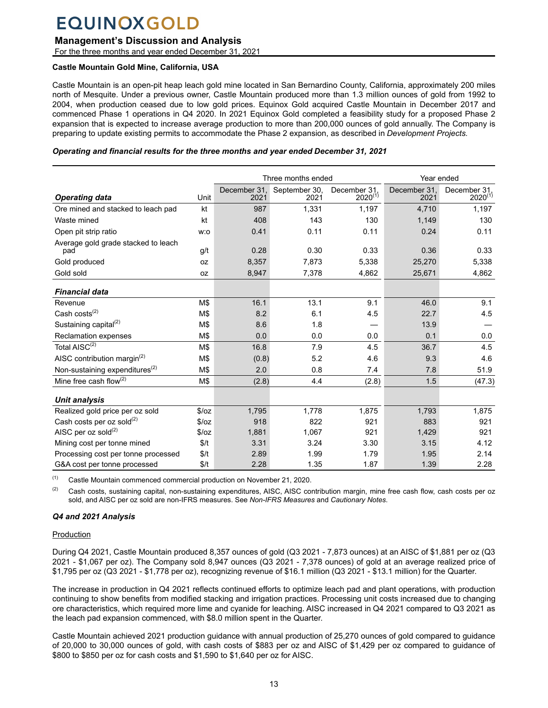## **Management's Discussion and Analysis**

For the three months and year ended December 31, 2021

## **Castle Mountain Gold Mine, California, USA**

Castle Mountain is an open-pit heap leach gold mine located in San Bernardino County, California, approximately 200 miles north of Mesquite. Under a previous owner, Castle Mountain produced more than 1.3 million ounces of gold from 1992 to 2004, when production ceased due to low gold prices. Equinox Gold acquired Castle Mountain in December 2017 and commenced Phase 1 operations in Q4 2020. In 2021 Equinox Gold completed a feasibility study for a proposed Phase 2 expansion that is expected to increase average production to more than 200,000 ounces of gold annually. The Company is preparing to update existing permits to accommodate the Phase 2 expansion, as described in *Development Projects.*

## *Operating and financial results for the three months and year ended December 31, 2021*

|                                            |       | Three months ended   |                       |                              | Year ended           |                              |
|--------------------------------------------|-------|----------------------|-----------------------|------------------------------|----------------------|------------------------------|
| <b>Operating data</b>                      | Unit  | December 31.<br>2021 | September 30,<br>2021 | December 31.<br>$2020^{(1)}$ | December 31,<br>2021 | December 31.<br>$2020^{(1)}$ |
| Ore mined and stacked to leach pad         | kt    | 987                  | 1,331                 | 1,197                        | 4,710                | 1,197                        |
| Waste mined                                | kt    | 408                  | 143                   | 130                          | 1,149                | 130                          |
| Open pit strip ratio                       | w:o   | 0.41                 | 0.11                  | 0.11                         | 0.24                 | 0.11                         |
| Average gold grade stacked to leach<br>pad | g/t   | 0.28                 | 0.30                  | 0.33                         | 0.36                 | 0.33                         |
| Gold produced                              | 0Z    | 8,357                | 7,873                 | 5,338                        | 25,270               | 5,338                        |
| Gold sold                                  | 0Z    | 8,947                | 7,378                 | 4,862                        | 25,671               | 4,862                        |
| <b>Financial data</b>                      |       |                      |                       |                              |                      |                              |
| Revenue                                    | M\$   | 16.1                 | 13.1                  | 9.1                          | 46.0                 | 9.1                          |
| Cash costs $(2)$                           | M\$   | 8.2                  | 6.1                   | 4.5                          | 22.7                 | 4.5                          |
| Sustaining capital <sup>(2)</sup>          | M\$   | 8.6                  | 1.8                   |                              | 13.9                 |                              |
| Reclamation expenses                       | M\$   | 0.0                  | 0.0                   | 0.0                          | 0.1                  | 0.0                          |
| Total AISC <sup>(2)</sup>                  | M\$   | 16.8                 | 7.9                   | 4.5                          | 36.7                 | 4.5                          |
| AISC contribution margin <sup>(2)</sup>    | M\$   | (0.8)                | 5.2                   | 4.6                          | 9.3                  | 4.6                          |
| Non-sustaining expenditures <sup>(2)</sup> | M\$   | 2.0                  | 0.8                   | 7.4                          | 7.8                  | 51.9                         |
| Mine free cash flow $(2)$                  | M\$   | (2.8)                | 4.4                   | (2.8)                        | 1.5                  | (47.3)                       |
| Unit analysis                              |       |                      |                       |                              |                      |                              |
| Realized gold price per oz sold            | \$/oz | 1,795                | 1,778                 | 1,875                        | 1,793                | 1,875                        |
| Cash costs per oz sold <sup>(2)</sup>      | \$/oz | 918                  | 822                   | 921                          | 883                  | 921                          |
| AISC per oz sold <sup>(2)</sup>            | \$/oz | 1,881                | 1,067                 | 921                          | 1,429                | 921                          |
| Mining cost per tonne mined                | \$/t  | 3.31                 | 3.24                  | 3.30                         | 3.15                 | 4.12                         |
| Processing cost per tonne processed        | \$/t  | 2.89                 | 1.99                  | 1.79                         | 1.95                 | 2.14                         |
| G&A cost per tonne processed               | \$/t  | 2.28                 | 1.35                  | 1.87                         | 1.39                 | 2.28                         |

(1) Castle Mountain commenced commercial production on November 21, 2020.

 $(2)$  Cash costs, sustaining capital, non-sustaining expenditures, AISC, AISC contribution margin, mine free cash flow, cash costs per oz sold, and AISC per oz sold are non-IFRS measures. See *Non-IFRS Measures* and *Cautionary Notes*.

## *Q4 and 2021 Analysis*

## Production

During Q4 2021, Castle Mountain produced 8,357 ounces of gold (Q3 2021 - 7,873 ounces) at an AISC of \$1,881 per oz (Q3 2021 - \$1,067 per oz). The Company sold 8,947 ounces (Q3 2021 - 7,378 ounces) of gold at an average realized price of \$1,795 per oz (Q3 2021 - \$1,778 per oz), recognizing revenue of \$16.1 million (Q3 2021 - \$13.1 million) for the Quarter.

The increase in production in Q4 2021 reflects continued efforts to optimize leach pad and plant operations, with production continuing to show benefits from modified stacking and irrigation practices. Processing unit costs increased due to changing ore characteristics, which required more lime and cyanide for leaching. AISC increased in Q4 2021 compared to Q3 2021 as the leach pad expansion commenced, with \$8.0 million spent in the Quarter.

Castle Mountain achieved 2021 production guidance with annual production of 25,270 ounces of gold compared to guidance of 20,000 to 30,000 ounces of gold, with cash costs of \$883 per oz and AISC of \$1,429 per oz compared to guidance of \$800 to \$850 per oz for cash costs and \$1,590 to \$1,640 per oz for AISC.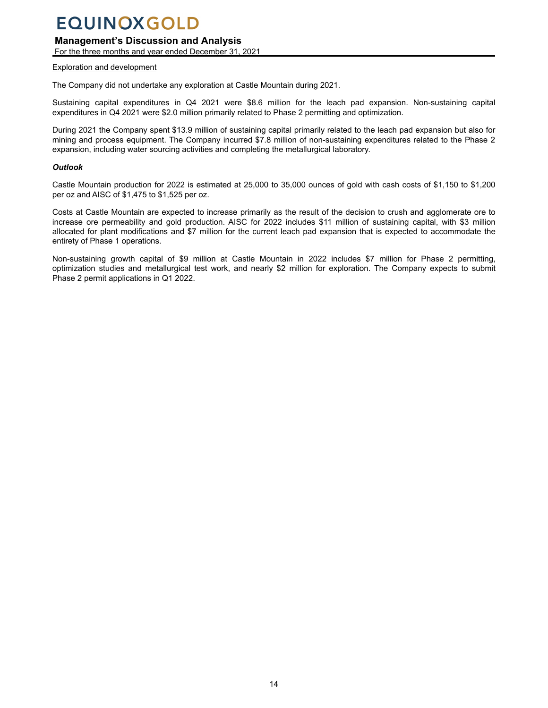## **Management's Discussion and Analysis**

For the three months and year ended December 31, 2021

#### Exploration and development

The Company did not undertake any exploration at Castle Mountain during 2021.

Sustaining capital expenditures in Q4 2021 were \$8.6 million for the leach pad expansion. Non-sustaining capital expenditures in Q4 2021 were \$2.0 million primarily related to Phase 2 permitting and optimization.

During 2021 the Company spent \$13.9 million of sustaining capital primarily related to the leach pad expansion but also for mining and process equipment. The Company incurred \$7.8 million of non-sustaining expenditures related to the Phase 2 expansion, including water sourcing activities and completing the metallurgical laboratory.

### *Outlook*

Castle Mountain production for 2022 is estimated at 25,000 to 35,000 ounces of gold with cash costs of \$1,150 to \$1,200 per oz and AISC of \$1,475 to \$1,525 per oz.

Costs at Castle Mountain are expected to increase primarily as the result of the decision to crush and agglomerate ore to increase ore permeability and gold production. AISC for 2022 includes \$11 million of sustaining capital, with \$3 million allocated for plant modifications and \$7 million for the current leach pad expansion that is expected to accommodate the entirety of Phase 1 operations.

Non-sustaining growth capital of \$9 million at Castle Mountain in 2022 includes \$7 million for Phase 2 permitting, optimization studies and metallurgical test work, and nearly \$2 million for exploration. The Company expects to submit Phase 2 permit applications in Q1 2022.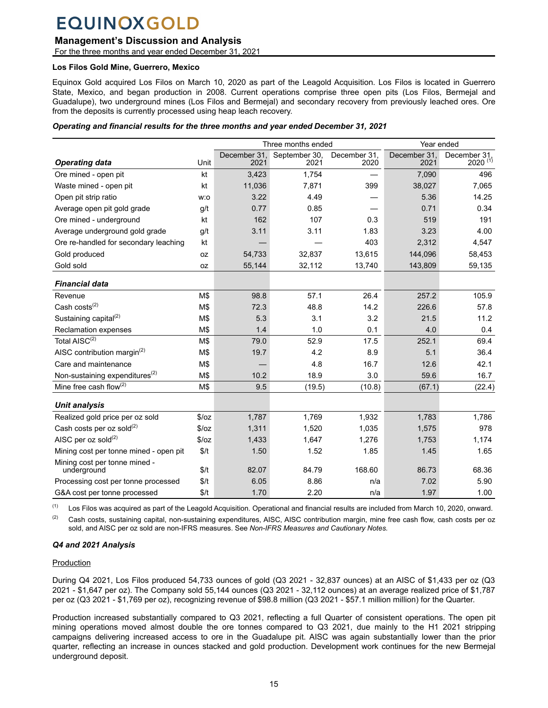## **Management's Discussion and Analysis**

For the three months and year ended December 31, 2021

#### **Los Filos Gold Mine, Guerrero, Mexico**

Equinox Gold acquired Los Filos on March 10, 2020 as part of the Leagold Acquisition. Los Filos is located in Guerrero State, Mexico, and began production in 2008. Current operations comprise three open pits (Los Filos, Bermejal and Guadalupe), two underground mines (Los Filos and Bermejal) and secondary recovery from previously leached ores. Ore from the deposits is currently processed using heap leach recovery.

#### *Operating and financial results for the three months and year ended December 31, 2021*

|                                              |       |                      | Three months ended    |                      | Year ended           |                              |
|----------------------------------------------|-------|----------------------|-----------------------|----------------------|----------------------|------------------------------|
| <b>Operating data</b>                        | Unit  | December 31,<br>2021 | September 30,<br>2021 | December 31.<br>2020 | December 31,<br>2021 | December 31,<br>$2020^{(1)}$ |
| Ore mined - open pit                         | kt    | 3,423                | 1,754                 |                      | 7,090                | 496                          |
| Waste mined - open pit                       | kt    | 11,036               | 7,871                 | 399                  | 38,027               | 7,065                        |
| Open pit strip ratio                         | w:o   | 3.22                 | 4.49                  |                      | 5.36                 | 14.25                        |
| Average open pit gold grade                  | g/t   | 0.77                 | 0.85                  |                      | 0.71                 | 0.34                         |
| Ore mined - underground                      | kt    | 162                  | 107                   | 0.3                  | 519                  | 191                          |
| Average underground gold grade               | g/t   | 3.11                 | 3.11                  | 1.83                 | 3.23                 | 4.00                         |
| Ore re-handled for secondary leaching        | kt    |                      |                       | 403                  | 2,312                | 4,547                        |
| Gold produced                                | 0Z    | 54,733               | 32,837                | 13,615               | 144,096              | 58,453                       |
| Gold sold                                    | 0Z    | 55,144               | 32,112                | 13,740               | 143,809              | 59,135                       |
| <b>Financial data</b>                        |       |                      |                       |                      |                      |                              |
| Revenue                                      | M\$   | 98.8                 | 57.1                  | 26.4                 | 257.2                | 105.9                        |
| Cash $costs^{(2)}$                           | M\$   | 72.3                 | 48.8                  | 14.2                 | 226.6                | 57.8                         |
| Sustaining capital <sup>(2)</sup>            | M\$   | 5.3                  | 3.1                   | 3.2                  | 21.5                 | 11.2                         |
| Reclamation expenses                         | M\$   | 1.4                  | 1.0                   | 0.1                  | 4.0                  | 0.4                          |
| Total AISC <sup>(2)</sup>                    | M\$   | 79.0                 | 52.9                  | 17.5                 | 252.1                | 69.4                         |
| AISC contribution margin <sup>(2)</sup>      | M\$   | 19.7                 | 4.2                   | 8.9                  | 5.1                  | 36.4                         |
| Care and maintenance                         | M\$   |                      | 4.8                   | 16.7                 | 12.6                 | 42.1                         |
| Non-sustaining expenditures <sup>(2)</sup>   | M\$   | 10.2                 | 18.9                  | 3.0                  | 59.6                 | 16.7                         |
| Mine free cash flow(2)                       | M\$   | 9.5                  | (19.5)                | (10.8)               | (67.1)               | (22.4)                       |
| <b>Unit analysis</b>                         |       |                      |                       |                      |                      |                              |
| Realized gold price per oz sold              | \$/oz | 1,787                | 1,769                 | 1,932                | 1,783                | 1,786                        |
| Cash costs per oz sold <sup>(2)</sup>        | \$/oz | 1,311                | 1,520                 | 1,035                | 1,575                | 978                          |
| AISC per oz sold $^{(2)}$                    | \$/oz | 1,433                | 1,647                 | 1,276                | 1,753                | 1,174                        |
| Mining cost per tonne mined - open pit       | \$/t  | 1.50                 | 1.52                  | 1.85                 | 1.45                 | 1.65                         |
| Mining cost per tonne mined -<br>underground | \$/t  | 82.07                | 84.79                 | 168.60               | 86.73                | 68.36                        |
| Processing cost per tonne processed          | \$/t  | 6.05                 | 8.86                  | n/a                  | 7.02                 | 5.90                         |
| G&A cost per tonne processed                 | \$/t  | 1.70                 | 2.20                  | n/a                  | 1.97                 | 1.00                         |

 $(1)$  Los Filos was acquired as part of the Leagold Acquisition. Operational and financial results are included from March 10, 2020, onward.

 $(2)$  Cash costs, sustaining capital, non-sustaining expenditures, AISC, AISC contribution margin, mine free cash flow, cash costs per oz sold, and AISC per oz sold are non-IFRS measures. See *Non-IFRS Measures and Cautionary Notes.*

## *Q4 and 2021 Analysis*

### **Production**

During Q4 2021, Los Filos produced 54,733 ounces of gold (Q3 2021 - 32,837 ounces) at an AISC of \$1,433 per oz (Q3 2021 - \$1,647 per oz). The Company sold 55,144 ounces (Q3 2021 - 32,112 ounces) at an average realized price of \$1,787 per oz (Q3 2021 - \$1,769 per oz), recognizing revenue of \$98.8 million (Q3 2021 - \$57.1 million million) for the Quarter.

Production increased substantially compared to Q3 2021, reflecting a full Quarter of consistent operations. The open pit mining operations moved almost double the ore tonnes compared to Q3 2021, due mainly to the H1 2021 stripping campaigns delivering increased access to ore in the Guadalupe pit. AISC was again substantially lower than the prior quarter, reflecting an increase in ounces stacked and gold production. Development work continues for the new Bermejal underground deposit.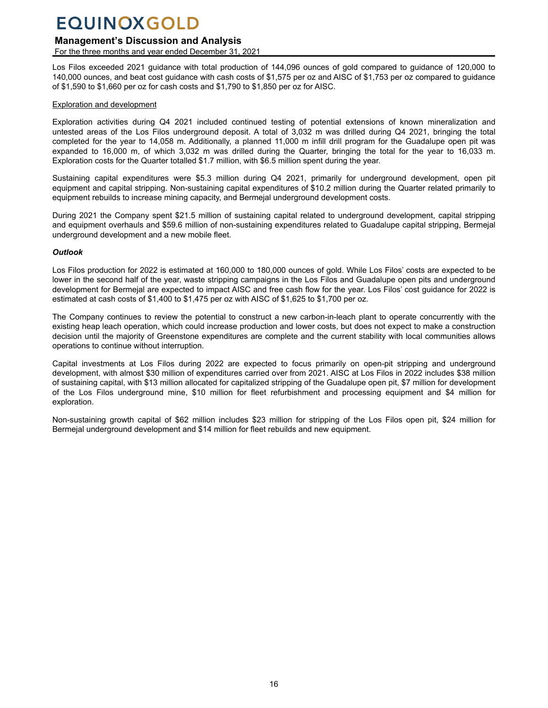## **Management's Discussion and Analysis**

For the three months and year ended December 31, 2021

Los Filos exceeded 2021 guidance with total production of 144,096 ounces of gold compared to guidance of 120,000 to 140,000 ounces, and beat cost guidance with cash costs of \$1,575 per oz and AISC of \$1,753 per oz compared to guidance of \$1,590 to \$1,660 per oz for cash costs and \$1,790 to \$1,850 per oz for AISC.

### Exploration and development

Exploration activities during Q4 2021 included continued testing of potential extensions of known mineralization and untested areas of the Los Filos underground deposit. A total of 3,032 m was drilled during Q4 2021, bringing the total completed for the year to 14,058 m. Additionally, a planned 11,000 m infill drill program for the Guadalupe open pit was expanded to 16,000 m, of which 3,032 m was drilled during the Quarter, bringing the total for the year to 16,033 m. Exploration costs for the Quarter totalled \$1.7 million, with \$6.5 million spent during the year.

Sustaining capital expenditures were \$5.3 million during Q4 2021, primarily for underground development, open pit equipment and capital stripping. Non-sustaining capital expenditures of \$10.2 million during the Quarter related primarily to equipment rebuilds to increase mining capacity, and Bermejal underground development costs.

During 2021 the Company spent \$21.5 million of sustaining capital related to underground development, capital stripping and equipment overhauls and \$59.6 million of non-sustaining expenditures related to Guadalupe capital stripping, Bermejal underground development and a new mobile fleet.

### *Outlook*

Los Filos production for 2022 is estimated at 160,000 to 180,000 ounces of gold. While Los Filos' costs are expected to be lower in the second half of the year, waste stripping campaigns in the Los Filos and Guadalupe open pits and underground development for Bermejal are expected to impact AISC and free cash flow for the year. Los Filos' cost guidance for 2022 is estimated at cash costs of \$1,400 to \$1,475 per oz with AISC of \$1,625 to \$1,700 per oz.

The Company continues to review the potential to construct a new carbon-in-leach plant to operate concurrently with the existing heap leach operation, which could increase production and lower costs, but does not expect to make a construction decision until the majority of Greenstone expenditures are complete and the current stability with local communities allows operations to continue without interruption.

Capital investments at Los Filos during 2022 are expected to focus primarily on open-pit stripping and underground development, with almost \$30 million of expenditures carried over from 2021. AISC at Los Filos in 2022 includes \$38 million of sustaining capital, with \$13 million allocated for capitalized stripping of the Guadalupe open pit, \$7 million for development of the Los Filos underground mine, \$10 million for fleet refurbishment and processing equipment and \$4 million for exploration.

Non-sustaining growth capital of \$62 million includes \$23 million for stripping of the Los Filos open pit, \$24 million for Bermejal underground development and \$14 million for fleet rebuilds and new equipment.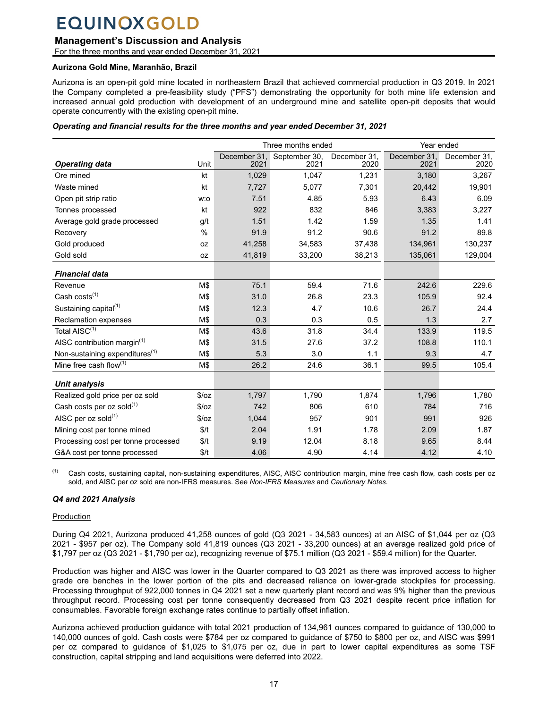## **Management's Discussion and Analysis**

For the three months and year ended December 31, 2021

#### **Aurizona Gold Mine, Maranhão, Brazil**

Aurizona is an open-pit gold mine located in northeastern Brazil that achieved commercial production in Q3 2019. In 2021 the Company completed a pre-feasibility study ("PFS") demonstrating the opportunity for both mine life extension and increased annual gold production with development of an underground mine and satellite open-pit deposits that would operate concurrently with the existing open-pit mine.

#### *Operating and financial results for the three months and year ended December 31, 2021*

|                                            |           | Three months ended |               |              | Year ended   |              |
|--------------------------------------------|-----------|--------------------|---------------|--------------|--------------|--------------|
|                                            |           | December 31,       | September 30, | December 31, | December 31, | December 31, |
| <b>Operating data</b>                      | Unit      | 2021               | 2021          | 2020         | 2021         | 2020         |
| Ore mined                                  | kt        | 1,029              | 1,047         | 1,231        | 3,180        | 3,267        |
| Waste mined                                | kt        | 7,727              | 5,077         | 7,301        | 20,442       | 19,901       |
| Open pit strip ratio                       | w:o       | 7.51               | 4.85          | 5.93         | 6.43         | 6.09         |
| Tonnes processed                           | kt        | 922                | 832           | 846          | 3,383        | 3,227        |
| Average gold grade processed               | g/t       | 1.51               | 1.42          | 1.59         | 1.35         | 1.41         |
| Recovery                                   | $\%$      | 91.9               | 91.2          | 90.6         | 91.2         | 89.8         |
| Gold produced                              | <b>OZ</b> | 41,258             | 34,583        | 37,438       | 134,961      | 130,237      |
| Gold sold                                  | 0Z        | 41,819             | 33,200        | 38,213       | 135,061      | 129,004      |
| <b>Financial data</b>                      |           |                    |               |              |              |              |
| Revenue                                    | M\$       | 75.1               | 59.4          | 71.6         | 242.6        | 229.6        |
| Cash costs <sup>(1)</sup>                  | M\$       | 31.0               | 26.8          | 23.3         | 105.9        | 92.4         |
| Sustaining capital <sup>(1)</sup>          | M\$       | 12.3               | 4.7           | 10.6         | 26.7         | 24.4         |
| Reclamation expenses                       | M\$       | 0.3                | 0.3           | 0.5          | 1.3          | 2.7          |
| Total AISC <sup>(1)</sup>                  | M\$       | 43.6               | 31.8          | 34.4         | 133.9        | 119.5        |
| AISC contribution margin $(1)$             | M\$       | 31.5               | 27.6          | 37.2         | 108.8        | 110.1        |
| Non-sustaining expenditures <sup>(1)</sup> | M\$       | 5.3                | 3.0           | 1.1          | 9.3          | 4.7          |
| Mine free cash flow $(1)$                  | M\$       | 26.2               | 24.6          | 36.1         | 99.5         | 105.4        |
|                                            |           |                    |               |              |              |              |
| <b>Unit analysis</b>                       |           |                    |               |              |              |              |
| Realized gold price per oz sold            | \$/oz     | 1,797              | 1,790         | 1,874        | 1,796        | 1,780        |
| Cash costs per oz sold $(1)$               | \$/oz     | 742                | 806           | 610          | 784          | 716          |
| AISC per oz sold <sup>(1)</sup>            | \$/oz     | 1,044              | 957           | 901          | 991          | 926          |
| Mining cost per tonne mined                | \$/t      | 2.04               | 1.91          | 1.78         | 2.09         | 1.87         |
| Processing cost per tonne processed        | \$/t      | 9.19               | 12.04         | 8.18         | 9.65         | 8.44         |
| G&A cost per tonne processed               | \$/t      | 4.06               | 4.90          | 4.14         | 4.12         | 4.10         |

<sup>(1)</sup> Cash costs, sustaining capital, non-sustaining expenditures, AISC, AISC contribution margin, mine free cash flow, cash costs per oz sold, and AISC per oz sold are non-IFRS measures. See *Non-IFRS Measures* and *Cautionary Notes*.

### *Q4 and 2021 Analysis*

### Production

During Q4 2021, Aurizona produced 41,258 ounces of gold (Q3 2021 - 34,583 ounces) at an AISC of \$1,044 per oz (Q3 2021 - \$957 per oz). The Company sold 41,819 ounces (Q3 2021 - 33,200 ounces) at an average realized gold price of \$1,797 per oz (Q3 2021 - \$1,790 per oz), recognizing revenue of \$75.1 million (Q3 2021 - \$59.4 million) for the Quarter.

Production was higher and AISC was lower in the Quarter compared to Q3 2021 as there was improved access to higher grade ore benches in the lower portion of the pits and decreased reliance on lower-grade stockpiles for processing. Processing throughput of 922,000 tonnes in Q4 2021 set a new quarterly plant record and was 9% higher than the previous throughput record. Processing cost per tonne consequently decreased from Q3 2021 despite recent price inflation for consumables. Favorable foreign exchange rates continue to partially offset inflation.

Aurizona achieved production guidance with total 2021 production of 134,961 ounces compared to guidance of 130,000 to 140,000 ounces of gold. Cash costs were \$784 per oz compared to guidance of \$750 to \$800 per oz, and AISC was \$991 per oz compared to guidance of \$1,025 to \$1,075 per oz, due in part to lower capital expenditures as some TSF construction, capital stripping and land acquisitions were deferred into 2022.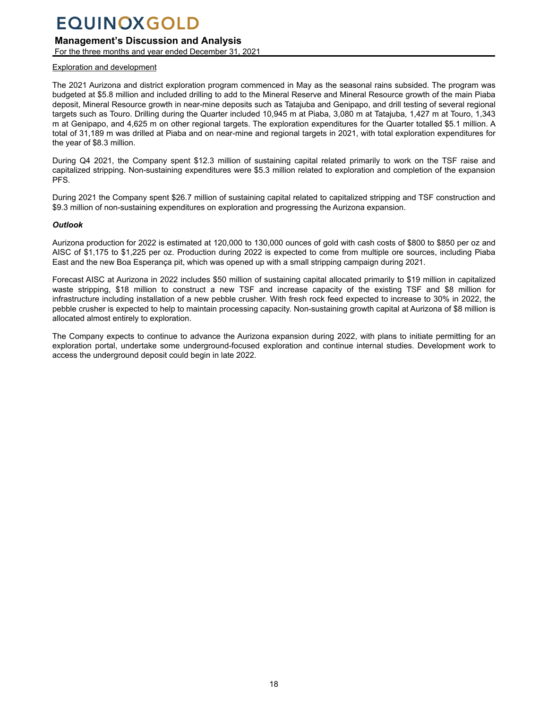## **Management's Discussion and Analysis**

For the three months and year ended December 31, 2021

#### Exploration and development

The 2021 Aurizona and district exploration program commenced in May as the seasonal rains subsided. The program was budgeted at \$5.8 million and included drilling to add to the Mineral Reserve and Mineral Resource growth of the main Piaba deposit, Mineral Resource growth in near-mine deposits such as Tatajuba and Genipapo, and drill testing of several regional targets such as Touro. Drilling during the Quarter included 10,945 m at Piaba, 3,080 m at Tatajuba, 1,427 m at Touro, 1,343 m at Genipapo, and 4,625 m on other regional targets. The exploration expenditures for the Quarter totalled \$5.1 million. A total of 31,189 m was drilled at Piaba and on near-mine and regional targets in 2021, with total exploration expenditures for the year of \$8.3 million.

During Q4 2021, the Company spent \$12.3 million of sustaining capital related primarily to work on the TSF raise and capitalized stripping. Non-sustaining expenditures were \$5.3 million related to exploration and completion of the expansion PFS.

During 2021 the Company spent \$26.7 million of sustaining capital related to capitalized stripping and TSF construction and \$9.3 million of non-sustaining expenditures on exploration and progressing the Aurizona expansion.

#### *Outlook*

Aurizona production for 2022 is estimated at 120,000 to 130,000 ounces of gold with cash costs of \$800 to \$850 per oz and AISC of \$1,175 to \$1,225 per oz. Production during 2022 is expected to come from multiple ore sources, including Piaba East and the new Boa Esperança pit, which was opened up with a small stripping campaign during 2021.

Forecast AISC at Aurizona in 2022 includes \$50 million of sustaining capital allocated primarily to \$19 million in capitalized waste stripping, \$18 million to construct a new TSF and increase capacity of the existing TSF and \$8 million for infrastructure including installation of a new pebble crusher. With fresh rock feed expected to increase to 30% in 2022, the pebble crusher is expected to help to maintain processing capacity. Non-sustaining growth capital at Aurizona of \$8 million is allocated almost entirely to exploration.

The Company expects to continue to advance the Aurizona expansion during 2022, with plans to initiate permitting for an exploration portal, undertake some underground-focused exploration and continue internal studies. Development work to access the underground deposit could begin in late 2022.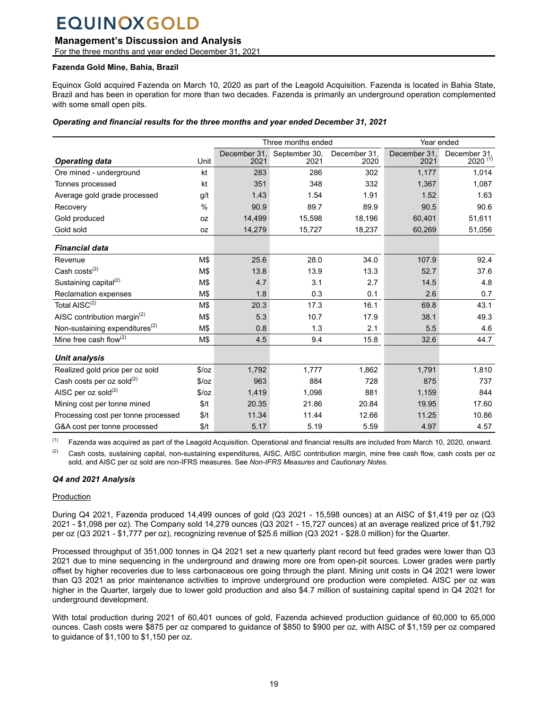## **Management's Discussion and Analysis**

For the three months and year ended December 31, 2021

### **Fazenda Gold Mine, Bahia, Brazil**

Equinox Gold acquired Fazenda on March 10, 2020 as part of the Leagold Acquisition. Fazenda is located in Bahia State, Brazil and has been in operation for more than two decades. Fazenda is primarily an underground operation complemented with some small open pits.

#### *Operating and financial results for the three months and year ended December 31, 2021*

|                                            |               |                      | Three months ended    |                      |                      | Year ended                          |  |
|--------------------------------------------|---------------|----------------------|-----------------------|----------------------|----------------------|-------------------------------------|--|
| <b>Operating data</b>                      | Unit          | December 31.<br>2021 | September 30,<br>2021 | December 31,<br>2020 | December 31,<br>2021 | December 31,<br>2020 <sup>(1)</sup> |  |
| Ore mined - underground                    | kt            | 283                  | 286                   | 302                  | 1,177                | 1,014                               |  |
| Tonnes processed                           | kt            | 351                  | 348                   | 332                  | 1,367                | 1,087                               |  |
| Average gold grade processed               | g/t           | 1.43                 | 1.54                  | 1.91                 | 1.52                 | 1.63                                |  |
| Recovery                                   | $\frac{0}{0}$ | 90.9                 | 89.7                  | 89.9                 | 90.5                 | 90.6                                |  |
| Gold produced                              | 0Z            | 14,499               | 15,598                | 18,196               | 60,401               | 51,611                              |  |
| Gold sold                                  | 0Z            | 14,279               | 15,727                | 18,237               | 60,269               | 51,056                              |  |
| <b>Financial data</b>                      |               |                      |                       |                      |                      |                                     |  |
| Revenue                                    | M\$           | 25.6                 | 28.0                  | 34.0                 | 107.9                | 92.4                                |  |
| Cash costs <sup>(2)</sup>                  | M\$           | 13.8                 | 13.9                  | 13.3                 | 52.7                 | 37.6                                |  |
| Sustaining capital <sup>(2)</sup>          | M\$           | 4.7                  | 3.1                   | 2.7                  | 14.5                 | 4.8                                 |  |
| <b>Reclamation expenses</b>                | M\$           | 1.8                  | 0.3                   | 0.1                  | 2.6                  | 0.7                                 |  |
| Total AISC <sup>(2)</sup>                  | M\$           | 20.3                 | 17.3                  | 16.1                 | 69.8                 | 43.1                                |  |
| AISC contribution margin <sup>(2)</sup>    | M\$           | 5.3                  | 10.7                  | 17.9                 | 38.1                 | 49.3                                |  |
| Non-sustaining expenditures <sup>(2)</sup> | M\$           | 0.8                  | 1.3                   | 2.1                  | 5.5                  | 4.6                                 |  |
| Mine free cash flow $(2)$                  | M\$           | 4.5                  | 9.4                   | 15.8                 | 32.6                 | 44.7                                |  |
| <b>Unit analysis</b>                       |               |                      |                       |                      |                      |                                     |  |
| Realized gold price per oz sold            | \$/oz         | 1,792                | 1,777                 | 1,862                | 1,791                | 1,810                               |  |
| Cash costs per oz sold $^{(2)}$            | \$/oz         | 963                  | 884                   | 728                  | 875                  | 737                                 |  |
| AISC per oz sold $^{(2)}$                  | \$/oz         | 1,419                | 1,098                 | 881                  | 1,159                | 844                                 |  |
| Mining cost per tonne mined                | \$/t          | 20.35                | 21.86                 | 20.84                | 19.95                | 17.60                               |  |
| Processing cost per tonne processed        | \$/t          | 11.34                | 11.44                 | 12.66                | 11.25                | 10.86                               |  |
| G&A cost per tonne processed               | \$/t          | 5.17                 | 5.19                  | 5.59                 | 4.97                 | 4.57                                |  |

 $<sup>(1)</sup>$  Fazenda was acquired as part of the Leagold Acquisition. Operational and financial results are included from March 10, 2020, onward.</sup>

 $(2)$  Cash costs, sustaining capital, non-sustaining expenditures, AISC, AISC contribution margin, mine free cash flow, cash costs per oz sold, and AISC per oz sold are non-IFRS measures. See *Non-IFRS Measures* and *Cautionary Notes*.

## *Q4 and 2021 Analysis*

### Production

During Q4 2021, Fazenda produced 14,499 ounces of gold (Q3 2021 - 15,598 ounces) at an AISC of \$1,419 per oz (Q3 2021 - \$1,098 per oz). The Company sold 14,279 ounces (Q3 2021 - 15,727 ounces) at an average realized price of \$1,792 per oz (Q3 2021 - \$1,777 per oz), recognizing revenue of \$25.6 million (Q3 2021 - \$28.0 million) for the Quarter.

Processed throughput of 351,000 tonnes in Q4 2021 set a new quarterly plant record but feed grades were lower than Q3 2021 due to mine sequencing in the underground and drawing more ore from open-pit sources. Lower grades were partly offset by higher recoveries due to less carbonaceous ore going through the plant. Mining unit costs in Q4 2021 were lower than Q3 2021 as prior maintenance activities to improve underground ore production were completed. AISC per oz was higher in the Quarter, largely due to lower gold production and also \$4.7 million of sustaining capital spend in Q4 2021 for underground development.

With total production during 2021 of 60,401 ounces of gold, Fazenda achieved production guidance of 60,000 to 65,000 ounces. Cash costs were \$875 per oz compared to guidance of \$850 to \$900 per oz, with AISC of \$1,159 per oz compared to guidance of \$1,100 to \$1,150 per oz.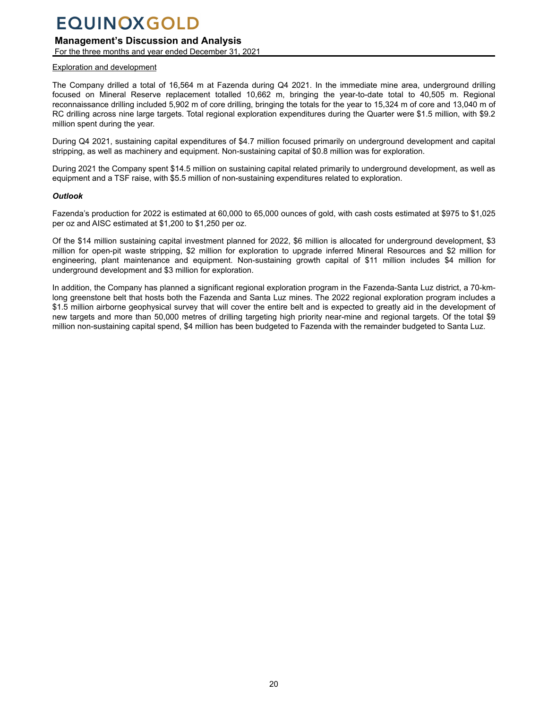## **Management's Discussion and Analysis**

For the three months and year ended December 31, 2021

#### Exploration and development

The Company drilled a total of 16,564 m at Fazenda during Q4 2021. In the immediate mine area, underground drilling focused on Mineral Reserve replacement totalled 10,662 m, bringing the year-to-date total to 40,505 m. Regional reconnaissance drilling included 5,902 m of core drilling, bringing the totals for the year to 15,324 m of core and 13,040 m of RC drilling across nine large targets. Total regional exploration expenditures during the Quarter were \$1.5 million, with \$9.2 million spent during the year.

During Q4 2021, sustaining capital expenditures of \$4.7 million focused primarily on underground development and capital stripping, as well as machinery and equipment. Non-sustaining capital of \$0.8 million was for exploration.

During 2021 the Company spent \$14.5 million on sustaining capital related primarily to underground development, as well as equipment and a TSF raise, with \$5.5 million of non-sustaining expenditures related to exploration.

#### *Outlook*

Fazenda's production for 2022 is estimated at 60,000 to 65,000 ounces of gold, with cash costs estimated at \$975 to \$1,025 per oz and AISC estimated at \$1,200 to \$1,250 per oz.

Of the \$14 million sustaining capital investment planned for 2022, \$6 million is allocated for underground development, \$3 million for open-pit waste stripping, \$2 million for exploration to upgrade inferred Mineral Resources and \$2 million for engineering, plant maintenance and equipment. Non-sustaining growth capital of \$11 million includes \$4 million for underground development and \$3 million for exploration.

In addition, the Company has planned a significant regional exploration program in the Fazenda-Santa Luz district, a 70-kmlong greenstone belt that hosts both the Fazenda and Santa Luz mines. The 2022 regional exploration program includes a \$1.5 million airborne geophysical survey that will cover the entire belt and is expected to greatly aid in the development of new targets and more than 50,000 metres of drilling targeting high priority near-mine and regional targets. Of the total \$9 million non-sustaining capital spend, \$4 million has been budgeted to Fazenda with the remainder budgeted to Santa Luz.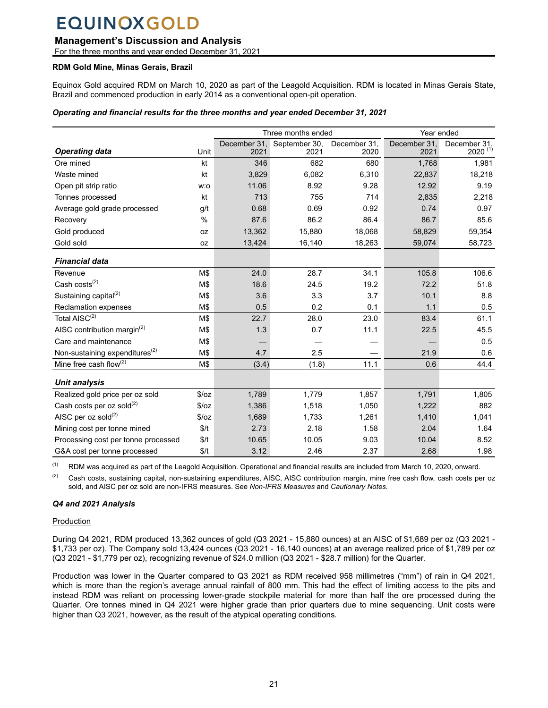## **Management's Discussion and Analysis**

For the three months and year ended December 31, 2021

### **RDM Gold Mine, Minas Gerais, Brazil**

Equinox Gold acquired RDM on March 10, 2020 as part of the Leagold Acquisition. RDM is located in Minas Gerais State, Brazil and commenced production in early 2014 as a conventional open-pit operation.

### *Operating and financial results for the three months and year ended December 31, 2021*

|                                            |       |                      | Three months ended    |                      | Year ended           |                                     |
|--------------------------------------------|-------|----------------------|-----------------------|----------------------|----------------------|-------------------------------------|
| <b>Operating data</b>                      | Unit  | December 31,<br>2021 | September 30,<br>2021 | December 31,<br>2020 | December 31,<br>2021 | December 31,<br>2020 <sup>(1)</sup> |
| Ore mined                                  | kt    | 346                  | 682                   | 680                  | 1,768                | 1,981                               |
| Waste mined                                | kt    | 3,829                | 6,082                 | 6,310                | 22,837               | 18,218                              |
| Open pit strip ratio                       | w:o   | 11.06                | 8.92                  | 9.28                 | 12.92                | 9.19                                |
| Tonnes processed                           | kt    | 713                  | 755                   | 714                  | 2,835                | 2,218                               |
| Average gold grade processed               | g/t   | 0.68                 | 0.69                  | 0.92                 | 0.74                 | 0.97                                |
| Recovery                                   | %     | 87.6                 | 86.2                  | 86.4                 | 86.7                 | 85.6                                |
| Gold produced                              | 0Z    | 13,362               | 15,880                | 18,068               | 58,829               | 59,354                              |
| Gold sold                                  | 0Z    | 13,424               | 16,140                | 18,263               | 59,074               | 58,723                              |
| <b>Financial data</b>                      |       |                      |                       |                      |                      |                                     |
| Revenue                                    | M\$   | 24.0                 | 28.7                  | 34.1                 | 105.8                | 106.6                               |
| Cash costs <sup>(2)</sup>                  | M\$   | 18.6                 | 24.5                  | 19.2                 | 72.2                 | 51.8                                |
| Sustaining capital <sup>(2)</sup>          | M\$   | 3.6                  | 3.3                   | 3.7                  | 10.1                 | 8.8                                 |
| Reclamation expenses                       | M\$   | 0.5                  | 0.2                   | 0.1                  | 1.1                  | 0.5                                 |
| Total AISC <sup>(2)</sup>                  | M\$   | 22.7                 | 28.0                  | 23.0                 | 83.4                 | 61.1                                |
| AISC contribution margin <sup>(2)</sup>    | M\$   | 1.3                  | 0.7                   | 11.1                 | 22.5                 | 45.5                                |
| Care and maintenance                       | M\$   |                      |                       |                      |                      | 0.5                                 |
| Non-sustaining expenditures <sup>(2)</sup> | M\$   | 4.7                  | 2.5                   |                      | 21.9                 | 0.6                                 |
| Mine free cash flow(2)                     | M\$   | (3.4)                | (1.8)                 | 11.1                 | 0.6                  | 44.4                                |
| <b>Unit analysis</b>                       |       |                      |                       |                      |                      |                                     |
| Realized gold price per oz sold            | \$/oz | 1,789                | 1,779                 | 1,857                | 1,791                | 1,805                               |
| Cash costs per oz sold <sup>(2)</sup>      | \$/oz | 1,386                | 1,518                 | 1,050                | 1,222                | 882                                 |
| AISC per oz sold $^{(2)}$                  | \$/oz | 1,689                | 1,733                 | 1,261                | 1,410                | 1,041                               |
| Mining cost per tonne mined                | \$/t  | 2.73                 | 2.18                  | 1.58                 | 2.04                 | 1.64                                |
| Processing cost per tonne processed        | \$/t  | 10.65                | 10.05                 | 9.03                 | 10.04                | 8.52                                |
| G&A cost per tonne processed               | \$/t  | 3.12                 | 2.46                  | 2.37                 | 2.68                 | 1.98                                |

 $(1)$  RDM was acquired as part of the Leagold Acquisition. Operational and financial results are included from March 10, 2020, onward.

 $(2)$  Cash costs, sustaining capital, non-sustaining expenditures, AISC, AISC contribution margin, mine free cash flow, cash costs per oz sold, and AISC per oz sold are non-IFRS measures. See *Non-IFRS Measures* and *Cautionary Notes*.

### *Q4 and 2021 Analysis*

### Production

During Q4 2021, RDM produced 13,362 ounces of gold (Q3 2021 - 15,880 ounces) at an AISC of \$1,689 per oz (Q3 2021 - \$1,733 per oz). The Company sold 13,424 ounces (Q3 2021 - 16,140 ounces) at an average realized price of \$1,789 per oz (Q3 2021 - \$1,779 per oz), recognizing revenue of \$24.0 million (Q3 2021 - \$28.7 million) for the Quarter.

Production was lower in the Quarter compared to Q3 2021 as RDM received 958 millimetres ("mm") of rain in Q4 2021, which is more than the region's average annual rainfall of 800 mm. This had the effect of limiting access to the pits and instead RDM was reliant on processing lower-grade stockpile material for more than half the ore processed during the Quarter. Ore tonnes mined in Q4 2021 were higher grade than prior quarters due to mine sequencing. Unit costs were higher than Q3 2021, however, as the result of the atypical operating conditions.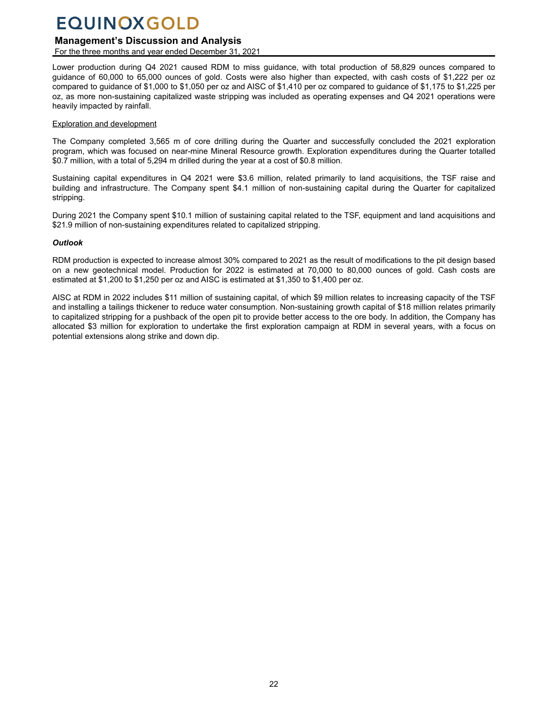## **Management's Discussion and Analysis**

For the three months and year ended December 31, 2021

Lower production during Q4 2021 caused RDM to miss guidance, with total production of 58,829 ounces compared to guidance of 60,000 to 65,000 ounces of gold. Costs were also higher than expected, with cash costs of \$1,222 per oz compared to guidance of \$1,000 to \$1,050 per oz and AISC of \$1,410 per oz compared to guidance of \$1,175 to \$1,225 per oz, as more non-sustaining capitalized waste stripping was included as operating expenses and Q4 2021 operations were heavily impacted by rainfall.

#### Exploration and development

The Company completed 3,565 m of core drilling during the Quarter and successfully concluded the 2021 exploration program, which was focused on near-mine Mineral Resource growth. Exploration expenditures during the Quarter totalled \$0.7 million, with a total of 5,294 m drilled during the year at a cost of \$0.8 million.

Sustaining capital expenditures in Q4 2021 were \$3.6 million, related primarily to land acquisitions, the TSF raise and building and infrastructure. The Company spent \$4.1 million of non-sustaining capital during the Quarter for capitalized stripping.

During 2021 the Company spent \$10.1 million of sustaining capital related to the TSF, equipment and land acquisitions and \$21.9 million of non-sustaining expenditures related to capitalized stripping.

### *Outlook*

RDM production is expected to increase almost 30% compared to 2021 as the result of modifications to the pit design based on a new geotechnical model. Production for 2022 is estimated at 70,000 to 80,000 ounces of gold. Cash costs are estimated at \$1,200 to \$1,250 per oz and AISC is estimated at \$1,350 to \$1,400 per oz.

AISC at RDM in 2022 includes \$11 million of sustaining capital, of which \$9 million relates to increasing capacity of the TSF and installing a tailings thickener to reduce water consumption. Non-sustaining growth capital of \$18 million relates primarily to capitalized stripping for a pushback of the open pit to provide better access to the ore body. In addition, the Company has allocated \$3 million for exploration to undertake the first exploration campaign at RDM in several years, with a focus on potential extensions along strike and down dip.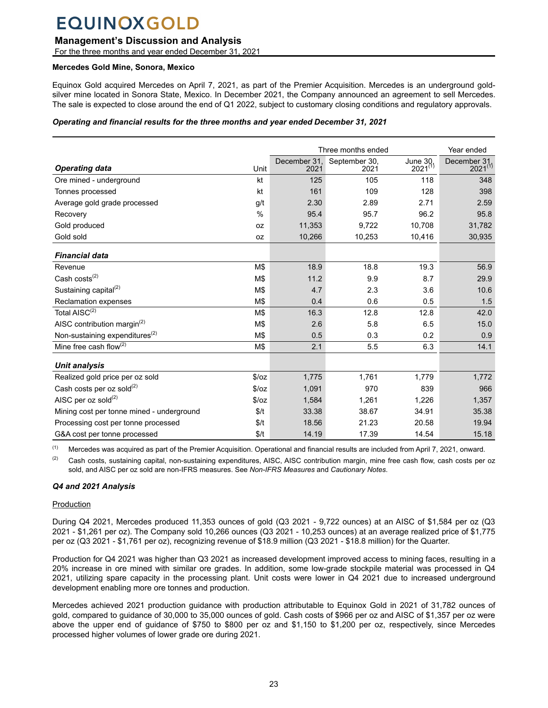## **Management's Discussion and Analysis**

For the three months and year ended December 31, 2021

#### **Mercedes Gold Mine, Sonora, Mexico**

Equinox Gold acquired Mercedes on April 7, 2021, as part of the Premier Acquisition. Mercedes is an underground goldsilver mine located in Sonora State, Mexico. In December 2021, the Company announced an agreement to sell Mercedes. The sale is expected to close around the end of Q1 2022, subject to customary closing conditions and regulatory approvals.

#### *Operating and financial results for the three months and year ended December 31, 2021*

|                                            |               |                      | Three months ended    |                          | Year ended                   |
|--------------------------------------------|---------------|----------------------|-----------------------|--------------------------|------------------------------|
| <b>Operating data</b>                      | Unit          | December 31.<br>2021 | September 30,<br>2021 | June 30,<br>$2021^{(1)}$ | December 31.<br>$2021^{(1)}$ |
| Ore mined - underground                    | kt            | 125                  | 105                   | 118                      | 348                          |
| Tonnes processed                           | kt            | 161                  | 109                   | 128                      | 398                          |
| Average gold grade processed               | g/t           | 2.30                 | 2.89                  | 2.71                     | 2.59                         |
| Recovery                                   | $\frac{0}{0}$ | 95.4                 | 95.7                  | 96.2                     | 95.8                         |
| Gold produced                              | 0Z            | 11,353               | 9,722                 | 10.708                   | 31,782                       |
| Gold sold                                  | <b>OZ</b>     | 10,266               | 10,253                | 10,416                   | 30,935                       |
| <b>Financial data</b>                      |               |                      |                       |                          |                              |
| Revenue                                    | M\$           | 18.9                 | 18.8                  | 19.3                     | 56.9                         |
| Cash costs <sup>(2)</sup>                  | M\$           | 11.2                 | 9.9                   | 8.7                      | 29.9                         |
| Sustaining capital <sup>(2)</sup>          | M\$           | 4.7                  | 2.3                   | 3.6                      | 10.6                         |
| <b>Reclamation expenses</b>                | M\$           | 0.4                  | 0.6                   | 0.5                      | 1.5                          |
| Total AISC <sup>(2)</sup>                  | M\$           | 16.3                 | 12.8                  | 12.8                     | 42.0                         |
| AISC contribution margin <sup>(2)</sup>    | M\$           | 2.6                  | 5.8                   | 6.5                      | 15.0                         |
| Non-sustaining expenditures <sup>(2)</sup> | M\$           | 0.5                  | 0.3                   | 0.2                      | 0.9                          |
| Mine free cash flow $(2)$                  | M\$           | 2.1                  | 5.5                   | 6.3                      | 14.1                         |
| Unit analysis                              |               |                      |                       |                          |                              |
| Realized gold price per oz sold            | \$/oz         | 1,775                | 1,761                 | 1,779                    | 1,772                        |
| Cash costs per oz sold <sup>(2)</sup>      | \$/oz         | 1,091                | 970                   | 839                      | 966                          |
| AISC per oz sold $^{(2)}$                  | \$/oz         | 1,584                | 1,261                 | 1,226                    | 1,357                        |
| Mining cost per tonne mined - underground  | \$/t          | 33.38                | 38.67                 | 34.91                    | 35.38                        |
| Processing cost per tonne processed        | \$/t          | 18.56                | 21.23                 | 20.58                    | 19.94                        |
| G&A cost per tonne processed               | \$/t          | 14.19                | 17.39                 | 14.54                    | 15.18                        |

 $<sup>(1)</sup>$  Mercedes was acquired as part of the Premier Acquisition. Operational and financial results are included from April 7, 2021, onward.</sup>

 $(2)$  Cash costs, sustaining capital, non-sustaining expenditures, AISC, AISC contribution margin, mine free cash flow, cash costs per oz sold, and AISC per oz sold are non-IFRS measures. See *Non-IFRS Measures* and *Cautionary Notes*.

### *Q4 and 2021 Analysis*

### Production

During Q4 2021, Mercedes produced 11,353 ounces of gold (Q3 2021 - 9,722 ounces) at an AISC of \$1,584 per oz (Q3 2021 - \$1,261 per oz). The Company sold 10,266 ounces (Q3 2021 - 10,253 ounces) at an average realized price of \$1,775 per oz (Q3 2021 - \$1,761 per oz), recognizing revenue of \$18.9 million (Q3 2021 - \$18.8 million) for the Quarter.

Production for Q4 2021 was higher than Q3 2021 as increased development improved access to mining faces, resulting in a 20% increase in ore mined with similar ore grades. In addition, some low-grade stockpile material was processed in Q4 2021, utilizing spare capacity in the processing plant. Unit costs were lower in Q4 2021 due to increased underground development enabling more ore tonnes and production.

Mercedes achieved 2021 production guidance with production attributable to Equinox Gold in 2021 of 31,782 ounces of gold, compared to guidance of 30,000 to 35,000 ounces of gold. Cash costs of \$966 per oz and AISC of \$1,357 per oz were above the upper end of guidance of \$750 to \$800 per oz and \$1,150 to \$1,200 per oz, respectively, since Mercedes processed higher volumes of lower grade ore during 2021.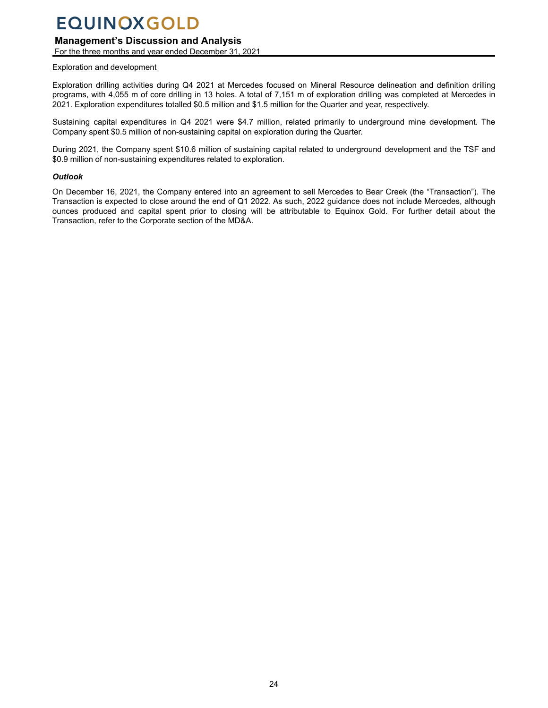## **Management's Discussion and Analysis**

For the three months and year ended December 31, 2021

#### Exploration and development

Exploration drilling activities during Q4 2021 at Mercedes focused on Mineral Resource delineation and definition drilling programs, with 4,055 m of core drilling in 13 holes. A total of 7,151 m of exploration drilling was completed at Mercedes in 2021. Exploration expenditures totalled \$0.5 million and \$1.5 million for the Quarter and year, respectively.

Sustaining capital expenditures in Q4 2021 were \$4.7 million, related primarily to underground mine development. The Company spent \$0.5 million of non-sustaining capital on exploration during the Quarter.

During 2021, the Company spent \$10.6 million of sustaining capital related to underground development and the TSF and \$0.9 million of non-sustaining expenditures related to exploration.

#### *Outlook*

On December 16, 2021, the Company entered into an agreement to sell Mercedes to Bear Creek (the "Transaction"). The Transaction is expected to close around the end of Q1 2022. As such, 2022 guidance does not include Mercedes, although ounces produced and capital spent prior to closing will be attributable to Equinox Gold. For further detail about the Transaction, refer to the Corporate section of the MD&A.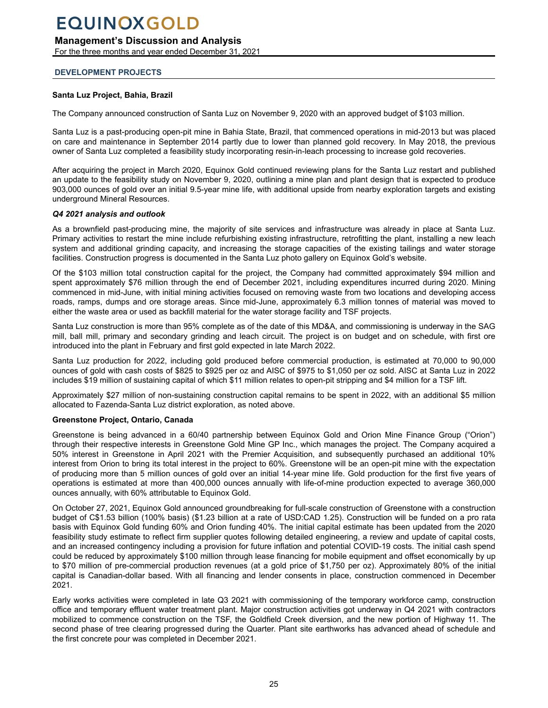## <span id="page-24-0"></span>**Management's Discussion and Analysis**

For the three months and year ended December 31, 2021

### **DEVELOPMENT PROJECTS**

### **Santa Luz Project, Bahia, Brazil**

The Company announced construction of Santa Luz on November 9, 2020 with an approved budget of \$103 million.

Santa Luz is a past-producing open-pit mine in Bahia State, Brazil, that commenced operations in mid-2013 but was placed on care and maintenance in September 2014 partly due to lower than planned gold recovery. In May 2018, the previous owner of Santa Luz completed a feasibility study incorporating resin-in-leach processing to increase gold recoveries.

After acquiring the project in March 2020, Equinox Gold continued reviewing plans for the Santa Luz restart and published an update to the feasibility study on November 9, 2020, outlining a mine plan and plant design that is expected to produce 903,000 ounces of gold over an initial 9.5-year mine life, with additional upside from nearby exploration targets and existing underground Mineral Resources.

#### *Q4 2021 analysis and outlook*

As a brownfield past-producing mine, the majority of site services and infrastructure was already in place at Santa Luz. Primary activities to restart the mine include refurbishing existing infrastructure, retrofitting the plant, installing a new leach system and additional grinding capacity, and increasing the storage capacities of the existing tailings and water storage facilities. Construction progress is documented in the Santa Luz photo gallery on Equinox Gold's website.

Of the \$103 million total construction capital for the project, the Company had committed approximately \$94 million and spent approximately \$76 million through the end of December 2021, including expenditures incurred during 2020. Mining commenced in mid-June, with initial mining activities focused on removing waste from two locations and developing access roads, ramps, dumps and ore storage areas. Since mid-June, approximately 6.3 million tonnes of material was moved to either the waste area or used as backfill material for the water storage facility and TSF projects.

Santa Luz construction is more than 95% complete as of the date of this MD&A, and commissioning is underway in the SAG mill, ball mill, primary and secondary grinding and leach circuit. The project is on budget and on schedule, with first ore introduced into the plant in February and first gold expected in late March 2022.

Santa Luz production for 2022, including gold produced before commercial production, is estimated at 70,000 to 90,000 ounces of gold with cash costs of \$825 to \$925 per oz and AISC of \$975 to \$1,050 per oz sold. AISC at Santa Luz in 2022 includes \$19 million of sustaining capital of which \$11 million relates to open-pit stripping and \$4 million for a TSF lift.

Approximately \$27 million of non-sustaining construction capital remains to be spent in 2022, with an additional \$5 million allocated to Fazenda-Santa Luz district exploration, as noted above.

#### **Greenstone Project, Ontario, Canada**

Greenstone is being advanced in a 60/40 partnership between Equinox Gold and Orion Mine Finance Group ("Orion") through their respective interests in Greenstone Gold Mine GP Inc., which manages the project. The Company acquired a 50% interest in Greenstone in April 2021 with the Premier Acquisition, and subsequently purchased an additional 10% interest from Orion to bring its total interest in the project to 60%. Greenstone will be an open-pit mine with the expectation of producing more than 5 million ounces of gold over an initial 14-year mine life. Gold production for the first five years of operations is estimated at more than 400,000 ounces annually with life-of-mine production expected to average 360,000 ounces annually, with 60% attributable to Equinox Gold.

On October 27, 2021, Equinox Gold announced groundbreaking for full-scale construction of Greenstone with a construction budget of C\$1.53 billion (100% basis) (\$1.23 billion at a rate of USD:CAD 1.25). Construction will be funded on a pro rata basis with Equinox Gold funding 60% and Orion funding 40%. The initial capital estimate has been updated from the 2020 feasibility study estimate to reflect firm supplier quotes following detailed engineering, a review and update of capital costs, and an increased contingency including a provision for future inflation and potential COVID-19 costs. The initial cash spend could be reduced by approximately \$100 million through lease financing for mobile equipment and offset economically by up to \$70 million of pre-commercial production revenues (at a gold price of \$1,750 per oz). Approximately 80% of the initial capital is Canadian-dollar based. With all financing and lender consents in place, construction commenced in December 2021.

Early works activities were completed in late Q3 2021 with commissioning of the temporary workforce camp, construction office and temporary effluent water treatment plant. Major construction activities got underway in Q4 2021 with contractors mobilized to commence construction on the TSF, the Goldfield Creek diversion, and the new portion of Highway 11. The second phase of tree clearing progressed during the Quarter. Plant site earthworks has advanced ahead of schedule and the first concrete pour was completed in December 2021.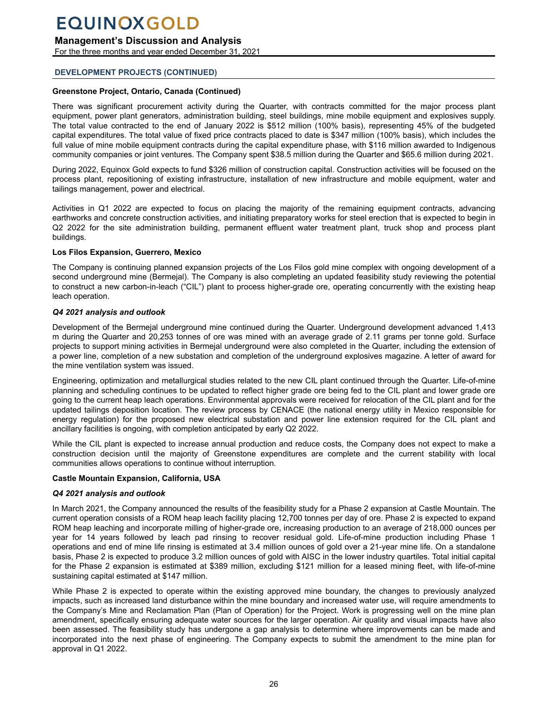## **Management's Discussion and Analysis**

For the three months and year ended December 31, 2021

## **DEVELOPMENT PROJECTS (CONTINUED)**

## **Greenstone Project, Ontario, Canada (Continued)**

There was significant procurement activity during the Quarter, with contracts committed for the major process plant equipment, power plant generators, administration building, steel buildings, mine mobile equipment and explosives supply. The total value contracted to the end of January 2022 is \$512 million (100% basis), representing 45% of the budgeted capital expenditures. The total value of fixed price contracts placed to date is \$347 million (100% basis), which includes the full value of mine mobile equipment contracts during the capital expenditure phase, with \$116 million awarded to Indigenous community companies or joint ventures. The Company spent \$38.5 million during the Quarter and \$65.6 million during 2021.

During 2022, Equinox Gold expects to fund \$326 million of construction capital. Construction activities will be focused on the process plant, repositioning of existing infrastructure, installation of new infrastructure and mobile equipment, water and tailings management, power and electrical.

Activities in Q1 2022 are expected to focus on placing the majority of the remaining equipment contracts, advancing earthworks and concrete construction activities, and initiating preparatory works for steel erection that is expected to begin in Q2 2022 for the site administration building, permanent effluent water treatment plant, truck shop and process plant buildings.

## **Los Filos Expansion, Guerrero, Mexico**

The Company is continuing planned expansion projects of the Los Filos gold mine complex with ongoing development of a second underground mine (Bermejal). The Company is also completing an updated feasibility study reviewing the potential to construct a new carbon-in-leach ("CIL") plant to process higher-grade ore, operating concurrently with the existing heap leach operation.

## *Q4 2021 analysis and outlook*

Development of the Bermejal underground mine continued during the Quarter. Underground development advanced 1,413 m during the Quarter and 20,253 tonnes of ore was mined with an average grade of 2.11 grams per tonne gold. Surface projects to support mining activities in Bermejal underground were also completed in the Quarter, including the extension of a power line, completion of a new substation and completion of the underground explosives magazine. A letter of award for the mine ventilation system was issued.

Engineering, optimization and metallurgical studies related to the new CIL plant continued through the Quarter. Life-of-mine planning and scheduling continues to be updated to reflect higher grade ore being fed to the CIL plant and lower grade ore going to the current heap leach operations. Environmental approvals were received for relocation of the CIL plant and for the updated tailings deposition location. The review process by CENACE (the national energy utility in Mexico responsible for energy regulation) for the proposed new electrical substation and power line extension required for the CIL plant and ancillary facilities is ongoing, with completion anticipated by early Q2 2022.

While the CIL plant is expected to increase annual production and reduce costs, the Company does not expect to make a construction decision until the majority of Greenstone expenditures are complete and the current stability with local communities allows operations to continue without interruption.

## **Castle Mountain Expansion, California, USA**

## *Q4 2021 analysis and outlook*

In March 2021, the Company announced the results of the feasibility study for a Phase 2 expansion at Castle Mountain. The current operation consists of a ROM heap leach facility placing 12,700 tonnes per day of ore. Phase 2 is expected to expand ROM heap leaching and incorporate milling of higher-grade ore, increasing production to an average of 218,000 ounces per year for 14 years followed by leach pad rinsing to recover residual gold. Life-of-mine production including Phase 1 operations and end of mine life rinsing is estimated at 3.4 million ounces of gold over a 21-year mine life. On a standalone basis, Phase 2 is expected to produce 3.2 million ounces of gold with AISC in the lower industry quartiles. Total initial capital for the Phase 2 expansion is estimated at \$389 million, excluding \$121 million for a leased mining fleet, with life-of-mine sustaining capital estimated at \$147 million.

While Phase 2 is expected to operate within the existing approved mine boundary, the changes to previously analyzed impacts, such as increased land disturbance within the mine boundary and increased water use, will require amendments to the Company's Mine and Reclamation Plan (Plan of Operation) for the Project. Work is progressing well on the mine plan amendment, specifically ensuring adequate water sources for the larger operation. Air quality and visual impacts have also been assessed. The feasibility study has undergone a gap analysis to determine where improvements can be made and incorporated into the next phase of engineering. The Company expects to submit the amendment to the mine plan for approval in Q1 2022.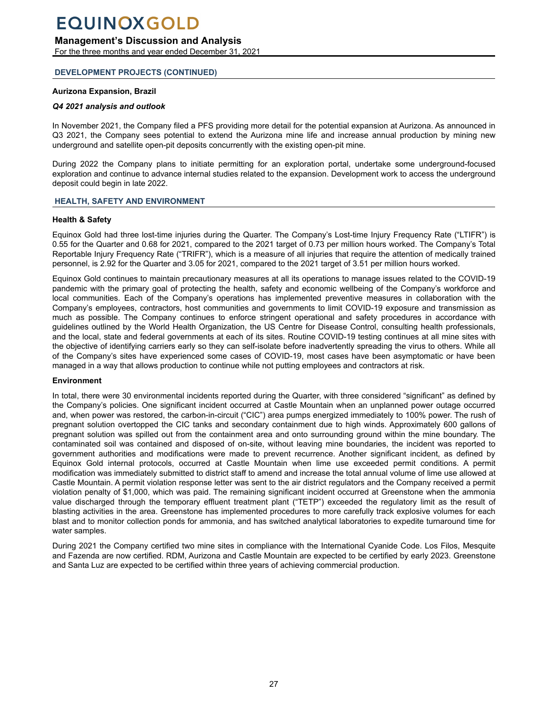## <span id="page-26-0"></span>**Management's Discussion and Analysis**

For the three months and year ended December 31, 2021

## **DEVELOPMENT PROJECTS (CONTINUED)**

## **Aurizona Expansion, Brazil**

## *Q4 2021 analysis and outlook*

In November 2021, the Company filed a PFS providing more detail for the potential expansion at Aurizona. As announced in Q3 2021, the Company sees potential to extend the Aurizona mine life and increase annual production by mining new underground and satellite open-pit deposits concurrently with the existing open-pit mine.

During 2022 the Company plans to initiate permitting for an exploration portal, undertake some underground-focused exploration and continue to advance internal studies related to the expansion. Development work to access the underground deposit could begin in late 2022.

## **HEALTH, SAFETY AND ENVIRONMENT**

## **Health & Safety**

Equinox Gold had three lost-time injuries during the Quarter. The Company's Lost-time Injury Frequency Rate ("LTIFR") is 0.55 for the Quarter and 0.68 for 2021, compared to the 2021 target of 0.73 per million hours worked. The Company's Total Reportable Injury Frequency Rate ("TRIFR"), which is a measure of all injuries that require the attention of medically trained personnel, is 2.92 for the Quarter and 3.05 for 2021, compared to the 2021 target of 3.51 per million hours worked.

Equinox Gold continues to maintain precautionary measures at all its operations to manage issues related to the COVID-19 pandemic with the primary goal of protecting the health, safety and economic wellbeing of the Company's workforce and local communities. Each of the Company's operations has implemented preventive measures in collaboration with the Company's employees, contractors, host communities and governments to limit COVID-19 exposure and transmission as much as possible. The Company continues to enforce stringent operational and safety procedures in accordance with guidelines outlined by the World Health Organization, the US Centre for Disease Control, consulting health professionals, and the local, state and federal governments at each of its sites. Routine COVID-19 testing continues at all mine sites with the objective of identifying carriers early so they can self-isolate before inadvertently spreading the virus to others. While all of the Company's sites have experienced some cases of COVID-19, most cases have been asymptomatic or have been managed in a way that allows production to continue while not putting employees and contractors at risk.

### **Environment**

In total, there were 30 environmental incidents reported during the Quarter, with three considered "significant" as defined by the Company's policies. One significant incident occurred at Castle Mountain when an unplanned power outage occurred and, when power was restored, the carbon-in-circuit ("CIC") area pumps energized immediately to 100% power. The rush of pregnant solution overtopped the CIC tanks and secondary containment due to high winds. Approximately 600 gallons of pregnant solution was spilled out from the containment area and onto surrounding ground within the mine boundary. The contaminated soil was contained and disposed of on-site, without leaving mine boundaries, the incident was reported to government authorities and modifications were made to prevent recurrence. Another significant incident, as defined by Equinox Gold internal protocols, occurred at Castle Mountain when lime use exceeded permit conditions. A permit modification was immediately submitted to district staff to amend and increase the total annual volume of lime use allowed at Castle Mountain. A permit violation response letter was sent to the air district regulators and the Company received a permit violation penalty of \$1,000, which was paid. The remaining significant incident occurred at Greenstone when the ammonia value discharged through the temporary effluent treatment plant ("TETP") exceeded the regulatory limit as the result of blasting activities in the area. Greenstone has implemented procedures to more carefully track explosive volumes for each blast and to monitor collection ponds for ammonia, and has switched analytical laboratories to expedite turnaround time for water samples.

During 2021 the Company certified two mine sites in compliance with the International Cyanide Code. Los Filos, Mesquite and Fazenda are now certified. RDM, Aurizona and Castle Mountain are expected to be certified by early 2023. Greenstone and Santa Luz are expected to be certified within three years of achieving commercial production.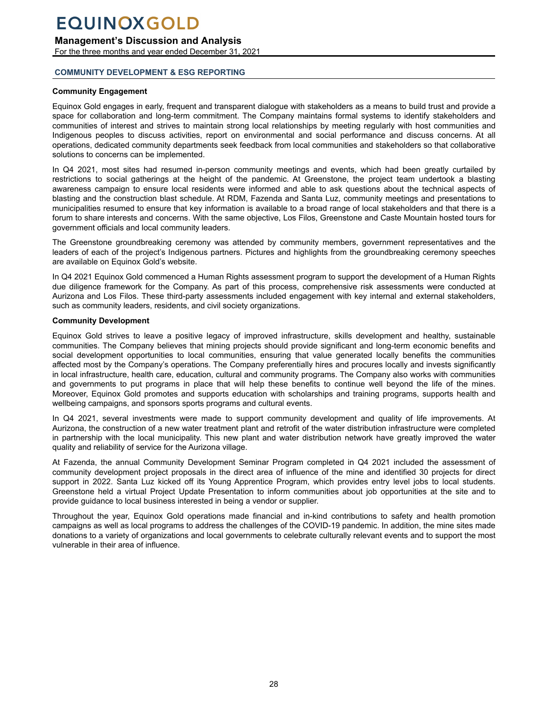### <span id="page-27-0"></span>**Management's Discussion and Analysis**

For the three months and year ended December 31, 2021

### **COMMUNITY DEVELOPMENT & ESG REPORTING**

#### **Community Engagement**

Equinox Gold engages in early, frequent and transparent dialogue with stakeholders as a means to build trust and provide a space for collaboration and long-term commitment. The Company maintains formal systems to identify stakeholders and communities of interest and strives to maintain strong local relationships by meeting regularly with host communities and Indigenous peoples to discuss activities, report on environmental and social performance and discuss concerns. At all operations, dedicated community departments seek feedback from local communities and stakeholders so that collaborative solutions to concerns can be implemented.

In Q4 2021, most sites had resumed in-person community meetings and events, which had been greatly curtailed by restrictions to social gatherings at the height of the pandemic. At Greenstone, the project team undertook a blasting awareness campaign to ensure local residents were informed and able to ask questions about the technical aspects of blasting and the construction blast schedule. At RDM, Fazenda and Santa Luz, community meetings and presentations to municipalities resumed to ensure that key information is available to a broad range of local stakeholders and that there is a forum to share interests and concerns. With the same objective, Los Filos, Greenstone and Caste Mountain hosted tours for government officials and local community leaders.

The Greenstone groundbreaking ceremony was attended by community members, government representatives and the leaders of each of the project's Indigenous partners. Pictures and highlights from the groundbreaking ceremony speeches are available on Equinox Gold's website.

In Q4 2021 Equinox Gold commenced a Human Rights assessment program to support the development of a Human Rights due diligence framework for the Company. As part of this process, comprehensive risk assessments were conducted at Aurizona and Los Filos. These third-party assessments included engagement with key internal and external stakeholders, such as community leaders, residents, and civil society organizations.

#### **Community Development**

Equinox Gold strives to leave a positive legacy of improved infrastructure, skills development and healthy, sustainable communities. The Company believes that mining projects should provide significant and long-term economic benefits and social development opportunities to local communities, ensuring that value generated locally benefits the communities affected most by the Company's operations. The Company preferentially hires and procures locally and invests significantly in local infrastructure, health care, education, cultural and community programs. The Company also works with communities and governments to put programs in place that will help these benefits to continue well beyond the life of the mines. Moreover, Equinox Gold promotes and supports education with scholarships and training programs, supports health and wellbeing campaigns, and sponsors sports programs and cultural events.

In Q4 2021, several investments were made to support community development and quality of life improvements. At Aurizona, the construction of a new water treatment plant and retrofit of the water distribution infrastructure were completed in partnership with the local municipality. This new plant and water distribution network have greatly improved the water quality and reliability of service for the Aurizona village.

At Fazenda, the annual Community Development Seminar Program completed in Q4 2021 included the assessment of community development project proposals in the direct area of influence of the mine and identified 30 projects for direct support in 2022. Santa Luz kicked off its Young Apprentice Program, which provides entry level jobs to local students. Greenstone held a virtual Project Update Presentation to inform communities about job opportunities at the site and to provide guidance to local business interested in being a vendor or supplier.

Throughout the year, Equinox Gold operations made financial and in-kind contributions to safety and health promotion campaigns as well as local programs to address the challenges of the COVID-19 pandemic. In addition, the mine sites made donations to a variety of organizations and local governments to celebrate culturally relevant events and to support the most vulnerable in their area of influence.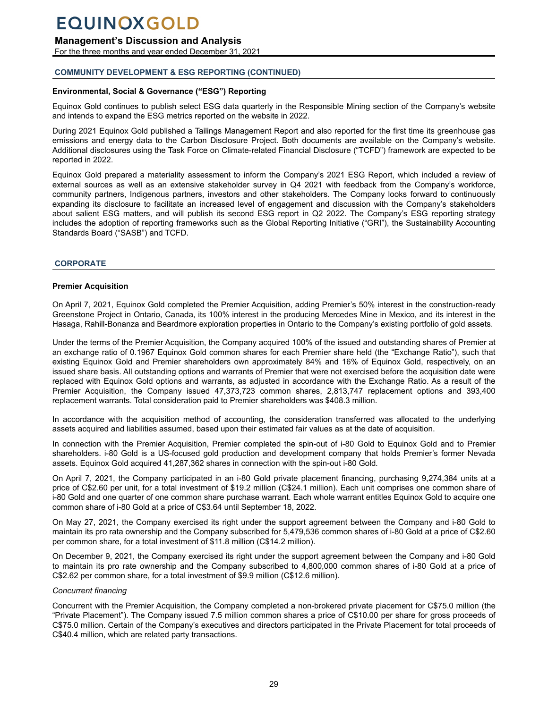## <span id="page-28-0"></span>**Management's Discussion and Analysis**

For the three months and year ended December 31, 2021

## **COMMUNITY DEVELOPMENT & ESG REPORTING (CONTINUED)**

## **Environmental, Social & Governance ("ESG") Reporting**

Equinox Gold continues to publish select ESG data quarterly in the Responsible Mining section of the Company's website and intends to expand the ESG metrics reported on the website in 2022.

During 2021 Equinox Gold published a Tailings Management Report and also reported for the first time its greenhouse gas emissions and energy data to the Carbon Disclosure Project. Both documents are available on the Company's website. Additional disclosures using the Task Force on Climate-related Financial Disclosure ("TCFD") framework are expected to be reported in 2022.

Equinox Gold prepared a materiality assessment to inform the Company's 2021 ESG Report, which included a review of external sources as well as an extensive stakeholder survey in Q4 2021 with feedback from the Company's workforce, community partners, Indigenous partners, investors and other stakeholders. The Company looks forward to continuously expanding its disclosure to facilitate an increased level of engagement and discussion with the Company's stakeholders about salient ESG matters, and will publish its second ESG report in Q2 2022. The Company's ESG reporting strategy includes the adoption of reporting frameworks such as the Global Reporting Initiative ("GRI"), the Sustainability Accounting Standards Board ("SASB") and TCFD.

### **CORPORATE**

### **Premier Acquisition**

On April 7, 2021, Equinox Gold completed the Premier Acquisition, adding Premier's 50% interest in the construction-ready Greenstone Project in Ontario, Canada, its 100% interest in the producing Mercedes Mine in Mexico, and its interest in the Hasaga, Rahill-Bonanza and Beardmore exploration properties in Ontario to the Company's existing portfolio of gold assets.

Under the terms of the Premier Acquisition, the Company acquired 100% of the issued and outstanding shares of Premier at an exchange ratio of 0.1967 Equinox Gold common shares for each Premier share held (the "Exchange Ratio"), such that existing Equinox Gold and Premier shareholders own approximately 84% and 16% of Equinox Gold, respectively, on an issued share basis. All outstanding options and warrants of Premier that were not exercised before the acquisition date were replaced with Equinox Gold options and warrants, as adjusted in accordance with the Exchange Ratio. As a result of the Premier Acquisition, the Company issued 47,373,723 common shares, 2,813,747 replacement options and 393,400 replacement warrants. Total consideration paid to Premier shareholders was \$408.3 million.

In accordance with the acquisition method of accounting, the consideration transferred was allocated to the underlying assets acquired and liabilities assumed, based upon their estimated fair values as at the date of acquisition.

In connection with the Premier Acquisition, Premier completed the spin-out of i-80 Gold to Equinox Gold and to Premier shareholders. i-80 Gold is a US-focused gold production and development company that holds Premier's former Nevada assets. Equinox Gold acquired 41,287,362 shares in connection with the spin-out i-80 Gold.

On April 7, 2021, the Company participated in an i-80 Gold private placement financing, purchasing 9,274,384 units at a price of C\$2.60 per unit, for a total investment of \$19.2 million (C\$24.1 million). Each unit comprises one common share of i-80 Gold and one quarter of one common share purchase warrant. Each whole warrant entitles Equinox Gold to acquire one common share of i-80 Gold at a price of C\$3.64 until September 18, 2022.

On May 27, 2021, the Company exercised its right under the support agreement between the Company and i-80 Gold to maintain its pro rata ownership and the Company subscribed for 5,479,536 common shares of i-80 Gold at a price of C\$2.60 per common share, for a total investment of \$11.8 million (C\$14.2 million).

On December 9, 2021, the Company exercised its right under the support agreement between the Company and i-80 Gold to maintain its pro rate ownership and the Company subscribed to 4,800,000 common shares of i-80 Gold at a price of C\$2.62 per common share, for a total investment of \$9.9 million (C\$12.6 million).

#### *Concurrent financing*

Concurrent with the Premier Acquisition, the Company completed a non-brokered private placement for C\$75.0 million (the "Private Placement"). The Company issued 7.5 million common shares a price of C\$10.00 per share for gross proceeds of C\$75.0 million. Certain of the Company's executives and directors participated in the Private Placement for total proceeds of C\$40.4 million, which are related party transactions.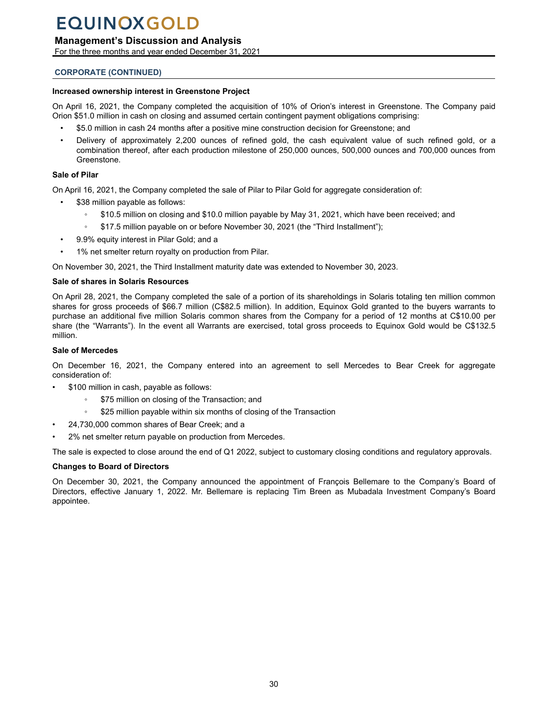## **Management's Discussion and Analysis**

For the three months and year ended December 31, 2021

### **CORPORATE (CONTINUED)**

#### **Increased ownership interest in Greenstone Project**

On April 16, 2021, the Company completed the acquisition of 10% of Orion's interest in Greenstone. The Company paid Orion \$51.0 million in cash on closing and assumed certain contingent payment obligations comprising:

- \$5.0 million in cash 24 months after a positive mine construction decision for Greenstone; and
- Delivery of approximately 2,200 ounces of refined gold, the cash equivalent value of such refined gold, or a combination thereof, after each production milestone of 250,000 ounces, 500,000 ounces and 700,000 ounces from Greenstone.

#### **Sale of Pilar**

On April 16, 2021, the Company completed the sale of Pilar to Pilar Gold for aggregate consideration of:

- \$38 million payable as follows:
	- \$10.5 million on closing and \$10.0 million payable by May 31, 2021, which have been received; and
	- \$17.5 million payable on or before November 30, 2021 (the "Third Installment");
- 9.9% equity interest in Pilar Gold; and a
- 1% net smelter return royalty on production from Pilar.

On November 30, 2021, the Third Installment maturity date was extended to November 30, 2023.

#### **Sale of shares in Solaris Resources**

On April 28, 2021, the Company completed the sale of a portion of its shareholdings in Solaris totaling ten million common shares for gross proceeds of \$66.7 million (C\$82.5 million). In addition, Equinox Gold granted to the buyers warrants to purchase an additional five million Solaris common shares from the Company for a period of 12 months at C\$10.00 per share (the "Warrants"). In the event all Warrants are exercised, total gross proceeds to Equinox Gold would be C\$132.5 million.

### **Sale of Mercedes**

On December 16, 2021, the Company entered into an agreement to sell Mercedes to Bear Creek for aggregate consideration of:

- \$100 million in cash, payable as follows:
	- \$75 million on closing of the Transaction; and
	- \$25 million payable within six months of closing of the Transaction
- 24,730,000 common shares of Bear Creek; and a
- 2% net smelter return payable on production from Mercedes.

The sale is expected to close around the end of Q1 2022, subject to customary closing conditions and regulatory approvals.

### **Changes to Board of Directors**

On December 30, 2021, the Company announced the appointment of François Bellemare to the Company's Board of Directors, effective January 1, 2022. Mr. Bellemare is replacing Tim Breen as Mubadala Investment Company's Board appointee.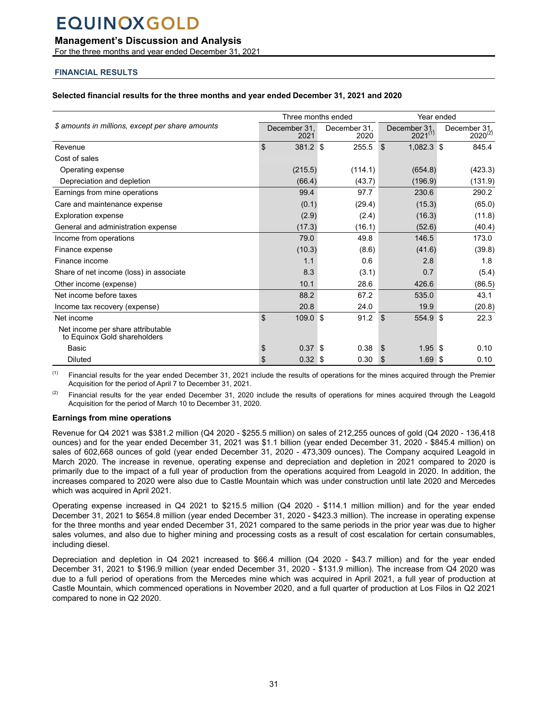## <span id="page-30-0"></span>**Management's Discussion and Analysis**

For the three months and year ended December 31, 2021

## **FINANCIAL RESULTS**

#### **Selected financial results for the three months and year ended December 31, 2021 and 2020**

|                                                                   |                              | Three months ended   | Year ended                   |                              |  |  |
|-------------------------------------------------------------------|------------------------------|----------------------|------------------------------|------------------------------|--|--|
| \$ amounts in millions, except per share amounts                  | December 31,<br>2021         | December 31.<br>2020 | December 31,<br>$2021^{(1)}$ | December 31.<br>$2020^{(2)}$ |  |  |
| Revenue                                                           | $\mathfrak{L}$<br>381.2 \$   | 255.5                | \$<br>1,082.3 \$             | 845.4                        |  |  |
| Cost of sales                                                     |                              |                      |                              |                              |  |  |
| Operating expense                                                 | (215.5)                      | (114.1)              | (654.8)                      | (423.3)                      |  |  |
| Depreciation and depletion                                        | (66.4)                       | (43.7)               | (196.9)                      | (131.9)                      |  |  |
| Earnings from mine operations                                     | 99.4                         | 97.7                 | 230.6                        | 290.2                        |  |  |
| Care and maintenance expense                                      | (0.1)                        | (29.4)               | (15.3)                       | (65.0)                       |  |  |
| <b>Exploration expense</b>                                        | (2.9)                        | (2.4)                | (16.3)                       | (11.8)                       |  |  |
| General and administration expense                                | (17.3)                       | (16.1)               | (52.6)                       | (40.4)                       |  |  |
| Income from operations                                            | 79.0                         | 49.8                 | 146.5                        | 173.0                        |  |  |
| Finance expense                                                   | (10.3)                       | (8.6)                | (41.6)                       | (39.8)                       |  |  |
| Finance income                                                    | 1.1                          | 0.6                  | 2.8                          | 1.8                          |  |  |
| Share of net income (loss) in associate                           | 8.3                          | (3.1)                | 0.7                          | (5.4)                        |  |  |
| Other income (expense)                                            | 10.1                         | 28.6                 | 426.6                        | (86.5)                       |  |  |
| Net income before taxes                                           | 88.2                         | 67.2                 | 535.0                        | 43.1                         |  |  |
| Income tax recovery (expense)                                     | 20.8                         | 24.0                 | 19.9                         | (20.8)                       |  |  |
| Net income                                                        | $\mathfrak{L}$<br>$109.0$ \$ | 91.2                 | $\mathfrak{L}$<br>554.9      | ∣\$<br>22.3                  |  |  |
| Net income per share attributable<br>to Equinox Gold shareholders |                              |                      |                              |                              |  |  |
| <b>Basic</b>                                                      | $0.37$ \$                    | 0.38                 | $1.95$ \$<br>\$.             | 0.10                         |  |  |
| <b>Diluted</b>                                                    | 0.32 <sup>5</sup>            | 0.30                 | \$<br>1.69                   | ∣\$<br>0.10                  |  |  |

(1) Financial results for the year ended December 31, 2021 include the results of operations for the mines acquired through the Premier Acquisition for the period of April 7 to December 31, 2021.

 $(2)$  Financial results for the year ended December 31, 2020 include the results of operations for mines acquired through the Leagold Acquisition for the period of March 10 to December 31, 2020.

### **Earnings from mine operations**

Revenue for Q4 2021 was \$381.2 million (Q4 2020 - \$255.5 million) on sales of 212,255 ounces of gold (Q4 2020 - 136,418 ounces) and for the year ended December 31, 2021 was \$1.1 billion (year ended December 31, 2020 - \$845.4 million) on sales of 602,668 ounces of gold (year ended December 31, 2020 - 473,309 ounces). The Company acquired Leagold in March 2020. The increase in revenue, operating expense and depreciation and depletion in 2021 compared to 2020 is primarily due to the impact of a full year of production from the operations acquired from Leagold in 2020. In addition, the increases compared to 2020 were also due to Castle Mountain which was under construction until late 2020 and Mercedes which was acquired in April 2021.

Operating expense increased in Q4 2021 to \$215.5 million (Q4 2020 - \$114.1 million million) and for the year ended December 31, 2021 to \$654.8 million (year ended December 31, 2020 - \$423.3 million). The increase in operating expense for the three months and year ended December 31, 2021 compared to the same periods in the prior year was due to higher sales volumes, and also due to higher mining and processing costs as a result of cost escalation for certain consumables, including diesel.

Depreciation and depletion in Q4 2021 increased to \$66.4 million (Q4 2020 - \$43.7 million) and for the year ended December 31, 2021 to \$196.9 million (year ended December 31, 2020 - \$131.9 million). The increase from Q4 2020 was due to a full period of operations from the Mercedes mine which was acquired in April 2021, a full year of production at Castle Mountain, which commenced operations in November 2020, and a full quarter of production at Los Filos in Q2 2021 compared to none in Q2 2020.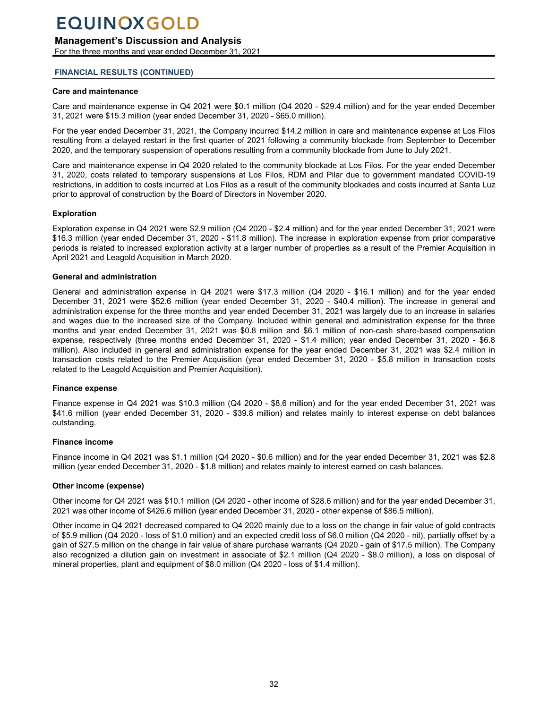## **Management's Discussion and Analysis**

For the three months and year ended December 31, 2021

### **FINANCIAL RESULTS (CONTINUED)**

#### **Care and maintenance**

Care and maintenance expense in Q4 2021 were \$0.1 million (Q4 2020 - \$29.4 million) and for the year ended December 31, 2021 were \$15.3 million (year ended December 31, 2020 - \$65.0 million).

For the year ended December 31, 2021, the Company incurred \$14.2 million in care and maintenance expense at Los Filos resulting from a delayed restart in the first quarter of 2021 following a community blockade from September to December 2020, and the temporary suspension of operations resulting from a community blockade from June to July 2021.

Care and maintenance expense in Q4 2020 related to the community blockade at Los Filos. For the year ended December 31, 2020, costs related to temporary suspensions at Los Filos, RDM and Pilar due to government mandated COVID-19 restrictions, in addition to costs incurred at Los Filos as a result of the community blockades and costs incurred at Santa Luz prior to approval of construction by the Board of Directors in November 2020.

### **Exploration**

Exploration expense in Q4 2021 were \$2.9 million (Q4 2020 - \$2.4 million) and for the year ended December 31, 2021 were \$16.3 million (year ended December 31, 2020 - \$11.8 million). The increase in exploration expense from prior comparative periods is related to increased exploration activity at a larger number of properties as a result of the Premier Acquisition in April 2021 and Leagold Acquisition in March 2020.

#### **General and administration**

General and administration expense in Q4 2021 were \$17.3 million (Q4 2020 - \$16.1 million) and for the year ended December 31, 2021 were \$52.6 million (year ended December 31, 2020 - \$40.4 million). The increase in general and administration expense for the three months and year ended December 31, 2021 was largely due to an increase in salaries and wages due to the increased size of the Company. Included within general and administration expense for the three months and year ended December 31, 2021 was \$0.8 million and \$6.1 million of non-cash share-based compensation expense, respectively (three months ended December 31, 2020 - \$1.4 million; year ended December 31, 2020 - \$6.8 million). Also included in general and administration expense for the year ended December 31, 2021 was \$2.4 million in transaction costs related to the Premier Acquisition (year ended December 31, 2020 - \$5.8 million in transaction costs related to the Leagold Acquisition and Premier Acquisition).

#### **Finance expense**

Finance expense in Q4 2021 was \$10.3 million (Q4 2020 - \$8.6 million) and for the year ended December 31, 2021 was \$41.6 million (year ended December 31, 2020 - \$39.8 million) and relates mainly to interest expense on debt balances outstanding.

### **Finance income**

Finance income in Q4 2021 was \$1.1 million (Q4 2020 - \$0.6 million) and for the year ended December 31, 2021 was \$2.8 million (year ended December 31, 2020 - \$1.8 million) and relates mainly to interest earned on cash balances.

#### **Other income (expense)**

Other income for Q4 2021 was \$10.1 million (Q4 2020 - other income of \$28.6 million) and for the year ended December 31, 2021 was other income of \$426.6 million (year ended December 31, 2020 - other expense of \$86.5 million).

Other income in Q4 2021 decreased compared to Q4 2020 mainly due to a loss on the change in fair value of gold contracts of \$5.9 million (Q4 2020 - loss of \$1.0 million) and an expected credit loss of \$6.0 million (Q4 2020 - nil), partially offset by a gain of \$27.5 million on the change in fair value of share purchase warrants (Q4 2020 - gain of \$17.5 million). The Company also recognized a dilution gain on investment in associate of \$2.1 million (Q4 2020 - \$8.0 million), a loss on disposal of mineral properties, plant and equipment of \$8.0 million (Q4 2020 - loss of \$1.4 million).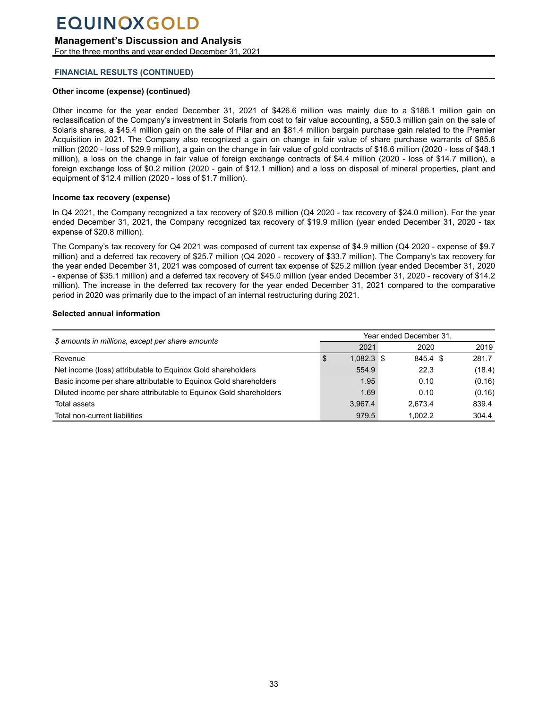## **Management's Discussion and Analysis**

For the three months and year ended December 31, 2021

### **FINANCIAL RESULTS (CONTINUED)**

### **Other income (expense) (continued)**

Other income for the year ended December 31, 2021 of \$426.6 million was mainly due to a \$186.1 million gain on reclassification of the Company's investment in Solaris from cost to fair value accounting, a \$50.3 million gain on the sale of Solaris shares, a \$45.4 million gain on the sale of Pilar and an \$81.4 million bargain purchase gain related to the Premier Acquisition in 2021. The Company also recognized a gain on change in fair value of share purchase warrants of \$85.8 million (2020 - loss of \$29.9 million), a gain on the change in fair value of gold contracts of \$16.6 million (2020 - loss of \$48.1 million), a loss on the change in fair value of foreign exchange contracts of \$4.4 million (2020 - loss of \$14.7 million), a foreign exchange loss of \$0.2 million (2020 - gain of \$12.1 million) and a loss on disposal of mineral properties, plant and equipment of \$12.4 million (2020 - loss of \$1.7 million).

### **Income tax recovery (expense)**

In Q4 2021, the Company recognized a tax recovery of \$20.8 million (Q4 2020 - tax recovery of \$24.0 million). For the year ended December 31, 2021, the Company recognized tax recovery of \$19.9 million (year ended December 31, 2020 - tax expense of \$20.8 million).

The Company's tax recovery for Q4 2021 was composed of current tax expense of \$4.9 million (Q4 2020 - expense of \$9.7 million) and a deferred tax recovery of \$25.7 million (Q4 2020 - recovery of \$33.7 million). The Company's tax recovery for the year ended December 31, 2021 was composed of current tax expense of \$25.2 million (year ended December 31, 2020 - expense of \$35.1 million) and a deferred tax recovery of \$45.0 million (year ended December 31, 2020 - recovery of \$14.2 million). The increase in the deferred tax recovery for the year ended December 31, 2021 compared to the comparative period in 2020 was primarily due to the impact of an internal restructuring during 2021.

#### **Selected annual information**

| \$ amounts in millions, except per share amounts                   |   | Year ended December 31, |          |  |        |  |  |  |  |
|--------------------------------------------------------------------|---|-------------------------|----------|--|--------|--|--|--|--|
|                                                                    |   | 2021                    | 2020     |  | 2019   |  |  |  |  |
| Revenue                                                            | S | $1,082.3$ \$            | 845.4 \$ |  | 281.7  |  |  |  |  |
| Net income (loss) attributable to Equinox Gold shareholders        |   | 554.9                   | 22.3     |  | (18.4) |  |  |  |  |
| Basic income per share attributable to Equinox Gold shareholders   |   | 1.95                    | 0.10     |  | (0.16) |  |  |  |  |
| Diluted income per share attributable to Equinox Gold shareholders |   | 1.69                    | 0.10     |  | (0.16) |  |  |  |  |
| Total assets                                                       |   | 3,967.4                 | 2.673.4  |  | 839.4  |  |  |  |  |
| Total non-current liabilities                                      |   | 979.5                   | 1.002.2  |  | 304.4  |  |  |  |  |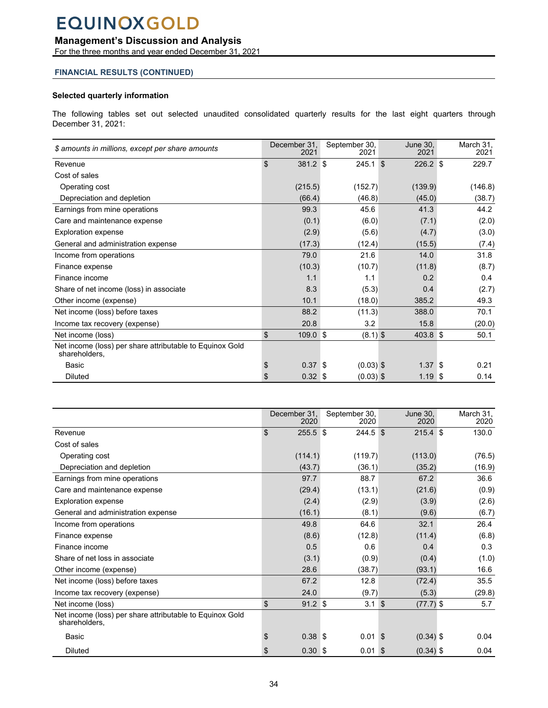## **Management's Discussion and Analysis**

For the three months and year ended December 31, 2021

### **FINANCIAL RESULTS (CONTINUED)**

### **Selected quarterly information**

The following tables set out selected unaudited consolidated quarterly results for the last eight quarters through December 31, 2021:

| \$ amounts in millions, except per share amounts                          | December 31.<br>2021 | September 30,<br>2021 | June 30,<br>2021 | March 31.<br>2021 |
|---------------------------------------------------------------------------|----------------------|-----------------------|------------------|-------------------|
| Revenue                                                                   | \$<br>381.2 \$       | $245.1$ \$            | $226.2$ \$       | 229.7             |
| Cost of sales                                                             |                      |                       |                  |                   |
| Operating cost                                                            | (215.5)              | (152.7)               | (139.9)          | (146.8)           |
| Depreciation and depletion                                                | (66.4)               | (46.8)                | (45.0)           | (38.7)            |
| Earnings from mine operations                                             | 99.3                 | 45.6                  | 41.3             | 44.2              |
| Care and maintenance expense                                              | (0.1)                | (6.0)                 | (7.1)            | (2.0)             |
| <b>Exploration expense</b>                                                | (2.9)                | (5.6)                 | (4.7)            | (3.0)             |
| General and administration expense                                        | (17.3)               | (12.4)                | (15.5)           | (7.4)             |
| Income from operations                                                    | 79.0                 | 21.6                  | 14.0             | 31.8              |
| Finance expense                                                           | (10.3)               | (10.7)                | (11.8)           | (8.7)             |
| Finance income                                                            | 1.1                  | 1.1                   | 0.2              | 0.4               |
| Share of net income (loss) in associate                                   | 8.3                  | (5.3)                 | 0.4              | (2.7)             |
| Other income (expense)                                                    | 10.1                 | (18.0)                | 385.2            | 49.3              |
| Net income (loss) before taxes                                            | 88.2                 | (11.3)                | 388.0            | 70.1              |
| Income tax recovery (expense)                                             | 20.8                 | 3.2                   | 15.8             | (20.0)            |
| Net income (loss)                                                         | \$<br>$109.0$ \$     | $(8.1)$ \$            | 403.8 \$         | 50.1              |
| Net income (loss) per share attributable to Equinox Gold<br>shareholders, |                      |                       |                  |                   |
| Basic                                                                     | \$<br>0.37           | $(0.03)$ \$<br>8      | 1.37             | ∣\$<br>0.21       |
| <b>Diluted</b>                                                            | \$<br>$0.32$ \$      | $(0.03)$ \$           | 1.19S            | 0.14              |

|                                                                           | December 31,<br>2020    | September 30,<br>2020 | June 30,<br>2020          | March 31,<br>2020 |
|---------------------------------------------------------------------------|-------------------------|-----------------------|---------------------------|-------------------|
| Revenue                                                                   | \$<br>$255.5$ \$        | $244.5$ \$            | $215.4$ \$                | 130.0             |
| Cost of sales                                                             |                         |                       |                           |                   |
| Operating cost                                                            | (114.1)                 | (119.7)               | (113.0)                   | (76.5)            |
| Depreciation and depletion                                                | (43.7)                  | (36.1)                | (35.2)                    | (16.9)            |
| Earnings from mine operations                                             | 97.7                    | 88.7                  | 67.2                      | 36.6              |
| Care and maintenance expense                                              | (29.4)                  | (13.1)                | (21.6)                    | (0.9)             |
| <b>Exploration expense</b>                                                | (2.4)                   | (2.9)                 | (3.9)                     | (2.6)             |
| General and administration expense                                        | (16.1)                  | (8.1)                 | (9.6)                     | (6.7)             |
| Income from operations                                                    | 49.8                    | 64.6                  | 32.1                      | 26.4              |
| Finance expense                                                           | (8.6)                   | (12.8)                | (11.4)                    | (6.8)             |
| Finance income                                                            | 0.5                     | 0.6                   | 0.4                       | 0.3               |
| Share of net loss in associate                                            | (3.1)                   | (0.9)                 | (0.4)                     | (1.0)             |
| Other income (expense)                                                    | 28.6                    | (38.7)                | (93.1)                    | 16.6              |
| Net income (loss) before taxes                                            | 67.2                    | 12.8                  | (72.4)                    | 35.5              |
| Income tax recovery (expense)                                             | 24.0                    | (9.7)                 | (5.3)                     | (29.8)            |
| Net income (loss)                                                         | \$<br>$91.2$ \$         | 3.1                   | $\sqrt{3}$<br>$(77.7)$ \$ | 5.7               |
| Net income (loss) per share attributable to Equinox Gold<br>shareholders, |                         |                       |                           |                   |
| Basic                                                                     | \$<br>0.38              | 0.01<br>\$            | $(0.34)$ \$<br>- S        | 0.04              |
| <b>Diluted</b>                                                            | \$<br>0.30 <sup>5</sup> | 0.01                  | $(0.34)$ \$<br><b>S</b>   | 0.04              |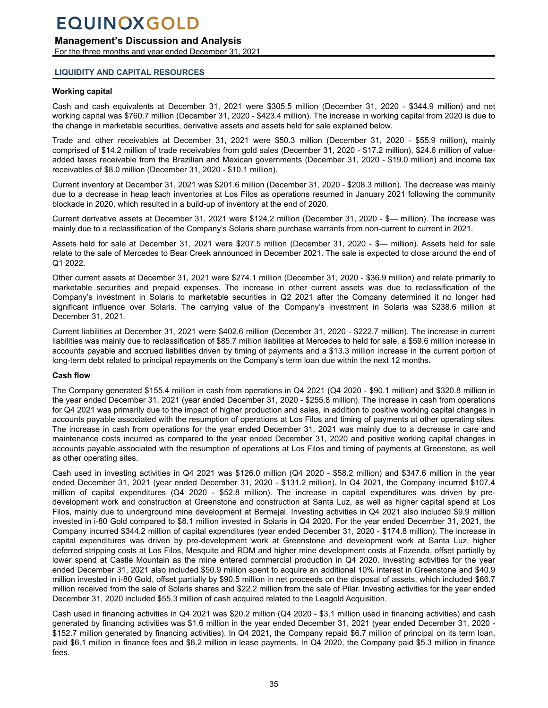## <span id="page-34-0"></span>**Management's Discussion and Analysis**

For the three months and year ended December 31, 2021

### **LIQUIDITY AND CAPITAL RESOURCES**

### **Working capital**

Cash and cash equivalents at December 31, 2021 were \$305.5 million (December 31, 2020 - \$344.9 million) and net working capital was \$760.7 million (December 31, 2020 - \$423.4 million). The increase in working capital from 2020 is due to the change in marketable securities, derivative assets and assets held for sale explained below.

Trade and other receivables at December 31, 2021 were \$50.3 million (December 31, 2020 - \$55.9 million), mainly comprised of \$14.2 million of trade receivables from gold sales (December 31, 2020 - \$17.2 million), \$24.6 million of valueadded taxes receivable from the Brazilian and Mexican governments (December 31, 2020 - \$19.0 million) and income tax receivables of \$8.0 million (December 31, 2020 - \$10.1 million).

Current inventory at December 31, 2021 was \$201.6 million (December 31, 2020 - \$208.3 million). The decrease was mainly due to a decrease in heap leach inventories at Los Filos as operations resumed in January 2021 following the community blockade in 2020, which resulted in a build-up of inventory at the end of 2020.

Current derivative assets at December 31, 2021 were \$124.2 million (December 31, 2020 - \$— million). The increase was mainly due to a reclassification of the Company's Solaris share purchase warrants from non-current to current in 2021.

Assets held for sale at December 31, 2021 were \$207.5 million (December 31, 2020 - \$— million). Assets held for sale relate to the sale of Mercedes to Bear Creek announced in December 2021. The sale is expected to close around the end of Q1 2022.

Other current assets at December 31, 2021 were \$274.1 million (December 31, 2020 - \$36.9 million) and relate primarily to marketable securities and prepaid expenses. The increase in other current assets was due to reclassification of the Company's investment in Solaris to marketable securities in Q2 2021 after the Company determined it no longer had significant influence over Solaris. The carrying value of the Company's investment in Solaris was \$238.6 million at December 31, 2021.

Current liabilities at December 31, 2021 were \$402.6 million (December 31, 2020 - \$222.7 million). The increase in current liabilities was mainly due to reclassification of \$85.7 million liabilities at Mercedes to held for sale, a \$59.6 million increase in accounts payable and accrued liabilities driven by timing of payments and a \$13.3 million increase in the current portion of long-term debt related to principal repayments on the Company's term loan due within the next 12 months.

### **Cash flow**

The Company generated \$155.4 million in cash from operations in Q4 2021 (Q4 2020 - \$90.1 million) and \$320.8 million in the year ended December 31, 2021 (year ended December 31, 2020 - \$255.8 million). The increase in cash from operations for Q4 2021 was primarily due to the impact of higher production and sales, in addition to positive working capital changes in accounts payable associated with the resumption of operations at Los Filos and timing of payments at other operating sites. The increase in cash from operations for the year ended December 31, 2021 was mainly due to a decrease in care and maintenance costs incurred as compared to the year ended December 31, 2020 and positive working capital changes in accounts payable associated with the resumption of operations at Los Filos and timing of payments at Greenstone, as well as other operating sites.

Cash used in investing activities in Q4 2021 was \$126.0 million (Q4 2020 - \$58.2 million) and \$347.6 million in the year ended December 31, 2021 (year ended December 31, 2020 - \$131.2 million). In Q4 2021, the Company incurred \$107.4 million of capital expenditures (Q4 2020 - \$52.8 million). The increase in capital expenditures was driven by predevelopment work and construction at Greenstone and construction at Santa Luz, as well as higher capital spend at Los Filos, mainly due to underground mine development at Bermejal. Investing activities in Q4 2021 also included \$9.9 million invested in i-80 Gold compared to \$8.1 million invested in Solaris in Q4 2020. For the year ended December 31, 2021, the Company incurred \$344.2 million of capital expenditures (year ended December 31, 2020 - \$174.8 million). The increase in capital expenditures was driven by pre-development work at Greenstone and development work at Santa Luz, higher deferred stripping costs at Los Filos, Mesquite and RDM and higher mine development costs at Fazenda, offset partially by lower spend at Castle Mountain as the mine entered commercial production in Q4 2020. Investing activities for the year ended December 31, 2021 also included \$50.9 million spent to acquire an additional 10% interest in Greenstone and \$40.9 million invested in i-80 Gold, offset partially by \$90.5 million in net proceeds on the disposal of assets, which included \$66.7 million received from the sale of Solaris shares and \$22.2 million from the sale of Pilar. Investing activities for the year ended December 31, 2020 included \$55.3 million of cash acquired related to the Leagold Acquisition.

Cash used in financing activities in Q4 2021 was \$20.2 million (Q4 2020 - \$3.1 million used in financing activities) and cash generated by financing activities was \$1.6 million in the year ended December 31, 2021 (year ended December 31, 2020 - \$152.7 million generated by financing activities). In Q4 2021, the Company repaid \$6.7 million of principal on its term loan, paid \$6.1 million in finance fees and \$8.2 million in lease payments. In Q4 2020, the Company paid \$5.3 million in finance fees.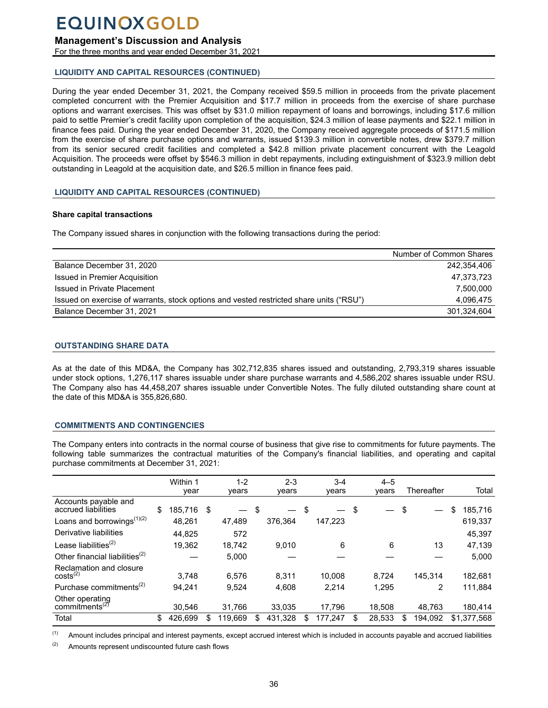## <span id="page-35-0"></span>**Management's Discussion and Analysis**

For the three months and year ended December 31, 2021

## **LIQUIDITY AND CAPITAL RESOURCES (CONTINUED)**

During the year ended December 31, 2021, the Company received \$59.5 million in proceeds from the private placement completed concurrent with the Premier Acquisition and \$17.7 million in proceeds from the exercise of share purchase options and warrant exercises. This was offset by \$31.0 million repayment of loans and borrowings, including \$17.6 million paid to settle Premier's credit facility upon completion of the acquisition, \$24.3 million of lease payments and \$22.1 million in finance fees paid. During the year ended December 31, 2020, the Company received aggregate proceeds of \$171.5 million from the exercise of share purchase options and warrants, issued \$139.3 million in convertible notes, drew \$379.7 million from its senior secured credit facilities and completed a \$42.8 million private placement concurrent with the Leagold Acquisition. The proceeds were offset by \$546.3 million in debt repayments, including extinguishment of \$323.9 million debt outstanding in Leagold at the acquisition date, and \$26.5 million in finance fees paid.

## **LIQUIDITY AND CAPITAL RESOURCES (CONTINUED)**

## **Share capital transactions**

The Company issued shares in conjunction with the following transactions during the period:

| Number of Common Shares |
|-------------------------|
| 242.354.406             |
| 47,373,723              |
| 7.500.000               |
| 4.096.475               |
| 301,324,604             |
|                         |

## **OUTSTANDING SHARE DATA**

As at the date of this MD&A, the Company has 302,712,835 shares issued and outstanding, 2,793,319 shares issuable under stock options, 1,276,117 shares issuable under share purchase warrants and 4,586,202 shares issuable under RSU. The Company also has 44,458,207 shares issuable under Convertible Notes. The fully diluted outstanding share count at the date of this MD&A is 355,826,680.

## **COMMITMENTS AND CONTINGENCIES**

The Company enters into contracts in the normal course of business that give rise to commitments for future payments. The following table summarizes the contractual maturities of the Company's financial liabilities, and operating and capital purchase commitments at December 31, 2021:

|                                               | Within 1<br>year | $1 - 2$<br>years |     | $2 - 3$<br>years         | $3 - 4$<br>years | $4 - 5$<br>years | Thereafter    | Total         |
|-----------------------------------------------|------------------|------------------|-----|--------------------------|------------------|------------------|---------------|---------------|
| Accounts payable and<br>accrued liabilities   | \$<br>185,716    | \$               | -\$ | $\overline{\phantom{0}}$ | \$               | \$               | \$            | \$<br>185,716 |
| Loans and borrowings $(1)(2)$                 | 48,261           | 47,489           |     | 376.364                  | 147,223          |                  |               | 619,337       |
| Derivative liabilities                        | 44.825           | 572              |     |                          |                  |                  |               | 45,397        |
| Lease liabilities $^{(2)}$                    | 19,362           | 18.742           |     | 9.010                    | 6                | 6                | 13            | 47,139        |
| Other financial liabilities $^{(2)}$          |                  | 5,000            |     |                          |                  |                  |               | 5,000         |
| Reclamation and closure<br>$costs^{(2)}$      | 3.748            | 6.576            |     | 8.311                    | 10.008           | 8.724            | 145.314       | 182,681       |
| Purchase commitments <sup>(2)</sup>           | 94.241           | 9,524            |     | 4,608                    | 2.214            | 1,295            | 2             | 111,884       |
| Other operating<br>commitments <sup>(2)</sup> | 30.546           | 31,766           |     | 33.035                   | 17,796           | 18.508           | 48.763        | 180,414       |
| Total                                         | \$<br>426.699    | \$<br>119.669    |     | 431.328                  | \$<br>177.247    | \$<br>28,533     | \$<br>194.092 | \$1.377.568   |

(1) Amount includes principal and interest payments, except accrued interest which is included in accounts payable and accrued liabilities

 $(2)$  Amounts represent undiscounted future cash flows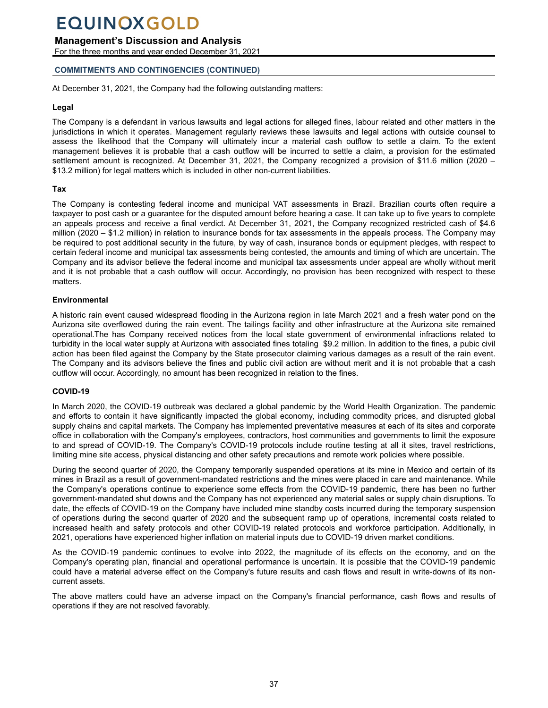## **Management's Discussion and Analysis**

For the three months and year ended December 31, 2021

## **COMMITMENTS AND CONTINGENCIES (CONTINUED)**

At December 31, 2021, the Company had the following outstanding matters:

### **Legal**

The Company is a defendant in various lawsuits and legal actions for alleged fines, labour related and other matters in the jurisdictions in which it operates. Management regularly reviews these lawsuits and legal actions with outside counsel to assess the likelihood that the Company will ultimately incur a material cash outflow to settle a claim. To the extent management believes it is probable that a cash outflow will be incurred to settle a claim, a provision for the estimated settlement amount is recognized. At December 31, 2021, the Company recognized a provision of \$11.6 million (2020 – \$13.2 million) for legal matters which is included in other non-current liabilities.

### **Tax**

The Company is contesting federal income and municipal VAT assessments in Brazil. Brazilian courts often require a taxpayer to post cash or a guarantee for the disputed amount before hearing a case. It can take up to five years to complete an appeals process and receive a final verdict. At December 31, 2021, the Company recognized restricted cash of \$4.6 million (2020 – \$1.2 million) in relation to insurance bonds for tax assessments in the appeals process. The Company may be required to post additional security in the future, by way of cash, insurance bonds or equipment pledges, with respect to certain federal income and municipal tax assessments being contested, the amounts and timing of which are uncertain. The Company and its advisor believe the federal income and municipal tax assessments under appeal are wholly without merit and it is not probable that a cash outflow will occur. Accordingly, no provision has been recognized with respect to these matters.

### **Environmental**

A historic rain event caused widespread flooding in the Aurizona region in late March 2021 and a fresh water pond on the Aurizona site overflowed during the rain event. The tailings facility and other infrastructure at the Aurizona site remained operational.The has Company received notices from the local state government of environmental infractions related to turbidity in the local water supply at Aurizona with associated fines totaling \$9.2 million. In addition to the fines, a pubic civil action has been filed against the Company by the State prosecutor claiming various damages as a result of the rain event. The Company and its advisors believe the fines and public civil action are without merit and it is not probable that a cash outflow will occur. Accordingly, no amount has been recognized in relation to the fines.

### **COVID-19**

In March 2020, the COVID-19 outbreak was declared a global pandemic by the World Health Organization. The pandemic and efforts to contain it have significantly impacted the global economy, including commodity prices, and disrupted global supply chains and capital markets. The Company has implemented preventative measures at each of its sites and corporate office in collaboration with the Company's employees, contractors, host communities and governments to limit the exposure to and spread of COVID-19. The Company's COVID-19 protocols include routine testing at all it sites, travel restrictions, limiting mine site access, physical distancing and other safety precautions and remote work policies where possible.

During the second quarter of 2020, the Company temporarily suspended operations at its mine in Mexico and certain of its mines in Brazil as a result of government-mandated restrictions and the mines were placed in care and maintenance. While the Company's operations continue to experience some effects from the COVID-19 pandemic, there has been no further government-mandated shut downs and the Company has not experienced any material sales or supply chain disruptions. To date, the effects of COVID-19 on the Company have included mine standby costs incurred during the temporary suspension of operations during the second quarter of 2020 and the subsequent ramp up of operations, incremental costs related to increased health and safety protocols and other COVID-19 related protocols and workforce participation. Additionally, in 2021, operations have experienced higher inflation on material inputs due to COVID-19 driven market conditions.

As the COVID-19 pandemic continues to evolve into 2022, the magnitude of its effects on the economy, and on the Company's operating plan, financial and operational performance is uncertain. It is possible that the COVID-19 pandemic could have a material adverse effect on the Company's future results and cash flows and result in write-downs of its noncurrent assets.

The above matters could have an adverse impact on the Company's financial performance, cash flows and results of operations if they are not resolved favorably.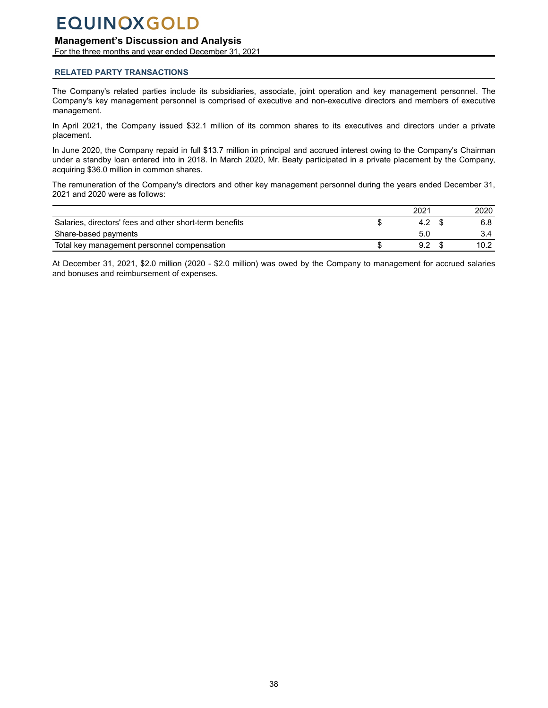## <span id="page-37-0"></span>**Management's Discussion and Analysis**

For the three months and year ended December 31, 2021

### **RELATED PARTY TRANSACTIONS**

The Company's related parties include its subsidiaries, associate, joint operation and key management personnel. The Company's key management personnel is comprised of executive and non-executive directors and members of executive management.

In April 2021, the Company issued \$32.1 million of its common shares to its executives and directors under a private placement.

In June 2020, the Company repaid in full \$13.7 million in principal and accrued interest owing to the Company's Chairman under a standby loan entered into in 2018. In March 2020, Mr. Beaty participated in a private placement by the Company, acquiring \$36.0 million in common shares.

The remuneration of the Company's directors and other key management personnel during the years ended December 31, 2021 and 2020 were as follows:

|                                                         | 202' | 2020 |
|---------------------------------------------------------|------|------|
| Salaries, directors' fees and other short-term benefits | 4.2  | 6.8  |
| Share-based payments                                    | 5.0  |      |
| Total key management personnel compensation             | . o  | 10.2 |

At December 31, 2021, \$2.0 million (2020 - \$2.0 million) was owed by the Company to management for accrued salaries and bonuses and reimbursement of expenses.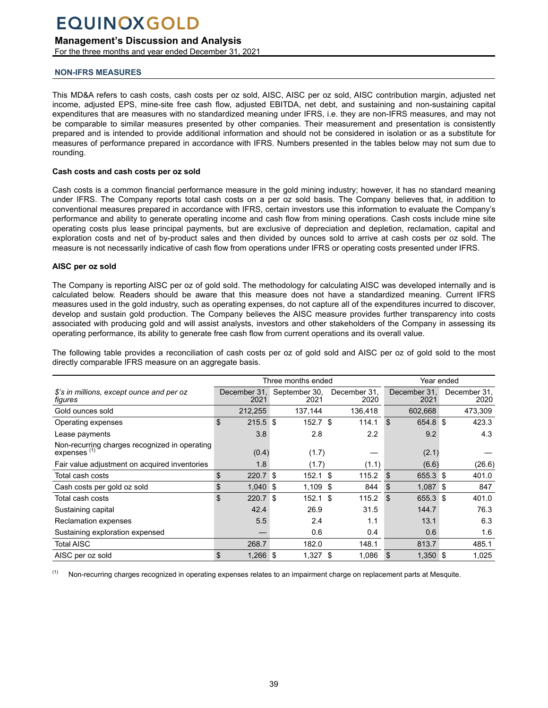## <span id="page-38-0"></span>**Management's Discussion and Analysis**

For the three months and year ended December 31, 2021

## **NON-IFRS MEASURES**

This MD&A refers to cash costs, cash costs per oz sold, AISC, AISC per oz sold, AISC contribution margin, adjusted net income, adjusted EPS, mine-site free cash flow, adjusted EBITDA, net debt, and sustaining and non-sustaining capital expenditures that are measures with no standardized meaning under IFRS, i.e. they are non-IFRS measures, and may not be comparable to similar measures presented by other companies. Their measurement and presentation is consistently prepared and is intended to provide additional information and should not be considered in isolation or as a substitute for measures of performance prepared in accordance with IFRS. Numbers presented in the tables below may not sum due to rounding.

### **Cash costs and cash costs per oz sold**

Cash costs is a common financial performance measure in the gold mining industry; however, it has no standard meaning under IFRS. The Company reports total cash costs on a per oz sold basis. The Company believes that, in addition to conventional measures prepared in accordance with IFRS, certain investors use this information to evaluate the Company's performance and ability to generate operating income and cash flow from mining operations. Cash costs include mine site operating costs plus lease principal payments, but are exclusive of depreciation and depletion, reclamation, capital and exploration costs and net of by-product sales and then divided by ounces sold to arrive at cash costs per oz sold. The measure is not necessarily indicative of cash flow from operations under IFRS or operating costs presented under IFRS.

#### **AISC per oz sold**

The Company is reporting AISC per oz of gold sold. The methodology for calculating AISC was developed internally and is calculated below. Readers should be aware that this measure does not have a standardized meaning. Current IFRS measures used in the gold industry, such as operating expenses, do not capture all of the expenditures incurred to discover, develop and sustain gold production. The Company believes the AISC measure provides further transparency into costs associated with producing gold and will assist analysts, investors and other stakeholders of the Company in assessing its operating performance, its ability to generate free cash flow from current operations and its overall value.

The following table provides a reconciliation of cash costs per oz of gold sold and AISC per oz of gold sold to the most directly comparable IFRS measure on an aggregate basis.

|                                                                 |                      | Year ended |                                             |     |                      |     |                      |  |                      |
|-----------------------------------------------------------------|----------------------|------------|---------------------------------------------|-----|----------------------|-----|----------------------|--|----------------------|
| \$'s in millions, except ounce and per oz<br>figures            | December 31.<br>2021 |            | Three months ended<br>September 30,<br>2021 |     | December 31,<br>2020 |     | December 31.<br>2021 |  | December 31,<br>2020 |
| Gold ounces sold                                                | 212,255              |            | 137,144                                     |     | 136,418              |     | 602,668              |  | 473,309              |
| Operating expenses                                              | \$<br>$215.5$ \$     |            | $152.7$ \$                                  |     | 114.1                | -\$ | 654.8 \$             |  | 423.3                |
| Lease payments                                                  | 3.8                  |            | 2.8                                         |     | 2.2                  |     | 9.2                  |  | 4.3                  |
| Non-recurring charges recognized in operating<br>expenses $(1)$ | (0.4)                |            | (1.7)                                       |     |                      |     | (2.1)                |  |                      |
| Fair value adjustment on acquired inventories                   | 1.8                  |            | (1.7)                                       |     | (1.1)                |     | (6.6)                |  | (26.6)               |
| Total cash costs                                                | \$<br>220.7          | -\$        | $152.1$ \$                                  |     | 115.2                | \$  | 655.3 \$             |  | 401.0                |
| Cash costs per gold oz sold                                     | \$<br>$1,040$ \$     |            | $1,109$ \$                                  |     | 844                  | -\$ | $1,087$ \$           |  | 847                  |
| Total cash costs                                                | \$<br>220.7          | -\$        | $152.1$ \$                                  |     | 115.2                | \$  | 655.3 \$             |  | 401.0                |
| Sustaining capital                                              | 42.4                 |            | 26.9                                        |     | 31.5                 |     | 144.7                |  | 76.3                 |
| Reclamation expenses                                            | 5.5                  |            | 2.4                                         |     | 1.1                  |     | 13.1                 |  | 6.3                  |
| Sustaining exploration expensed                                 |                      |            | 0.6                                         |     | 0.4                  |     | 0.6                  |  | 1.6                  |
| Total AISC                                                      | 268.7                |            | 182.0                                       |     | 148.1                |     | 813.7                |  | 485.1                |
| AISC per oz sold                                                | \$<br>1,266          | \$         | 1,327                                       | -\$ | 1,086                | \$  | $1,350$ \$           |  | 1,025                |

 $<sup>(1)</sup>$  Non-recurring charges recognized in operating expenses relates to an impairment charge on replacement parts at Mesquite.</sup>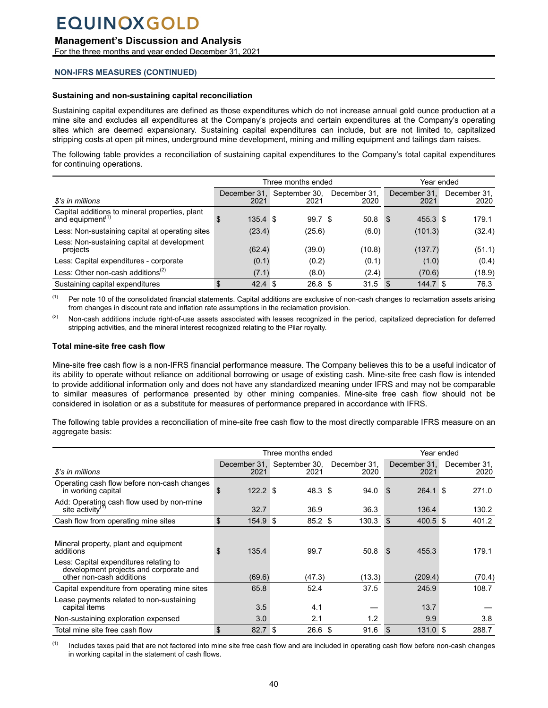## **Management's Discussion and Analysis**

For the three months and year ended December 31, 2021

## **NON-IFRS MEASURES (CONTINUED)**

## **Sustaining and non-sustaining capital reconciliation**

Sustaining capital expenditures are defined as those expenditures which do not increase annual gold ounce production at a mine site and excludes all expenditures at the Company's projects and certain expenditures at the Company's operating sites which are deemed expansionary. Sustaining capital expenditures can include, but are not limited to, capitalized stripping costs at open pit mines, underground mine development, mining and milling equipment and tailings dam raises.

The following table provides a reconciliation of sustaining capital expenditures to the Company's total capital expenditures for continuing operations.

|                                                                                |                      | Three months ended        |                      | Year ended           |                      |  |  |
|--------------------------------------------------------------------------------|----------------------|---------------------------|----------------------|----------------------|----------------------|--|--|
| \$'s in millions                                                               | December 31,<br>2021 | September 30,<br>2021     | December 31,<br>2020 | December 31.<br>2021 | December 31,<br>2020 |  |  |
| Capital additions to mineral properties, plant<br>and equipment <sup>(1)</sup> | $135.4$ \$<br>S      | 99.7 <sup>°</sup>         | 50.8                 | 455.3 \$<br>- \$     | 179.1                |  |  |
| Less: Non-sustaining capital at operating sites                                | (23.4)               | (25.6)                    | (6.0)                | (101.3)              | (32.4)               |  |  |
| Less: Non-sustaining capital at development<br>projects                        | (62.4)               | (39.0)                    | (10.8)               | (137.7)              | (51.1)               |  |  |
| Less: Capital expenditures - corporate                                         | (0.1)                | (0.2)                     | (0.1)                | (1.0)                | (0.4)                |  |  |
| Less: Other non-cash additions <sup>(2)</sup>                                  | (7.1)                | (8.0)                     | (2.4)                | (70.6)               | (18.9)               |  |  |
| Sustaining capital expenditures                                                | \$<br>42.4           | 26.8 <sup>5</sup><br>- \$ | 31.5                 | 144.7 \$<br>- \$     | 76.3                 |  |  |

<sup>(1)</sup> Per note 10 of the consolidated financial statements. Capital additions are exclusive of non-cash changes to reclamation assets arising from changes in discount rate and inflation rate assumptions in the reclamation provision.

(2) Non-cash additions include right-of-use assets associated with leases recognized in the period, capitalized depreciation for deferred stripping activities, and the mineral interest recognized relating to the Pilar royalty.

#### **Total mine-site free cash flow**

Mine-site free cash flow is a non-IFRS financial performance measure. The Company believes this to be a useful indicator of its ability to operate without reliance on additional borrowing or usage of existing cash. Mine-site free cash flow is intended to provide additional information only and does not have any standardized meaning under IFRS and may not be comparable to similar measures of performance presented by other mining companies. Mine-site free cash flow should not be considered in isolation or as a substitute for measures of performance prepared in accordance with IFRS.

The following table provides a reconciliation of mine-site free cash flow to the most directly comparable IFRS measure on an aggregate basis:

|                                                                                                                                                                    |                       | Three months ended                 | Year ended           |                          |                      |  |
|--------------------------------------------------------------------------------------------------------------------------------------------------------------------|-----------------------|------------------------------------|----------------------|--------------------------|----------------------|--|
| \$'s in millions                                                                                                                                                   | 2021                  | December 31, September 30,<br>2021 | December 31,<br>2020 | December 31.<br>2021     | December 31,<br>2020 |  |
| Operating cash flow before non-cash changes<br>in working capital                                                                                                  | $122.2$ \$<br>\$      | 48.3 <sup>5</sup>                  | 94.0                 | 264.1 \$<br><b>S</b>     | 271.0                |  |
| Add: Operating cash flow used by non-mine<br>site activity <sup>(<math>\eta</math>)</sup>                                                                          | 32.7                  | 36.9                               | 36.3                 | 136.4                    | 130.2                |  |
| Cash flow from operating mine sites                                                                                                                                | \$<br>154.9 \$        | 85.2 <sup>5</sup>                  | 130.3                | 400.5 \$<br>-\$          | 401.2                |  |
| Mineral property, plant and equipment<br>additions<br>Less: Capital expenditures relating to<br>development projects and corporate and<br>other non-cash additions | 135.4<br>\$<br>(69.6) | 99.7<br>(47.3)                     | 50.8<br>(13.3)       | 455.3<br>- \$<br>(209.4) | 179.1<br>(70.4)      |  |
| Capital expenditure from operating mine sites                                                                                                                      | 65.8                  | 52.4                               | 37.5                 | 245.9                    | 108.7                |  |
| Lease payments related to non-sustaining<br>capital items                                                                                                          | 3.5                   | 4.1                                |                      | 13.7                     |                      |  |
| Non-sustaining exploration expensed                                                                                                                                | 3.0                   | 2.1                                | 1.2                  | 9.9                      | 3.8                  |  |
| Total mine site free cash flow                                                                                                                                     | \$<br>82.7            | \$<br>26.6 <sup>5</sup>            | 91.6                 | \$<br>$131.0$ \$         | 288.7                |  |

(1) Includes taxes paid that are not factored into mine site free cash flow and are included in operating cash flow before non-cash changes in working capital in the statement of cash flows.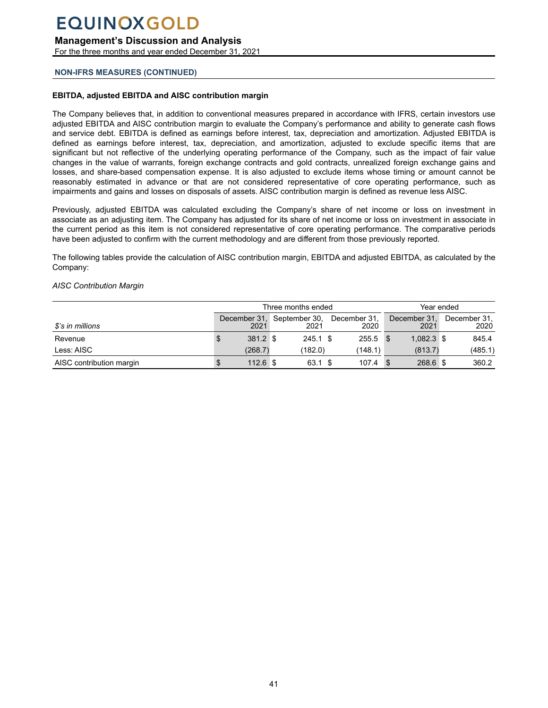### **Management's Discussion and Analysis**

For the three months and year ended December 31, 2021

### **NON-IFRS MEASURES (CONTINUED)**

#### **EBITDA, adjusted EBITDA and AISC contribution margin**

The Company believes that, in addition to conventional measures prepared in accordance with IFRS, certain investors use adjusted EBITDA and AISC contribution margin to evaluate the Company's performance and ability to generate cash flows and service debt. EBITDA is defined as earnings before interest, tax, depreciation and amortization. Adjusted EBITDA is defined as earnings before interest, tax, depreciation, and amortization, adjusted to exclude specific items that are significant but not reflective of the underlying operating performance of the Company, such as the impact of fair value changes in the value of warrants, foreign exchange contracts and gold contracts, unrealized foreign exchange gains and losses, and share-based compensation expense. It is also adjusted to exclude items whose timing or amount cannot be reasonably estimated in advance or that are not considered representative of core operating performance, such as impairments and gains and losses on disposals of assets. AISC contribution margin is defined as revenue less AISC.

Previously, adjusted EBITDA was calculated excluding the Company's share of net income or loss on investment in associate as an adjusting item. The Company has adjusted for its share of net income or loss on investment in associate in the current period as this item is not considered representative of core operating performance. The comparative periods have been adjusted to confirm with the current methodology and are different from those previously reported.

The following tables provide the calculation of AISC contribution margin, EBITDA and adjusted EBITDA, as calculated by the Company:

#### *AISC Contribution Margin*

|                          | Three months ended |            |                                    |  |                      |          | Year ended           |  |                      |  |
|--------------------------|--------------------|------------|------------------------------------|--|----------------------|----------|----------------------|--|----------------------|--|
| $\$$ 's in millions      |                    | 2021       | December 31, September 30,<br>2021 |  | December 31,<br>2020 |          | December 31,<br>2021 |  | December 31.<br>2020 |  |
| Revenue                  |                    | 381.2 \$   | $245.1$ \$                         |  | 255.5                | <b>S</b> | $1.082.3$ \$         |  | 845.4                |  |
| Less: AISC               |                    | (268.7)    | (182.0)                            |  | (148.1)              |          | (813.7)              |  | (485.1)              |  |
| AISC contribution margin |                    | $112.6$ \$ | 63.1 \$                            |  | 107.4                |          | 268.6 \$             |  | 360.2                |  |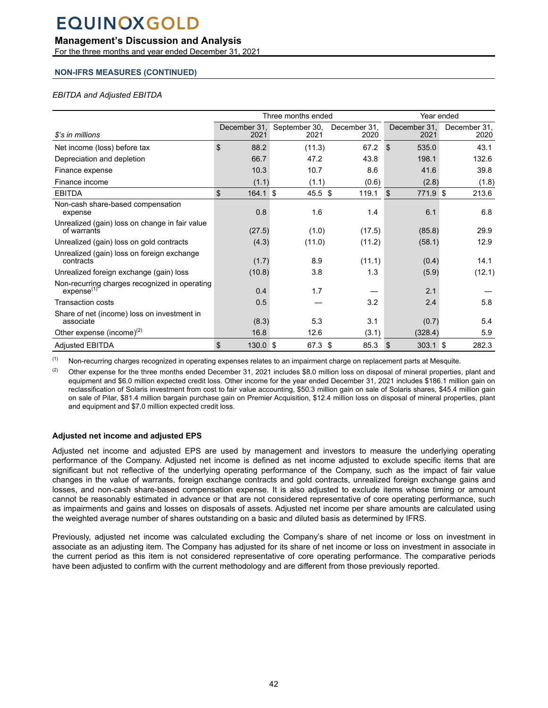## **Management's Discussion and Analysis**

For the three months and year ended December 31, 2021

### **NON-IFRS MEASURES (CONTINUED)**

### *EBITDA and Adjusted EBITDA*

|                                                                         |                      | Three months ended    |                      |                           | Year ended           |  |  |  |
|-------------------------------------------------------------------------|----------------------|-----------------------|----------------------|---------------------------|----------------------|--|--|--|
| \$'s in millions                                                        | December 31,<br>2021 | September 30,<br>2021 | December 31,<br>2020 | December 31,<br>2021      | December 31,<br>2020 |  |  |  |
| Net income (loss) before tax                                            | \$<br>88.2           | (11.3)                | 67.2                 | $\mathfrak{S}$<br>535.0   | 43.1                 |  |  |  |
| Depreciation and depletion                                              | 66.7                 | 47.2                  | 43.8                 | 198.1                     | 132.6                |  |  |  |
| Finance expense                                                         | 10.3                 | 10.7                  | 8.6                  | 41.6                      | 39.8                 |  |  |  |
| Finance income                                                          | (1.1)                | (1.1)                 | (0.6)                | (2.8)                     | (1.8)                |  |  |  |
| <b>EBITDA</b>                                                           | \$<br>$164.1$ \$     | 45.5 \$               | 119.1                | 771.9 \$<br>$\mathbf{\$}$ | 213.6                |  |  |  |
| Non-cash share-based compensation<br>expense                            | 0.8                  | 1.6                   | 1.4                  | 6.1                       | 6.8                  |  |  |  |
| Unrealized (gain) loss on change in fair value<br>of warrants           | (27.5)               | (1.0)                 | (17.5)               | (85.8)                    | 29.9                 |  |  |  |
| Unrealized (gain) loss on gold contracts                                | (4.3)                | (11.0)                | (11.2)               | (58.1)                    | 12.9                 |  |  |  |
| Unrealized (gain) loss on foreign exchange<br>contracts                 | (1.7)                | 8.9                   | (11.1)               | (0.4)                     | 14.1                 |  |  |  |
| Unrealized foreign exchange (gain) loss                                 | (10.8)               | 3.8                   | 1.3                  | (5.9)                     | (12.1)               |  |  |  |
| Non-recurring charges recognized in operating<br>expense <sup>(1)</sup> | 0.4                  | 1.7                   |                      | 2.1                       |                      |  |  |  |
| <b>Transaction costs</b>                                                | 0.5                  |                       | 3.2                  | 2.4                       | 5.8                  |  |  |  |
| Share of net (income) loss on investment in<br>associate                | (8.3)                | 5.3                   | 3.1                  | (0.7)                     | 5.4                  |  |  |  |
| Other expense (income) $(2)$                                            | 16.8                 | 12.6                  | (3.1)                | (328.4)                   | 5.9                  |  |  |  |
| <b>Adjusted EBITDA</b>                                                  | \$<br>$130.0$ \$     | 67.3 \$               | 85.3                 | $303.1$ \$<br>- \$        | 282.3                |  |  |  |

(1) Non-recurring charges recognized in operating expenses relates to an impairment charge on replacement parts at Mesquite.

(2) Other expense for the three months ended December 31, 2021 includes \$8.0 million loss on disposal of mineral properties, plant and equipment and \$6.0 million expected credit loss. Other income for the year ended December 31, 2021 includes \$186.1 million gain on reclassification of Solaris investment from cost to fair value accounting, \$50.3 million gain on sale of Solaris shares, \$45.4 million gain on sale of Pilar, \$81.4 million bargain purchase gain on Premier Acquisition, \$12.4 million loss on disposal of mineral properties, plant and equipment and \$7.0 million expected credit loss.

### **Adjusted net income and adjusted EPS**

Adjusted net income and adjusted EPS are used by management and investors to measure the underlying operating performance of the Company. Adjusted net income is defined as net income adjusted to exclude specific items that are significant but not reflective of the underlying operating performance of the Company, such as the impact of fair value changes in the value of warrants, foreign exchange contracts and gold contracts, unrealized foreign exchange gains and losses, and non-cash share-based compensation expense. It is also adjusted to exclude items whose timing or amount cannot be reasonably estimated in advance or that are not considered representative of core operating performance, such as impairments and gains and losses on disposals of assets. Adjusted net income per share amounts are calculated using the weighted average number of shares outstanding on a basic and diluted basis as determined by IFRS.

Previously, adjusted net income was calculated excluding the Company's share of net income or loss on investment in associate as an adjusting item. The Company has adjusted for its share of net income or loss on investment in associate in the current period as this item is not considered representative of core operating performance. The comparative periods have been adjusted to confirm with the current methodology and are different from those previously reported.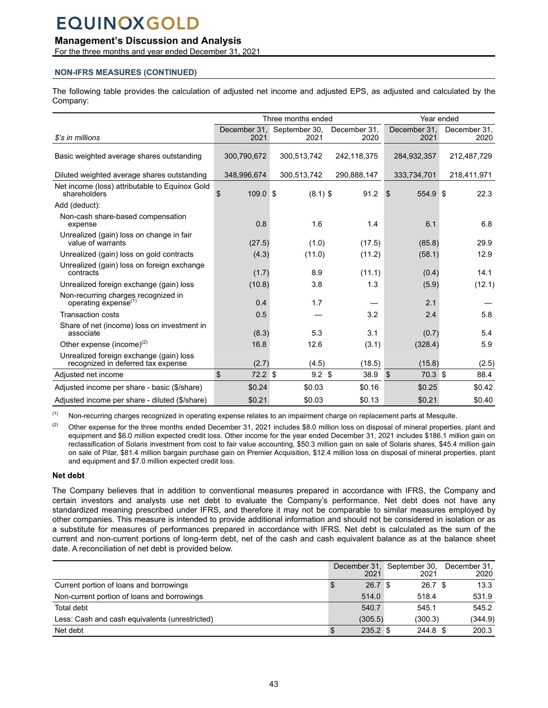## **Management's Discussion and Analysis**

For the three months and year ended December 31, 2021

## **NON-IFRS MEASURES (CONTINUED)**

The following table provides the calculation of adjusted net income and adjusted EPS, as adjusted and calculated by the Company:

|                                                                               | Three months ended   |                       |                      | Year ended                    |                      |
|-------------------------------------------------------------------------------|----------------------|-----------------------|----------------------|-------------------------------|----------------------|
| \$'s in millions                                                              | December 31.<br>2021 | September 30,<br>2021 | December 31.<br>2020 | December 31.<br>2021          | December 31,<br>2020 |
| Basic weighted average shares outstanding                                     | 300.790.672          | 300,513,742           | 242,118,375          | 284,932,357                   | 212,487,729          |
| Diluted weighted average shares outstanding                                   | 348,996,674          | 300,513,742           | 290,888,147          | 333,734,701                   | 218,411,971          |
| Net income (loss) attributable to Equinox Gold<br>shareholders                | \$<br>$109.0$ \$     | $(8.1)$ \$            | 91.2                 | 554.9 \$<br>-\$               | 22.3                 |
| Add (deduct):                                                                 |                      |                       |                      |                               |                      |
| Non-cash share-based compensation<br>expense                                  | 0.8                  | 1.6                   | 1.4                  | 6.1                           | 6.8                  |
| Unrealized (gain) loss on change in fair<br>value of warrants                 | (27.5)               | (1.0)                 | (17.5)               | (85.8)                        | 29.9                 |
| Unrealized (gain) loss on gold contracts                                      | (4.3)                | (11.0)                | (11.2)               | (58.1)                        | 12.9                 |
| Unrealized (gain) loss on foreign exchange<br>contracts                       | (1.7)                | 8.9                   | (11.1)               | (0.4)                         | 14.1                 |
| Unrealized foreign exchange (gain) loss                                       | (10.8)               | 3.8                   | 1.3                  | (5.9)                         | (12.1)               |
| Non-recurring charges recognized in<br>operating expense <sup>(1)</sup>       | 0.4                  | 1.7                   |                      | 2.1                           |                      |
| <b>Transaction costs</b>                                                      | 0.5                  |                       | 3.2                  | 2.4                           | 5.8                  |
| Share of net (income) loss on investment in<br>associate                      | (8.3)                | 5.3                   | 3.1                  | (0.7)                         | 5.4                  |
| Other expense (income) $(2)$                                                  | 16.8                 | 12.6                  | (3.1)                | (328.4)                       | 5.9                  |
| Unrealized foreign exchange (gain) loss<br>recognized in deferred tax expense | (2.7)                | (4.5)                 | (18.5)               | (15.8)                        | (2.5)                |
| Adjusted net income                                                           | \$<br>$72.2$ \$      | $9.2$ \$              | 38.9                 | 70.3 \$<br>$\mathbf{\hat{s}}$ | 88.4                 |
| Adjusted income per share - basic (\$/share)                                  | \$0.24               | \$0.03                | \$0.16               | \$0.25                        | \$0.42               |
| Adjusted income per share - diluted (\$/share)                                | \$0.21               | \$0.03                | \$0.13               | \$0.21                        | \$0.40               |

<sup>(1)</sup> Non-recurring charges recognized in operating expense relates to an impairment charge on replacement parts at Mesquite.

(2) Other expense for the three months ended December 31, 2021 includes \$8.0 million loss on disposal of mineral properties, plant and equipment and \$6.0 million expected credit loss. Other income for the year ended December 31, 2021 includes \$186.1 million gain on reclassification of Solaris investment from cost to fair value accounting, \$50.3 million gain on sale of Solaris shares, \$45.4 million gain on sale of Pilar, \$81.4 million bargain purchase gain on Premier Acquisition, \$12.4 million loss on disposal of mineral properties, plant and equipment and \$7.0 million expected credit loss.

## **Net debt**

The Company believes that in addition to conventional measures prepared in accordance with IFRS, the Company and certain investors and analysts use net debt to evaluate the Company's performance. Net debt does not have any standardized meaning prescribed under IFRS, and therefore it may not be comparable to similar measures employed by other companies. This measure is intended to provide additional information and should not be considered in isolation or as a substitute for measures of performances prepared in accordance with IFRS. Net debt is calculated as the sum of the current and non-current portions of long-term debt, net of the cash and cash equivalent balance as at the balance sheet date. A reconciliation of net debt is provided below.

|                                                | December 31,<br>2021   | September 30,<br>2021 | December 31,<br>2020 |
|------------------------------------------------|------------------------|-----------------------|----------------------|
| Current portion of loans and borrowings        | 26.7 <sup>8</sup><br>J | 26.7 <sup>°</sup>     | 13.3                 |
| Non-current portion of loans and borrowings    | 514.0                  | 518.4                 | 531.9                |
| Total debt                                     | 540.7                  | 545.1                 | 545.2                |
| Less: Cash and cash equivalents (unrestricted) | (305.5)                | (300.3)               | (344.9)              |
| Net debt                                       | $235.2$ \$             | 244.8 \$              | 200.3                |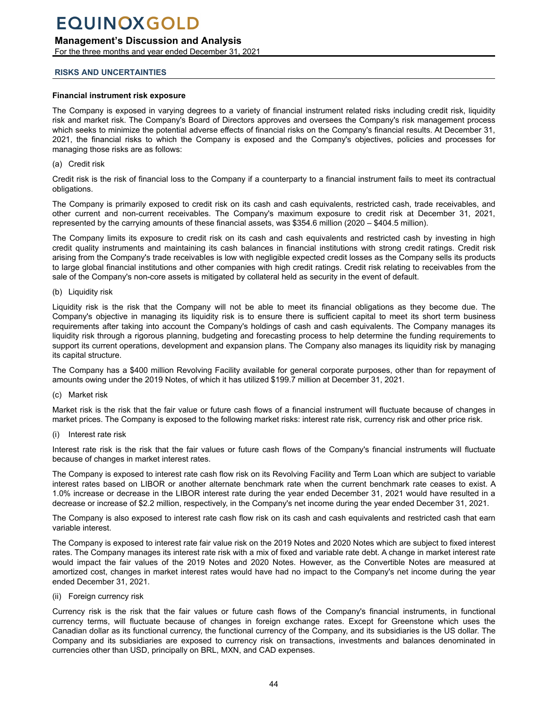## <span id="page-43-0"></span>**Management's Discussion and Analysis**

For the three months and year ended December 31, 2021

## **RISKS AND UNCERTAINTIES**

## **Financial instrument risk exposure**

The Company is exposed in varying degrees to a variety of financial instrument related risks including credit risk, liquidity risk and market risk. The Company's Board of Directors approves and oversees the Company's risk management process which seeks to minimize the potential adverse effects of financial risks on the Company's financial results. At December 31, 2021, the financial risks to which the Company is exposed and the Company's objectives, policies and processes for managing those risks are as follows:

## (a) Credit risk

Credit risk is the risk of financial loss to the Company if a counterparty to a financial instrument fails to meet its contractual obligations.

The Company is primarily exposed to credit risk on its cash and cash equivalents, restricted cash, trade receivables, and other current and non-current receivables. The Company's maximum exposure to credit risk at December 31, 2021, represented by the carrying amounts of these financial assets, was \$354.6 million (2020 – \$404.5 million).

The Company limits its exposure to credit risk on its cash and cash equivalents and restricted cash by investing in high credit quality instruments and maintaining its cash balances in financial institutions with strong credit ratings. Credit risk arising from the Company's trade receivables is low with negligible expected credit losses as the Company sells its products to large global financial institutions and other companies with high credit ratings. Credit risk relating to receivables from the sale of the Company's non-core assets is mitigated by collateral held as security in the event of default.

(b) Liquidity risk

Liquidity risk is the risk that the Company will not be able to meet its financial obligations as they become due. The Company's objective in managing its liquidity risk is to ensure there is sufficient capital to meet its short term business requirements after taking into account the Company's holdings of cash and cash equivalents. The Company manages its liquidity risk through a rigorous planning, budgeting and forecasting process to help determine the funding requirements to support its current operations, development and expansion plans. The Company also manages its liquidity risk by managing its capital structure.

The Company has a \$400 million Revolving Facility available for general corporate purposes, other than for repayment of amounts owing under the 2019 Notes, of which it has utilized \$199.7 million at December 31, 2021.

(c) Market risk

Market risk is the risk that the fair value or future cash flows of a financial instrument will fluctuate because of changes in market prices. The Company is exposed to the following market risks: interest rate risk, currency risk and other price risk.

(i) Interest rate risk

Interest rate risk is the risk that the fair values or future cash flows of the Company's financial instruments will fluctuate because of changes in market interest rates.

The Company is exposed to interest rate cash flow risk on its Revolving Facility and Term Loan which are subject to variable interest rates based on LIBOR or another alternate benchmark rate when the current benchmark rate ceases to exist. A 1.0% increase or decrease in the LIBOR interest rate during the year ended December 31, 2021 would have resulted in a decrease or increase of \$2.2 million, respectively, in the Company's net income during the year ended December 31, 2021.

The Company is also exposed to interest rate cash flow risk on its cash and cash equivalents and restricted cash that earn variable interest.

The Company is exposed to interest rate fair value risk on the 2019 Notes and 2020 Notes which are subject to fixed interest rates. The Company manages its interest rate risk with a mix of fixed and variable rate debt. A change in market interest rate would impact the fair values of the 2019 Notes and 2020 Notes. However, as the Convertible Notes are measured at amortized cost, changes in market interest rates would have had no impact to the Company's net income during the year ended December 31, 2021.

(ii) Foreign currency risk

Currency risk is the risk that the fair values or future cash flows of the Company's financial instruments, in functional currency terms, will fluctuate because of changes in foreign exchange rates. Except for Greenstone which uses the Canadian dollar as its functional currency, the functional currency of the Company, and its subsidiaries is the US dollar. The Company and its subsidiaries are exposed to currency risk on transactions, investments and balances denominated in currencies other than USD, principally on BRL, MXN, and CAD expenses.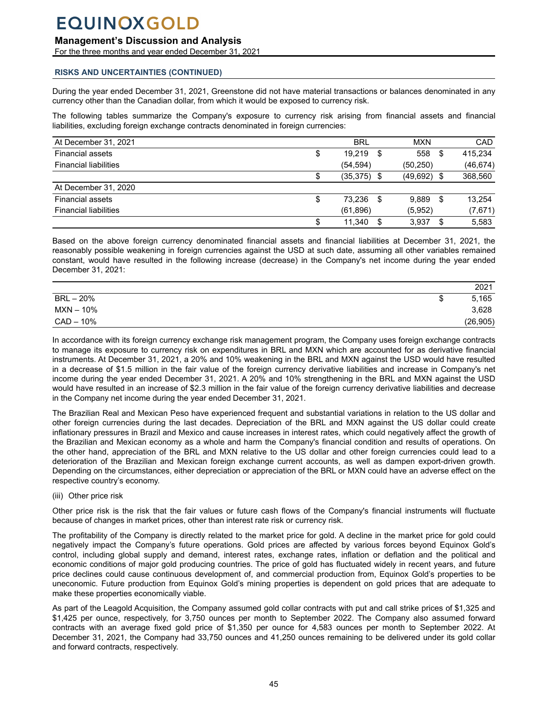## **Management's Discussion and Analysis**

For the three months and year ended December 31, 2021

### **RISKS AND UNCERTAINTIES (CONTINUED)**

During the year ended December 31, 2021, Greenstone did not have material transactions or balances denominated in any currency other than the Canadian dollar, from which it would be exposed to currency risk.

The following tables summarize the Company's exposure to currency risk arising from financial assets and financial liabilities, excluding foreign exchange contracts denominated in foreign currencies:

| At December 31, 2021         |    | <b>BRL</b>    | <b>MXN</b> |      | CAD       |
|------------------------------|----|---------------|------------|------|-----------|
| <b>Financial assets</b>      | \$ | 19.219<br>\$  | 558        | S    | 415.234   |
| <b>Financial liabilities</b> |    | (54, 594)     | (50, 250)  |      | (46, 674) |
|                              | \$ | $(35,375)$ \$ | (49,692)   | - \$ | 368,560   |
| At December 31, 2020         |    |               |            |      |           |
| <b>Financial assets</b>      | \$ | 73.236<br>S   | 9.889      | S    | 13.254    |
| <b>Financial liabilities</b> |    | (61, 896)     | (5,952)    |      | (7,671)   |
|                              | S  | 11.340        | 3,937      | S    | 5.583     |

Based on the above foreign currency denominated financial assets and financial liabilities at December 31, 2021, the reasonably possible weakening in foreign currencies against the USD at such date, assuming all other variables remained constant, would have resulted in the following increase (decrease) in the Company's net income during the year ended December 31, 2021:

|             |   | 2021      |
|-------------|---|-----------|
| $BRL - 20%$ | ѡ | 5,165     |
| MXN – 10%   |   | 3,628     |
| CAD - 10%   |   | (26, 905) |

In accordance with its foreign currency exchange risk management program, the Company uses foreign exchange contracts to manage its exposure to currency risk on expenditures in BRL and MXN which are accounted for as derivative financial instruments. At December 31, 2021, a 20% and 10% weakening in the BRL and MXN against the USD would have resulted in a decrease of \$1.5 million in the fair value of the foreign currency derivative liabilities and increase in Company's net income during the year ended December 31, 2021. A 20% and 10% strengthening in the BRL and MXN against the USD would have resulted in an increase of \$2.3 million in the fair value of the foreign currency derivative liabilities and decrease in the Company net income during the year ended December 31, 2021.

The Brazilian Real and Mexican Peso have experienced frequent and substantial variations in relation to the US dollar and other foreign currencies during the last decades. Depreciation of the BRL and MXN against the US dollar could create inflationary pressures in Brazil and Mexico and cause increases in interest rates, which could negatively affect the growth of the Brazilian and Mexican economy as a whole and harm the Company's financial condition and results of operations. On the other hand, appreciation of the BRL and MXN relative to the US dollar and other foreign currencies could lead to a deterioration of the Brazilian and Mexican foreign exchange current accounts, as well as dampen export-driven growth. Depending on the circumstances, either depreciation or appreciation of the BRL or MXN could have an adverse effect on the respective country's economy.

### (iii) Other price risk

Other price risk is the risk that the fair values or future cash flows of the Company's financial instruments will fluctuate because of changes in market prices, other than interest rate risk or currency risk.

The profitability of the Company is directly related to the market price for gold. A decline in the market price for gold could negatively impact the Company's future operations. Gold prices are affected by various forces beyond Equinox Gold's control, including global supply and demand, interest rates, exchange rates, inflation or deflation and the political and economic conditions of major gold producing countries. The price of gold has fluctuated widely in recent years, and future price declines could cause continuous development of, and commercial production from, Equinox Gold's properties to be uneconomic. Future production from Equinox Gold's mining properties is dependent on gold prices that are adequate to make these properties economically viable.

As part of the Leagold Acquisition, the Company assumed gold collar contracts with put and call strike prices of \$1,325 and \$1,425 per ounce, respectively, for 3,750 ounces per month to September 2022. The Company also assumed forward contracts with an average fixed gold price of \$1,350 per ounce for 4,583 ounces per month to September 2022. At December 31, 2021, the Company had 33,750 ounces and 41,250 ounces remaining to be delivered under its gold collar and forward contracts, respectively.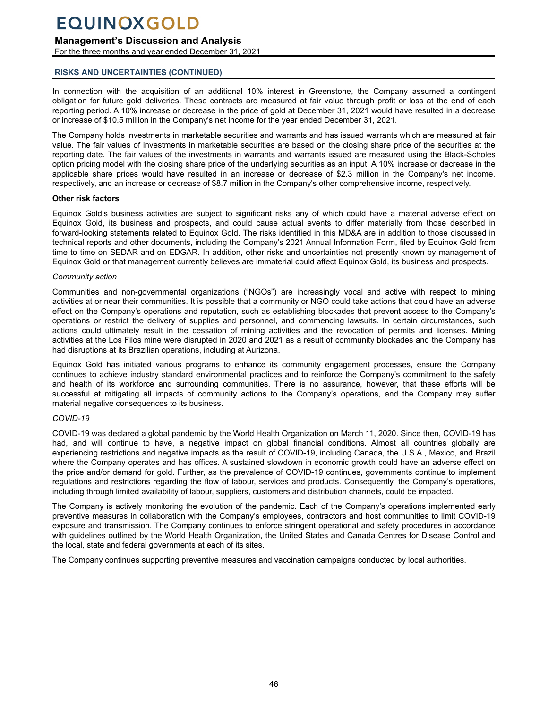## **Management's Discussion and Analysis**

For the three months and year ended December 31, 2021

### **RISKS AND UNCERTAINTIES (CONTINUED)**

In connection with the acquisition of an additional 10% interest in Greenstone, the Company assumed a contingent obligation for future gold deliveries. These contracts are measured at fair value through profit or loss at the end of each reporting period. A 10% increase or decrease in the price of gold at December 31, 2021 would have resulted in a decrease or increase of \$10.5 million in the Company's net income for the year ended December 31, 2021.

The Company holds investments in marketable securities and warrants and has issued warrants which are measured at fair value. The fair values of investments in marketable securities are based on the closing share price of the securities at the reporting date. The fair values of the investments in warrants and warrants issued are measured using the Black-Scholes option pricing model with the closing share price of the underlying securities as an input. A 10% increase or decrease in the applicable share prices would have resulted in an increase or decrease of \$2.3 million in the Company's net income, respectively, and an increase or decrease of \$8.7 million in the Company's other comprehensive income, respectively.

### **Other risk factors**

Equinox Gold's business activities are subject to significant risks any of which could have a material adverse effect on Equinox Gold, its business and prospects, and could cause actual events to differ materially from those described in forward-looking statements related to Equinox Gold. The risks identified in this MD&A are in addition to those discussed in technical reports and other documents, including the Company's 2021 Annual Information Form, filed by Equinox Gold from time to time on SEDAR and on EDGAR. In addition, other risks and uncertainties not presently known by management of Equinox Gold or that management currently believes are immaterial could affect Equinox Gold, its business and prospects.

#### *Community action*

Communities and non-governmental organizations ("NGOs") are increasingly vocal and active with respect to mining activities at or near their communities. It is possible that a community or NGO could take actions that could have an adverse effect on the Company's operations and reputation, such as establishing blockades that prevent access to the Company's operations or restrict the delivery of supplies and personnel, and commencing lawsuits. In certain circumstances, such actions could ultimately result in the cessation of mining activities and the revocation of permits and licenses. Mining activities at the Los Filos mine were disrupted in 2020 and 2021 as a result of community blockades and the Company has had disruptions at its Brazilian operations, including at Aurizona.

Equinox Gold has initiated various programs to enhance its community engagement processes, ensure the Company continues to achieve industry standard environmental practices and to reinforce the Company's commitment to the safety and health of its workforce and surrounding communities. There is no assurance, however, that these efforts will be successful at mitigating all impacts of community actions to the Company's operations, and the Company may suffer material negative consequences to its business.

### *COVID-19*

COVID-19 was declared a global pandemic by the World Health Organization on March 11, 2020. Since then, COVID-19 has had, and will continue to have, a negative impact on global financial conditions. Almost all countries globally are experiencing restrictions and negative impacts as the result of COVID-19, including Canada, the U.S.A., Mexico, and Brazil where the Company operates and has offices. A sustained slowdown in economic growth could have an adverse effect on the price and/or demand for gold. Further, as the prevalence of COVID-19 continues, governments continue to implement regulations and restrictions regarding the flow of labour, services and products. Consequently, the Company's operations, including through limited availability of labour, suppliers, customers and distribution channels, could be impacted.

The Company is actively monitoring the evolution of the pandemic. Each of the Company's operations implemented early preventive measures in collaboration with the Company's employees, contractors and host communities to limit COVID-19 exposure and transmission. The Company continues to enforce stringent operational and safety procedures in accordance with guidelines outlined by the World Health Organization, the United States and Canada Centres for Disease Control and the local, state and federal governments at each of its sites.

The Company continues supporting preventive measures and vaccination campaigns conducted by local authorities.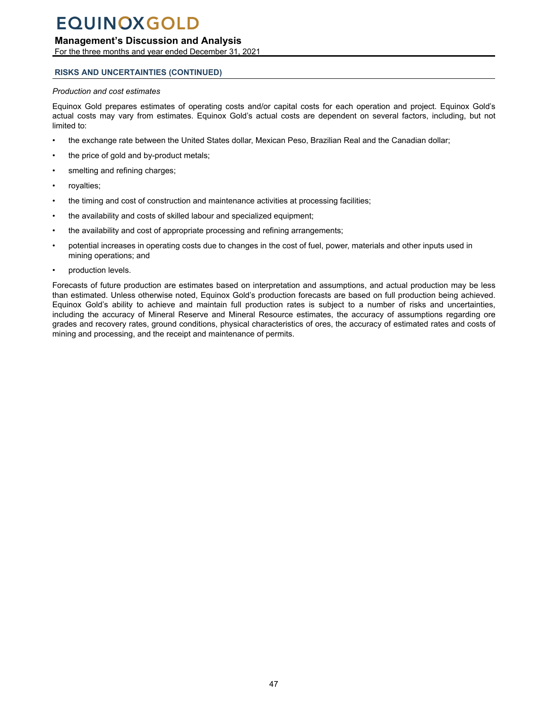## **Management's Discussion and Analysis**

For the three months and year ended December 31, 2021

### **RISKS AND UNCERTAINTIES (CONTINUED)**

#### *Production and cost estimates*

Equinox Gold prepares estimates of operating costs and/or capital costs for each operation and project. Equinox Gold's actual costs may vary from estimates. Equinox Gold's actual costs are dependent on several factors, including, but not limited to:

- the exchange rate between the United States dollar, Mexican Peso, Brazilian Real and the Canadian dollar;
- the price of gold and by-product metals;
- smelting and refining charges;
- royalties;
- the timing and cost of construction and maintenance activities at processing facilities;
- the availability and costs of skilled labour and specialized equipment;
- the availability and cost of appropriate processing and refining arrangements;
- potential increases in operating costs due to changes in the cost of fuel, power, materials and other inputs used in mining operations; and
- production levels.

Forecasts of future production are estimates based on interpretation and assumptions, and actual production may be less than estimated. Unless otherwise noted, Equinox Gold's production forecasts are based on full production being achieved. Equinox Gold's ability to achieve and maintain full production rates is subject to a number of risks and uncertainties, including the accuracy of Mineral Reserve and Mineral Resource estimates, the accuracy of assumptions regarding ore grades and recovery rates, ground conditions, physical characteristics of ores, the accuracy of estimated rates and costs of mining and processing, and the receipt and maintenance of permits.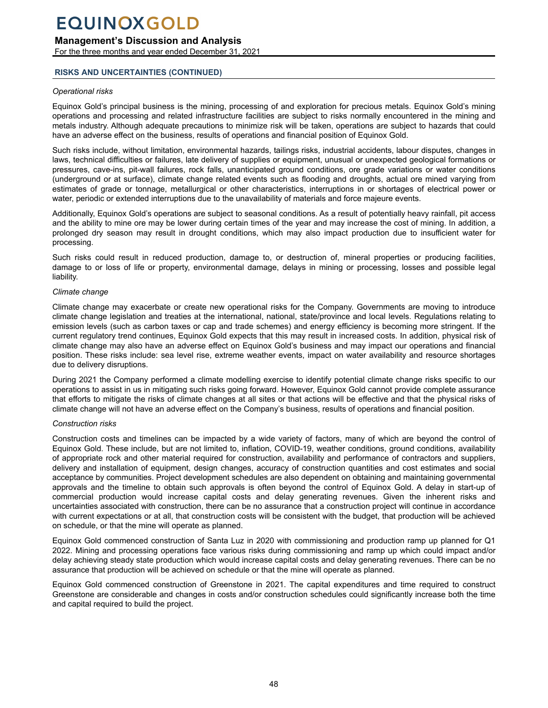## **Management's Discussion and Analysis**

For the three months and year ended December 31, 2021

### **RISKS AND UNCERTAINTIES (CONTINUED)**

#### *Operational risks*

Equinox Gold's principal business is the mining, processing of and exploration for precious metals. Equinox Gold's mining operations and processing and related infrastructure facilities are subject to risks normally encountered in the mining and metals industry. Although adequate precautions to minimize risk will be taken, operations are subject to hazards that could have an adverse effect on the business, results of operations and financial position of Equinox Gold.

Such risks include, without limitation, environmental hazards, tailings risks, industrial accidents, labour disputes, changes in laws, technical difficulties or failures, late delivery of supplies or equipment, unusual or unexpected geological formations or pressures, cave-ins, pit-wall failures, rock falls, unanticipated ground conditions, ore grade variations or water conditions (underground or at surface), climate change related events such as flooding and droughts, actual ore mined varying from estimates of grade or tonnage, metallurgical or other characteristics, interruptions in or shortages of electrical power or water, periodic or extended interruptions due to the unavailability of materials and force majeure events.

Additionally, Equinox Gold's operations are subject to seasonal conditions. As a result of potentially heavy rainfall, pit access and the ability to mine ore may be lower during certain times of the year and may increase the cost of mining. In addition, a prolonged dry season may result in drought conditions, which may also impact production due to insufficient water for processing.

Such risks could result in reduced production, damage to, or destruction of, mineral properties or producing facilities, damage to or loss of life or property, environmental damage, delays in mining or processing, losses and possible legal liability.

#### *Climate change*

Climate change may exacerbate or create new operational risks for the Company. Governments are moving to introduce climate change legislation and treaties at the international, national, state/province and local levels. Regulations relating to emission levels (such as carbon taxes or cap and trade schemes) and energy efficiency is becoming more stringent. If the current regulatory trend continues, Equinox Gold expects that this may result in increased costs. In addition, physical risk of climate change may also have an adverse effect on Equinox Gold's business and may impact our operations and financial position. These risks include: sea level rise, extreme weather events, impact on water availability and resource shortages due to delivery disruptions.

During 2021 the Company performed a climate modelling exercise to identify potential climate change risks specific to our operations to assist in us in mitigating such risks going forward. However, Equinox Gold cannot provide complete assurance that efforts to mitigate the risks of climate changes at all sites or that actions will be effective and that the physical risks of climate change will not have an adverse effect on the Company's business, results of operations and financial position.

### *Construction risks*

Construction costs and timelines can be impacted by a wide variety of factors, many of which are beyond the control of Equinox Gold. These include, but are not limited to, inflation, COVID-19, weather conditions, ground conditions, availability of appropriate rock and other material required for construction, availability and performance of contractors and suppliers, delivery and installation of equipment, design changes, accuracy of construction quantities and cost estimates and social acceptance by communities. Project development schedules are also dependent on obtaining and maintaining governmental approvals and the timeline to obtain such approvals is often beyond the control of Equinox Gold. A delay in start-up of commercial production would increase capital costs and delay generating revenues. Given the inherent risks and uncertainties associated with construction, there can be no assurance that a construction project will continue in accordance with current expectations or at all, that construction costs will be consistent with the budget, that production will be achieved on schedule, or that the mine will operate as planned.

Equinox Gold commenced construction of Santa Luz in 2020 with commissioning and production ramp up planned for Q1 2022. Mining and processing operations face various risks during commissioning and ramp up which could impact and/or delay achieving steady state production which would increase capital costs and delay generating revenues. There can be no assurance that production will be achieved on schedule or that the mine will operate as planned.

Equinox Gold commenced construction of Greenstone in 2021. The capital expenditures and time required to construct Greenstone are considerable and changes in costs and/or construction schedules could significantly increase both the time and capital required to build the project.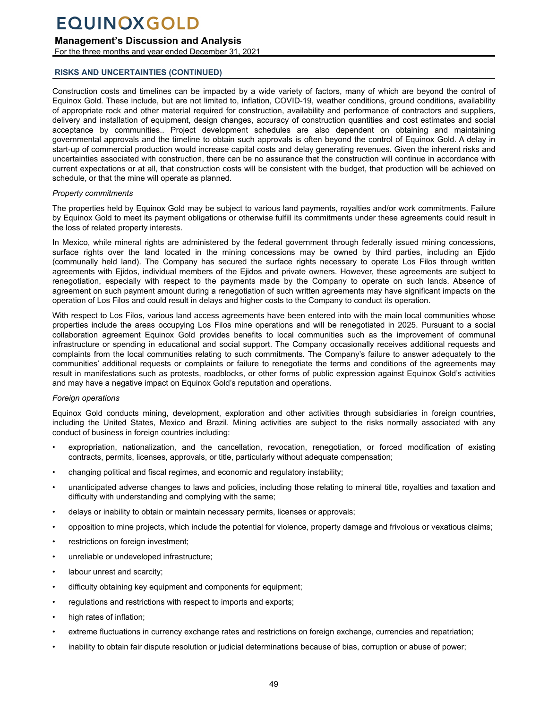## **Management's Discussion and Analysis**

For the three months and year ended December 31, 2021

## **RISKS AND UNCERTAINTIES (CONTINUED)**

Construction costs and timelines can be impacted by a wide variety of factors, many of which are beyond the control of Equinox Gold. These include, but are not limited to, inflation, COVID-19, weather conditions, ground conditions, availability of appropriate rock and other material required for construction, availability and performance of contractors and suppliers, delivery and installation of equipment, design changes, accuracy of construction quantities and cost estimates and social acceptance by communities.. Project development schedules are also dependent on obtaining and maintaining governmental approvals and the timeline to obtain such approvals is often beyond the control of Equinox Gold. A delay in start-up of commercial production would increase capital costs and delay generating revenues. Given the inherent risks and uncertainties associated with construction, there can be no assurance that the construction will continue in accordance with current expectations or at all, that construction costs will be consistent with the budget, that production will be achieved on schedule, or that the mine will operate as planned.

## *Property commitments*

The properties held by Equinox Gold may be subject to various land payments, royalties and/or work commitments. Failure by Equinox Gold to meet its payment obligations or otherwise fulfill its commitments under these agreements could result in the loss of related property interests.

In Mexico, while mineral rights are administered by the federal government through federally issued mining concessions, surface rights over the land located in the mining concessions may be owned by third parties, including an Ejido (communally held land). The Company has secured the surface rights necessary to operate Los Filos through written agreements with Ejidos, individual members of the Ejidos and private owners. However, these agreements are subject to renegotiation, especially with respect to the payments made by the Company to operate on such lands. Absence of agreement on such payment amount during a renegotiation of such written agreements may have significant impacts on the operation of Los Filos and could result in delays and higher costs to the Company to conduct its operation.

With respect to Los Filos, various land access agreements have been entered into with the main local communities whose properties include the areas occupying Los Filos mine operations and will be renegotiated in 2025. Pursuant to a social collaboration agreement Equinox Gold provides benefits to local communities such as the improvement of communal infrastructure or spending in educational and social support. The Company occasionally receives additional requests and complaints from the local communities relating to such commitments. The Company's failure to answer adequately to the communities' additional requests or complaints or failure to renegotiate the terms and conditions of the agreements may result in manifestations such as protests, roadblocks, or other forms of public expression against Equinox Gold's activities and may have a negative impact on Equinox Gold's reputation and operations.

## *Foreign operations*

Equinox Gold conducts mining, development, exploration and other activities through subsidiaries in foreign countries, including the United States, Mexico and Brazil. Mining activities are subject to the risks normally associated with any conduct of business in foreign countries including:

- expropriation, nationalization, and the cancellation, revocation, renegotiation, or forced modification of existing contracts, permits, licenses, approvals, or title, particularly without adequate compensation;
- changing political and fiscal regimes, and economic and regulatory instability;
- unanticipated adverse changes to laws and policies, including those relating to mineral title, royalties and taxation and difficulty with understanding and complying with the same;
- delays or inability to obtain or maintain necessary permits, licenses or approvals;
- opposition to mine projects, which include the potential for violence, property damage and frivolous or vexatious claims;
- restrictions on foreign investment;
- unreliable or undeveloped infrastructure;
- labour unrest and scarcity;
- difficulty obtaining key equipment and components for equipment;
- regulations and restrictions with respect to imports and exports;
- high rates of inflation;
- extreme fluctuations in currency exchange rates and restrictions on foreign exchange, currencies and repatriation;
- inability to obtain fair dispute resolution or judicial determinations because of bias, corruption or abuse of power;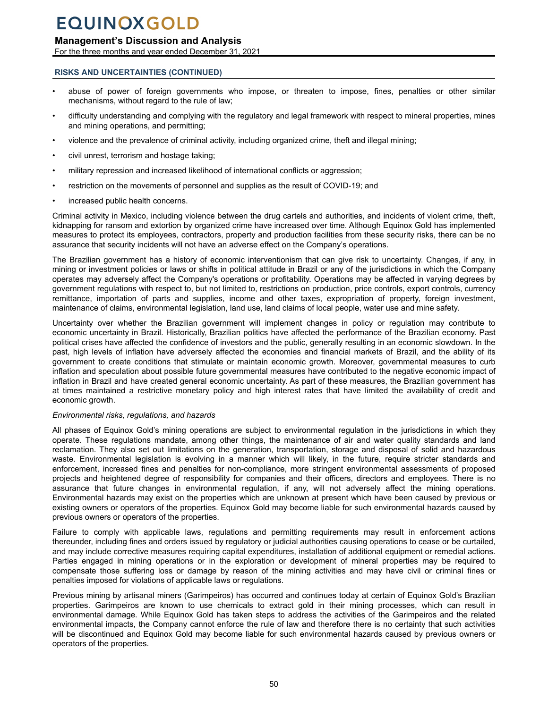## **Management's Discussion and Analysis**

For the three months and year ended December 31, 2021

### **RISKS AND UNCERTAINTIES (CONTINUED)**

- abuse of power of foreign governments who impose, or threaten to impose, fines, penalties or other similar mechanisms, without regard to the rule of law:
- difficulty understanding and complying with the regulatory and legal framework with respect to mineral properties, mines and mining operations, and permitting;
- violence and the prevalence of criminal activity, including organized crime, theft and illegal mining;
- civil unrest, terrorism and hostage taking;
- military repression and increased likelihood of international conflicts or aggression;
- restriction on the movements of personnel and supplies as the result of COVID-19; and
- increased public health concerns.

Criminal activity in Mexico, including violence between the drug cartels and authorities, and incidents of violent crime, theft, kidnapping for ransom and extortion by organized crime have increased over time. Although Equinox Gold has implemented measures to protect its employees, contractors, property and production facilities from these security risks, there can be no assurance that security incidents will not have an adverse effect on the Company's operations.

The Brazilian government has a history of economic interventionism that can give risk to uncertainty. Changes, if any, in mining or investment policies or laws or shifts in political attitude in Brazil or any of the jurisdictions in which the Company operates may adversely affect the Company's operations or profitability. Operations may be affected in varying degrees by government regulations with respect to, but not limited to, restrictions on production, price controls, export controls, currency remittance, importation of parts and supplies, income and other taxes, expropriation of property, foreign investment, maintenance of claims, environmental legislation, land use, land claims of local people, water use and mine safety.

Uncertainty over whether the Brazilian government will implement changes in policy or regulation may contribute to economic uncertainty in Brazil. Historically, Brazilian politics have affected the performance of the Brazilian economy. Past political crises have affected the confidence of investors and the public, generally resulting in an economic slowdown. In the past, high levels of inflation have adversely affected the economies and financial markets of Brazil, and the ability of its government to create conditions that stimulate or maintain economic growth. Moreover, governmental measures to curb inflation and speculation about possible future governmental measures have contributed to the negative economic impact of inflation in Brazil and have created general economic uncertainty. As part of these measures, the Brazilian government has at times maintained a restrictive monetary policy and high interest rates that have limited the availability of credit and economic growth.

#### *Environmental risks, regulations, and hazards*

All phases of Equinox Gold's mining operations are subject to environmental regulation in the jurisdictions in which they operate. These regulations mandate, among other things, the maintenance of air and water quality standards and land reclamation. They also set out limitations on the generation, transportation, storage and disposal of solid and hazardous waste. Environmental legislation is evolving in a manner which will likely, in the future, require stricter standards and enforcement, increased fines and penalties for non-compliance, more stringent environmental assessments of proposed projects and heightened degree of responsibility for companies and their officers, directors and employees. There is no assurance that future changes in environmental regulation, if any, will not adversely affect the mining operations. Environmental hazards may exist on the properties which are unknown at present which have been caused by previous or existing owners or operators of the properties. Equinox Gold may become liable for such environmental hazards caused by previous owners or operators of the properties.

Failure to comply with applicable laws, regulations and permitting requirements may result in enforcement actions thereunder, including fines and orders issued by regulatory or judicial authorities causing operations to cease or be curtailed, and may include corrective measures requiring capital expenditures, installation of additional equipment or remedial actions. Parties engaged in mining operations or in the exploration or development of mineral properties may be required to compensate those suffering loss or damage by reason of the mining activities and may have civil or criminal fines or penalties imposed for violations of applicable laws or regulations.

Previous mining by artisanal miners (Garimpeiros) has occurred and continues today at certain of Equinox Gold's Brazilian properties. Garimpeiros are known to use chemicals to extract gold in their mining processes, which can result in environmental damage. While Equinox Gold has taken steps to address the activities of the Garimpeiros and the related environmental impacts, the Company cannot enforce the rule of law and therefore there is no certainty that such activities will be discontinued and Equinox Gold may become liable for such environmental hazards caused by previous owners or operators of the properties.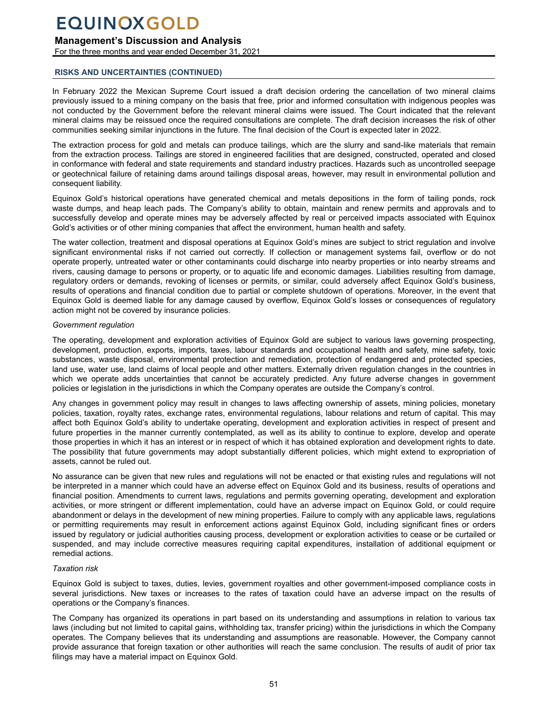## **Management's Discussion and Analysis**

For the three months and year ended December 31, 2021

## **RISKS AND UNCERTAINTIES (CONTINUED)**

In February 2022 the Mexican Supreme Court issued a draft decision ordering the cancellation of two mineral claims previously issued to a mining company on the basis that free, prior and informed consultation with indigenous peoples was not conducted by the Government before the relevant mineral claims were issued. The Court indicated that the relevant mineral claims may be reissued once the required consultations are complete. The draft decision increases the risk of other communities seeking similar injunctions in the future. The final decision of the Court is expected later in 2022.

The extraction process for gold and metals can produce tailings, which are the slurry and sand-like materials that remain from the extraction process. Tailings are stored in engineered facilities that are designed, constructed, operated and closed in conformance with federal and state requirements and standard industry practices. Hazards such as uncontrolled seepage or geotechnical failure of retaining dams around tailings disposal areas, however, may result in environmental pollution and consequent liability.

Equinox Gold's historical operations have generated chemical and metals depositions in the form of tailing ponds, rock waste dumps, and heap leach pads. The Company's ability to obtain, maintain and renew permits and approvals and to successfully develop and operate mines may be adversely affected by real or perceived impacts associated with Equinox Gold's activities or of other mining companies that affect the environment, human health and safety.

The water collection, treatment and disposal operations at Equinox Gold's mines are subject to strict regulation and involve significant environmental risks if not carried out correctly. If collection or management systems fail, overflow or do not operate properly, untreated water or other contaminants could discharge into nearby properties or into nearby streams and rivers, causing damage to persons or property, or to aquatic life and economic damages. Liabilities resulting from damage, regulatory orders or demands, revoking of licenses or permits, or similar, could adversely affect Equinox Gold's business, results of operations and financial condition due to partial or complete shutdown of operations. Moreover, in the event that Equinox Gold is deemed liable for any damage caused by overflow, Equinox Gold's losses or consequences of regulatory action might not be covered by insurance policies.

## *Government regulation*

The operating, development and exploration activities of Equinox Gold are subject to various laws governing prospecting, development, production, exports, imports, taxes, labour standards and occupational health and safety, mine safety, toxic substances, waste disposal, environmental protection and remediation, protection of endangered and protected species, land use, water use, land claims of local people and other matters. Externally driven regulation changes in the countries in which we operate adds uncertainties that cannot be accurately predicted. Any future adverse changes in government policies or legislation in the jurisdictions in which the Company operates are outside the Company's control.

Any changes in government policy may result in changes to laws affecting ownership of assets, mining policies, monetary policies, taxation, royalty rates, exchange rates, environmental regulations, labour relations and return of capital. This may affect both Equinox Gold's ability to undertake operating, development and exploration activities in respect of present and future properties in the manner currently contemplated, as well as its ability to continue to explore, develop and operate those properties in which it has an interest or in respect of which it has obtained exploration and development rights to date. The possibility that future governments may adopt substantially different policies, which might extend to expropriation of assets, cannot be ruled out.

No assurance can be given that new rules and regulations will not be enacted or that existing rules and regulations will not be interpreted in a manner which could have an adverse effect on Equinox Gold and its business, results of operations and financial position. Amendments to current laws, regulations and permits governing operating, development and exploration activities, or more stringent or different implementation, could have an adverse impact on Equinox Gold, or could require abandonment or delays in the development of new mining properties. Failure to comply with any applicable laws, regulations or permitting requirements may result in enforcement actions against Equinox Gold, including significant fines or orders issued by regulatory or judicial authorities causing process, development or exploration activities to cease or be curtailed or suspended, and may include corrective measures requiring capital expenditures, installation of additional equipment or remedial actions.

### *Taxation risk*

Equinox Gold is subject to taxes, duties, levies, government royalties and other government-imposed compliance costs in several jurisdictions. New taxes or increases to the rates of taxation could have an adverse impact on the results of operations or the Company's finances.

The Company has organized its operations in part based on its understanding and assumptions in relation to various tax laws (including but not limited to capital gains, withholding tax, transfer pricing) within the jurisdictions in which the Company operates. The Company believes that its understanding and assumptions are reasonable. However, the Company cannot provide assurance that foreign taxation or other authorities will reach the same conclusion. The results of audit of prior tax filings may have a material impact on Equinox Gold.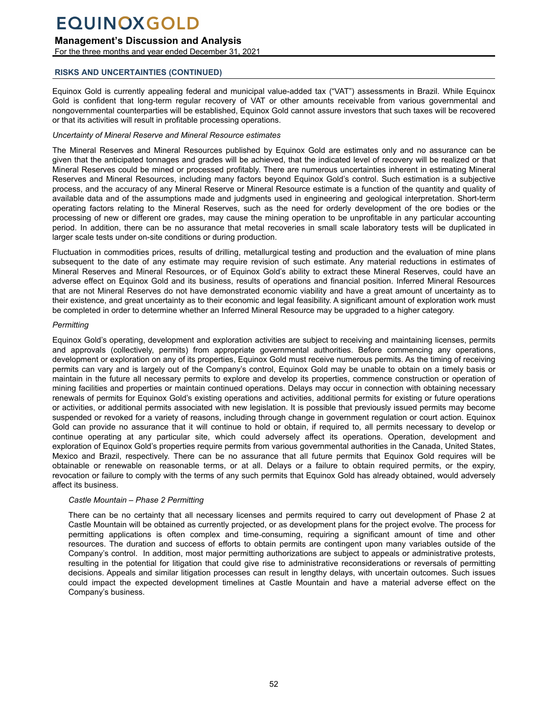## **Management's Discussion and Analysis**

For the three months and year ended December 31, 2021

### **RISKS AND UNCERTAINTIES (CONTINUED)**

Equinox Gold is currently appealing federal and municipal value-added tax ("VAT") assessments in Brazil. While Equinox Gold is confident that long-term regular recovery of VAT or other amounts receivable from various governmental and nongovernmental counterparties will be established, Equinox Gold cannot assure investors that such taxes will be recovered or that its activities will result in profitable processing operations.

### *Uncertainty of Mineral Reserve and Mineral Resource estimates*

The Mineral Reserves and Mineral Resources published by Equinox Gold are estimates only and no assurance can be given that the anticipated tonnages and grades will be achieved, that the indicated level of recovery will be realized or that Mineral Reserves could be mined or processed profitably. There are numerous uncertainties inherent in estimating Mineral Reserves and Mineral Resources, including many factors beyond Equinox Gold's control. Such estimation is a subjective process, and the accuracy of any Mineral Reserve or Mineral Resource estimate is a function of the quantity and quality of available data and of the assumptions made and judgments used in engineering and geological interpretation. Short-term operating factors relating to the Mineral Reserves, such as the need for orderly development of the ore bodies or the processing of new or different ore grades, may cause the mining operation to be unprofitable in any particular accounting period. In addition, there can be no assurance that metal recoveries in small scale laboratory tests will be duplicated in larger scale tests under on-site conditions or during production.

Fluctuation in commodities prices, results of drilling, metallurgical testing and production and the evaluation of mine plans subsequent to the date of any estimate may require revision of such estimate. Any material reductions in estimates of Mineral Reserves and Mineral Resources, or of Equinox Gold's ability to extract these Mineral Reserves, could have an adverse effect on Equinox Gold and its business, results of operations and financial position. Inferred Mineral Resources that are not Mineral Reserves do not have demonstrated economic viability and have a great amount of uncertainty as to their existence, and great uncertainty as to their economic and legal feasibility. A significant amount of exploration work must be completed in order to determine whether an Inferred Mineral Resource may be upgraded to a higher category.

### *Permitting*

Equinox Gold's operating, development and exploration activities are subject to receiving and maintaining licenses, permits and approvals (collectively, permits) from appropriate governmental authorities. Before commencing any operations, development or exploration on any of its properties, Equinox Gold must receive numerous permits. As the timing of receiving permits can vary and is largely out of the Company's control, Equinox Gold may be unable to obtain on a timely basis or maintain in the future all necessary permits to explore and develop its properties, commence construction or operation of mining facilities and properties or maintain continued operations. Delays may occur in connection with obtaining necessary renewals of permits for Equinox Gold's existing operations and activities, additional permits for existing or future operations or activities, or additional permits associated with new legislation. It is possible that previously issued permits may become suspended or revoked for a variety of reasons, including through change in government regulation or court action. Equinox Gold can provide no assurance that it will continue to hold or obtain, if required to, all permits necessary to develop or continue operating at any particular site, which could adversely affect its operations. Operation, development and exploration of Equinox Gold's properties require permits from various governmental authorities in the Canada, United States, Mexico and Brazil, respectively. There can be no assurance that all future permits that Equinox Gold requires will be obtainable or renewable on reasonable terms, or at all. Delays or a failure to obtain required permits, or the expiry, revocation or failure to comply with the terms of any such permits that Equinox Gold has already obtained, would adversely affect its business.

### *Castle Mountain – Phase 2 Permitting*

There can be no certainty that all necessary licenses and permits required to carry out development of Phase 2 at Castle Mountain will be obtained as currently projected, or as development plans for the project evolve. The process for permitting applications is often complex and time‑consuming, requiring a significant amount of time and other resources. The duration and success of efforts to obtain permits are contingent upon many variables outside of the Company's control. In addition, most major permitting authorizations are subject to appeals or administrative protests, resulting in the potential for litigation that could give rise to administrative reconsiderations or reversals of permitting decisions. Appeals and similar litigation processes can result in lengthy delays, with uncertain outcomes. Such issues could impact the expected development timelines at Castle Mountain and have a material adverse effect on the Company's business.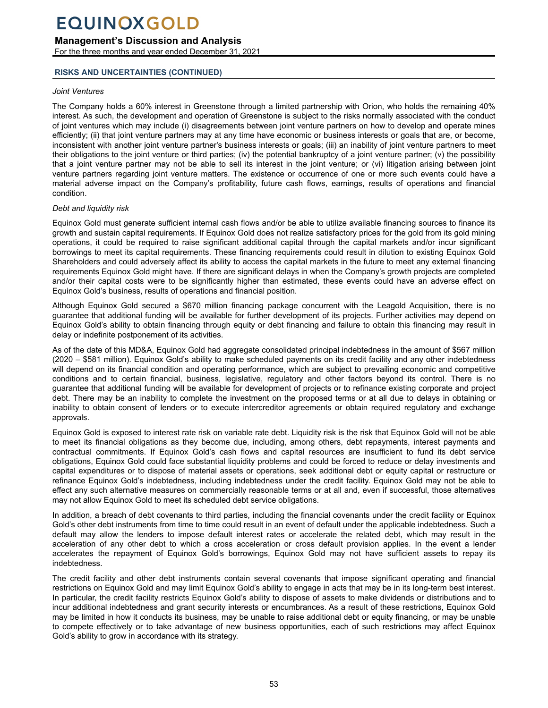## **Management's Discussion and Analysis**

For the three months and year ended December 31, 2021

### **RISKS AND UNCERTAINTIES (CONTINUED)**

#### *Joint Ventures*

The Company holds a 60% interest in Greenstone through a limited partnership with Orion, who holds the remaining 40% interest. As such, the development and operation of Greenstone is subject to the risks normally associated with the conduct of joint ventures which may include (i) disagreements between joint venture partners on how to develop and operate mines efficiently; (ii) that joint venture partners may at any time have economic or business interests or goals that are, or become, inconsistent with another joint venture partner's business interests or goals; (iii) an inability of joint venture partners to meet their obligations to the joint venture or third parties; (iv) the potential bankruptcy of a joint venture partner; (v) the possibility that a joint venture partner may not be able to sell its interest in the joint venture; or (vi) litigation arising between joint venture partners regarding joint venture matters. The existence or occurrence of one or more such events could have a material adverse impact on the Company's profitability, future cash flows, earnings, results of operations and financial condition.

### *Debt and liquidity risk*

Equinox Gold must generate sufficient internal cash flows and/or be able to utilize available financing sources to finance its growth and sustain capital requirements. If Equinox Gold does not realize satisfactory prices for the gold from its gold mining operations, it could be required to raise significant additional capital through the capital markets and/or incur significant borrowings to meet its capital requirements. These financing requirements could result in dilution to existing Equinox Gold Shareholders and could adversely affect its ability to access the capital markets in the future to meet any external financing requirements Equinox Gold might have. If there are significant delays in when the Company's growth projects are completed and/or their capital costs were to be significantly higher than estimated, these events could have an adverse effect on Equinox Gold's business, results of operations and financial position.

Although Equinox Gold secured a \$670 million financing package concurrent with the Leagold Acquisition, there is no guarantee that additional funding will be available for further development of its projects. Further activities may depend on Equinox Gold's ability to obtain financing through equity or debt financing and failure to obtain this financing may result in delay or indefinite postponement of its activities.

As of the date of this MD&A, Equinox Gold had aggregate consolidated principal indebtedness in the amount of \$567 million (2020 – \$581 million). Equinox Gold's ability to make scheduled payments on its credit facility and any other indebtedness will depend on its financial condition and operating performance, which are subject to prevailing economic and competitive conditions and to certain financial, business, legislative, regulatory and other factors beyond its control. There is no guarantee that additional funding will be available for development of projects or to refinance existing corporate and project debt. There may be an inability to complete the investment on the proposed terms or at all due to delays in obtaining or inability to obtain consent of lenders or to execute intercreditor agreements or obtain required regulatory and exchange approvals.

Equinox Gold is exposed to interest rate risk on variable rate debt. Liquidity risk is the risk that Equinox Gold will not be able to meet its financial obligations as they become due, including, among others, debt repayments, interest payments and contractual commitments. If Equinox Gold's cash flows and capital resources are insufficient to fund its debt service obligations, Equinox Gold could face substantial liquidity problems and could be forced to reduce or delay investments and capital expenditures or to dispose of material assets or operations, seek additional debt or equity capital or restructure or refinance Equinox Gold's indebtedness, including indebtedness under the credit facility. Equinox Gold may not be able to effect any such alternative measures on commercially reasonable terms or at all and, even if successful, those alternatives may not allow Equinox Gold to meet its scheduled debt service obligations.

In addition, a breach of debt covenants to third parties, including the financial covenants under the credit facility or Equinox Gold's other debt instruments from time to time could result in an event of default under the applicable indebtedness. Such a default may allow the lenders to impose default interest rates or accelerate the related debt, which may result in the acceleration of any other debt to which a cross acceleration or cross default provision applies. In the event a lender accelerates the repayment of Equinox Gold's borrowings, Equinox Gold may not have sufficient assets to repay its indebtedness.

The credit facility and other debt instruments contain several covenants that impose significant operating and financial restrictions on Equinox Gold and may limit Equinox Gold's ability to engage in acts that may be in its long-term best interest. In particular, the credit facility restricts Equinox Gold's ability to dispose of assets to make dividends or distributions and to incur additional indebtedness and grant security interests or encumbrances. As a result of these restrictions, Equinox Gold may be limited in how it conducts its business, may be unable to raise additional debt or equity financing, or may be unable to compete effectively or to take advantage of new business opportunities, each of such restrictions may affect Equinox Gold's ability to grow in accordance with its strategy.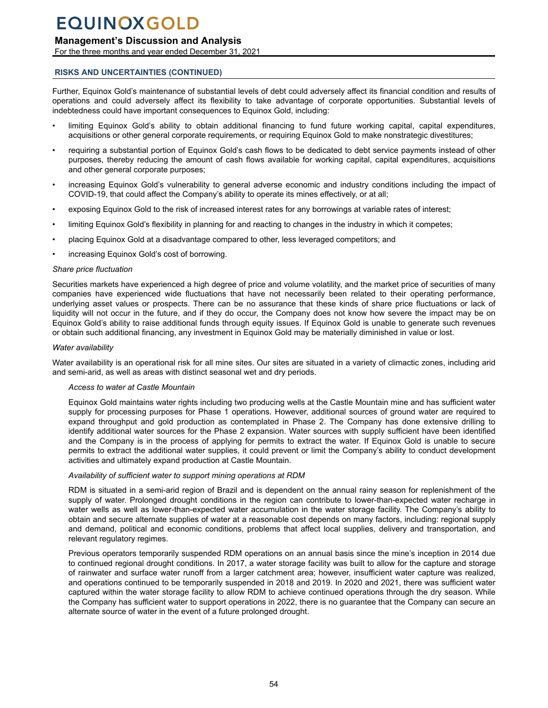## **Management's Discussion and Analysis**

For the three months and year ended December 31, 2021

### **RISKS AND UNCERTAINTIES (CONTINUED)**

Further, Equinox Gold's maintenance of substantial levels of debt could adversely affect its financial condition and results of operations and could adversely affect its flexibility to take advantage of corporate opportunities. Substantial levels of indebtedness could have important consequences to Equinox Gold, including:

- limiting Equinox Gold's ability to obtain additional financing to fund future working capital, capital expenditures, acquisitions or other general corporate requirements, or requiring Equinox Gold to make nonstrategic divestitures;
- requiring a substantial portion of Equinox Gold's cash flows to be dedicated to debt service payments instead of other purposes, thereby reducing the amount of cash flows available for working capital, capital expenditures, acquisitions and other general corporate purposes;
- increasing Equinox Gold's vulnerability to general adverse economic and industry conditions including the impact of COVID-19, that could affect the Company's ability to operate its mines effectively, or at all;
- exposing Equinox Gold to the risk of increased interest rates for any borrowings at variable rates of interest;
- limiting Equinox Gold's flexibility in planning for and reacting to changes in the industry in which it competes;
- placing Equinox Gold at a disadvantage compared to other, less leveraged competitors; and
- increasing Equinox Gold's cost of borrowing.

#### *Share price fluctuation*

Securities markets have experienced a high degree of price and volume volatility, and the market price of securities of many companies have experienced wide fluctuations that have not necessarily been related to their operating performance, underlying asset values or prospects. There can be no assurance that these kinds of share price fluctuations or lack of liquidity will not occur in the future, and if they do occur, the Company does not know how severe the impact may be on Equinox Gold's ability to raise additional funds through equity issues. If Equinox Gold is unable to generate such revenues or obtain such additional financing, any investment in Equinox Gold may be materially diminished in value or lost.

#### *Water availability*

Water availability is an operational risk for all mine sites. Our sites are situated in a variety of climactic zones, including arid and semi-arid, as well as areas with distinct seasonal wet and dry periods.

#### *Access to water at Castle Mountain*

Equinox Gold maintains water rights including two producing wells at the Castle Mountain mine and has sufficient water supply for processing purposes for Phase 1 operations. However, additional sources of ground water are required to expand throughput and gold production as contemplated in Phase 2. The Company has done extensive drilling to identify additional water sources for the Phase 2 expansion. Water sources with supply sufficient have been identified and the Company is in the process of applying for permits to extract the water. If Equinox Gold is unable to secure permits to extract the additional water supplies, it could prevent or limit the Company's ability to conduct development activities and ultimately expand production at Castle Mountain.

#### *Availability of sufficient water to support mining operations at RDM*

RDM is situated in a semi-arid region of Brazil and is dependent on the annual rainy season for replenishment of the supply of water. Prolonged drought conditions in the region can contribute to lower-than-expected water recharge in water wells as well as lower-than-expected water accumulation in the water storage facility. The Company's ability to obtain and secure alternate supplies of water at a reasonable cost depends on many factors, including: regional supply and demand, political and economic conditions, problems that affect local supplies, delivery and transportation, and relevant regulatory regimes.

Previous operators temporarily suspended RDM operations on an annual basis since the mine's inception in 2014 due to continued regional drought conditions. In 2017, a water storage facility was built to allow for the capture and storage of rainwater and surface water runoff from a larger catchment area; however, insufficient water capture was realized, and operations continued to be temporarily suspended in 2018 and 2019. In 2020 and 2021, there was sufficient water captured within the water storage facility to allow RDM to achieve continued operations through the dry season. While the Company has sufficient water to support operations in 2022, there is no guarantee that the Company can secure an alternate source of water in the event of a future prolonged drought.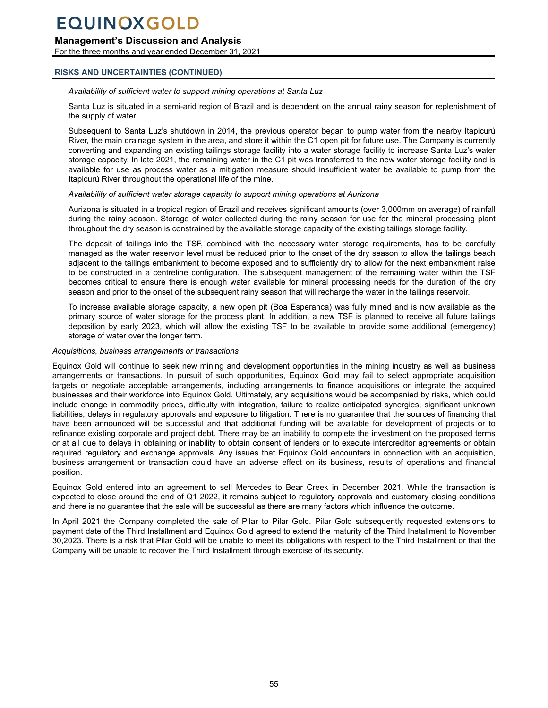## **Management's Discussion and Analysis**

For the three months and year ended December 31, 2021

### **RISKS AND UNCERTAINTIES (CONTINUED)**

#### *Availability of sufficient water to support mining operations at Santa Luz*

Santa Luz is situated in a semi-arid region of Brazil and is dependent on the annual rainy season for replenishment of the supply of water.

Subsequent to Santa Luz's shutdown in 2014, the previous operator began to pump water from the nearby Itapicurú River, the main drainage system in the area, and store it within the C1 open pit for future use. The Company is currently converting and expanding an existing tailings storage facility into a water storage facility to increase Santa Luz's water storage capacity. In late 2021, the remaining water in the C1 pit was transferred to the new water storage facility and is available for use as process water as a mitigation measure should insufficient water be available to pump from the Itapicurú River throughout the operational life of the mine.

#### *Availability of sufficient water storage capacity to support mining operations at Aurizona*

Aurizona is situated in a tropical region of Brazil and receives significant amounts (over 3,000mm on average) of rainfall during the rainy season. Storage of water collected during the rainy season for use for the mineral processing plant throughout the dry season is constrained by the available storage capacity of the existing tailings storage facility.

The deposit of tailings into the TSF, combined with the necessary water storage requirements, has to be carefully managed as the water reservoir level must be reduced prior to the onset of the dry season to allow the tailings beach adjacent to the tailings embankment to become exposed and to sufficiently dry to allow for the next embankment raise to be constructed in a centreline configuration. The subsequent management of the remaining water within the TSF becomes critical to ensure there is enough water available for mineral processing needs for the duration of the dry season and prior to the onset of the subsequent rainy season that will recharge the water in the tailings reservoir.

To increase available storage capacity, a new open pit (Boa Esperanca) was fully mined and is now available as the primary source of water storage for the process plant. In addition, a new TSF is planned to receive all future tailings deposition by early 2023, which will allow the existing TSF to be available to provide some additional (emergency) storage of water over the longer term.

#### *Acquisitions, business arrangements or transactions*

Equinox Gold will continue to seek new mining and development opportunities in the mining industry as well as business arrangements or transactions. In pursuit of such opportunities, Equinox Gold may fail to select appropriate acquisition targets or negotiate acceptable arrangements, including arrangements to finance acquisitions or integrate the acquired businesses and their workforce into Equinox Gold. Ultimately, any acquisitions would be accompanied by risks, which could include change in commodity prices, difficulty with integration, failure to realize anticipated synergies, significant unknown liabilities, delays in regulatory approvals and exposure to litigation. There is no guarantee that the sources of financing that have been announced will be successful and that additional funding will be available for development of projects or to refinance existing corporate and project debt. There may be an inability to complete the investment on the proposed terms or at all due to delays in obtaining or inability to obtain consent of lenders or to execute intercreditor agreements or obtain required regulatory and exchange approvals. Any issues that Equinox Gold encounters in connection with an acquisition, business arrangement or transaction could have an adverse effect on its business, results of operations and financial position.

Equinox Gold entered into an agreement to sell Mercedes to Bear Creek in December 2021. While the transaction is expected to close around the end of Q1 2022, it remains subject to regulatory approvals and customary closing conditions and there is no guarantee that the sale will be successful as there are many factors which influence the outcome.

In April 2021 the Company completed the sale of Pilar to Pilar Gold. Pilar Gold subsequently requested extensions to payment date of the Third Installment and Equinox Gold agreed to extend the maturity of the Third Installment to November 30,2023. There is a risk that Pilar Gold will be unable to meet its obligations with respect to the Third Installment or that the Company will be unable to recover the Third Installment through exercise of its security.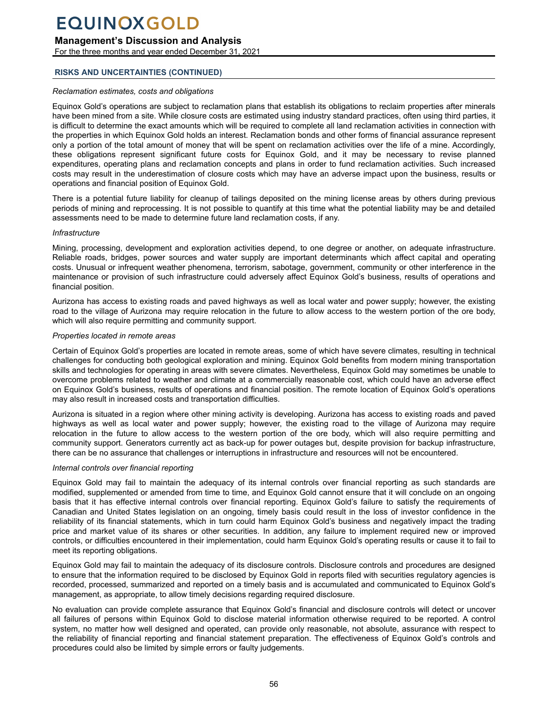## **Management's Discussion and Analysis**

For the three months and year ended December 31, 2021

### **RISKS AND UNCERTAINTIES (CONTINUED)**

#### *Reclamation estimates, costs and obligations*

Equinox Gold's operations are subject to reclamation plans that establish its obligations to reclaim properties after minerals have been mined from a site. While closure costs are estimated using industry standard practices, often using third parties, it is difficult to determine the exact amounts which will be required to complete all land reclamation activities in connection with the properties in which Equinox Gold holds an interest. Reclamation bonds and other forms of financial assurance represent only a portion of the total amount of money that will be spent on reclamation activities over the life of a mine. Accordingly, these obligations represent significant future costs for Equinox Gold, and it may be necessary to revise planned expenditures, operating plans and reclamation concepts and plans in order to fund reclamation activities. Such increased costs may result in the underestimation of closure costs which may have an adverse impact upon the business, results or operations and financial position of Equinox Gold.

There is a potential future liability for cleanup of tailings deposited on the mining license areas by others during previous periods of mining and reprocessing. It is not possible to quantify at this time what the potential liability may be and detailed assessments need to be made to determine future land reclamation costs, if any.

#### *Infrastructure*

Mining, processing, development and exploration activities depend, to one degree or another, on adequate infrastructure. Reliable roads, bridges, power sources and water supply are important determinants which affect capital and operating costs. Unusual or infrequent weather phenomena, terrorism, sabotage, government, community or other interference in the maintenance or provision of such infrastructure could adversely affect Equinox Gold's business, results of operations and financial position.

Aurizona has access to existing roads and paved highways as well as local water and power supply; however, the existing road to the village of Aurizona may require relocation in the future to allow access to the western portion of the ore body, which will also require permitting and community support.

#### *Properties located in remote areas*

Certain of Equinox Gold's properties are located in remote areas, some of which have severe climates, resulting in technical challenges for conducting both geological exploration and mining. Equinox Gold benefits from modern mining transportation skills and technologies for operating in areas with severe climates. Nevertheless, Equinox Gold may sometimes be unable to overcome problems related to weather and climate at a commercially reasonable cost, which could have an adverse effect on Equinox Gold's business, results of operations and financial position. The remote location of Equinox Gold's operations may also result in increased costs and transportation difficulties.

Aurizona is situated in a region where other mining activity is developing. Aurizona has access to existing roads and paved highways as well as local water and power supply; however, the existing road to the village of Aurizona may require relocation in the future to allow access to the western portion of the ore body, which will also require permitting and community support. Generators currently act as back-up for power outages but, despite provision for backup infrastructure, there can be no assurance that challenges or interruptions in infrastructure and resources will not be encountered.

### *Internal controls over financial reporting*

Equinox Gold may fail to maintain the adequacy of its internal controls over financial reporting as such standards are modified, supplemented or amended from time to time, and Equinox Gold cannot ensure that it will conclude on an ongoing basis that it has effective internal controls over financial reporting. Equinox Gold's failure to satisfy the requirements of Canadian and United States legislation on an ongoing, timely basis could result in the loss of investor confidence in the reliability of its financial statements, which in turn could harm Equinox Gold's business and negatively impact the trading price and market value of its shares or other securities. In addition, any failure to implement required new or improved controls, or difficulties encountered in their implementation, could harm Equinox Gold's operating results or cause it to fail to meet its reporting obligations.

Equinox Gold may fail to maintain the adequacy of its disclosure controls. Disclosure controls and procedures are designed to ensure that the information required to be disclosed by Equinox Gold in reports filed with securities regulatory agencies is recorded, processed, summarized and reported on a timely basis and is accumulated and communicated to Equinox Gold's management, as appropriate, to allow timely decisions regarding required disclosure.

No evaluation can provide complete assurance that Equinox Gold's financial and disclosure controls will detect or uncover all failures of persons within Equinox Gold to disclose material information otherwise required to be reported. A control system, no matter how well designed and operated, can provide only reasonable, not absolute, assurance with respect to the reliability of financial reporting and financial statement preparation. The effectiveness of Equinox Gold's controls and procedures could also be limited by simple errors or faulty judgements.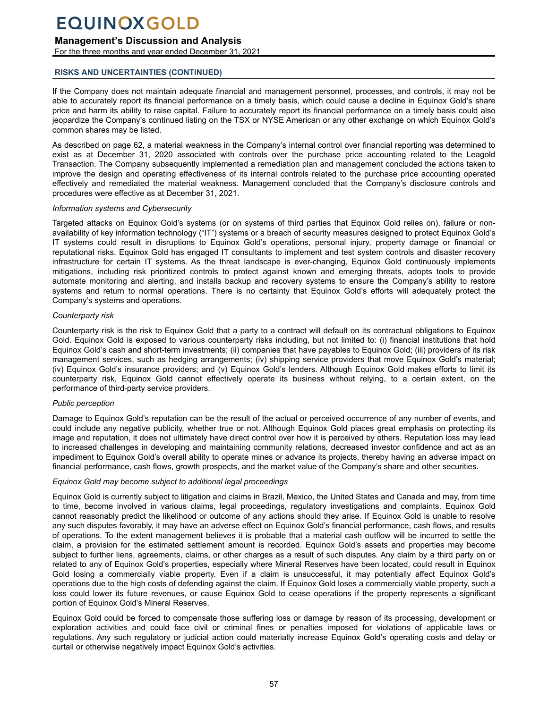## **Management's Discussion and Analysis**

For the three months and year ended December 31, 2021

### **RISKS AND UNCERTAINTIES (CONTINUED)**

If the Company does not maintain adequate financial and management personnel, processes, and controls, it may not be able to accurately report its financial performance on a timely basis, which could cause a decline in Equinox Gold's share price and harm its ability to raise capital. Failure to accurately report its financial performance on a timely basis could also jeopardize the Company's continued listing on the TSX or NYSE American or any other exchange on which Equinox Gold's common shares may be listed.

As described on page 62, a material weakness in the Company's internal control over financial reporting was determined to exist as at December 31, 2020 associated with controls over the purchase price accounting related to the Leagold Transaction. The Company subsequently implemented a remediation plan and management concluded the actions taken to improve the design and operating effectiveness of its internal controls related to the purchase price accounting operated effectively and remediated the material weakness. Management concluded that the Company's disclosure controls and procedures were effective as at December 31, 2021.

#### *Information systems and Cybersecurity*

Targeted attacks on Equinox Gold's systems (or on systems of third parties that Equinox Gold relies on), failure or nonavailability of key information technology ("IT") systems or a breach of security measures designed to protect Equinox Gold's IT systems could result in disruptions to Equinox Gold's operations, personal injury, property damage or financial or reputational risks. Equinox Gold has engaged IT consultants to implement and test system controls and disaster recovery infrastructure for certain IT systems. As the threat landscape is ever-changing, Equinox Gold continuously implements mitigations, including risk prioritized controls to protect against known and emerging threats, adopts tools to provide automate monitoring and alerting, and installs backup and recovery systems to ensure the Company's ability to restore systems and return to normal operations. There is no certainty that Equinox Gold's efforts will adequately protect the Company's systems and operations.

### *Counterparty risk*

Counterparty risk is the risk to Equinox Gold that a party to a contract will default on its contractual obligations to Equinox Gold. Equinox Gold is exposed to various counterparty risks including, but not limited to: (i) financial institutions that hold Equinox Gold's cash and short-term investments; (ii) companies that have payables to Equinox Gold; (iii) providers of its risk management services, such as hedging arrangements; (iv) shipping service providers that move Equinox Gold's material; (iv) Equinox Gold's insurance providers; and (v) Equinox Gold's lenders. Although Equinox Gold makes efforts to limit its counterparty risk, Equinox Gold cannot effectively operate its business without relying, to a certain extent, on the performance of third-party service providers.

### *Public perception*

Damage to Equinox Gold's reputation can be the result of the actual or perceived occurrence of any number of events, and could include any negative publicity, whether true or not. Although Equinox Gold places great emphasis on protecting its image and reputation, it does not ultimately have direct control over how it is perceived by others. Reputation loss may lead to increased challenges in developing and maintaining community relations, decreased investor confidence and act as an impediment to Equinox Gold's overall ability to operate mines or advance its projects, thereby having an adverse impact on financial performance, cash flows, growth prospects, and the market value of the Company's share and other securities.

### *Equinox Gold may become subject to additional legal proceedings*

Equinox Gold is currently subject to litigation and claims in Brazil, Mexico, the United States and Canada and may, from time to time, become involved in various claims, legal proceedings, regulatory investigations and complaints. Equinox Gold cannot reasonably predict the likelihood or outcome of any actions should they arise. If Equinox Gold is unable to resolve any such disputes favorably, it may have an adverse effect on Equinox Gold's financial performance, cash flows, and results of operations. To the extent management believes it is probable that a material cash outflow will be incurred to settle the claim, a provision for the estimated settlement amount is recorded. Equinox Gold's assets and properties may become subject to further liens, agreements, claims, or other charges as a result of such disputes. Any claim by a third party on or related to any of Equinox Gold's properties, especially where Mineral Reserves have been located, could result in Equinox Gold losing a commercially viable property. Even if a claim is unsuccessful, it may potentially affect Equinox Gold's operations due to the high costs of defending against the claim. If Equinox Gold loses a commercially viable property, such a loss could lower its future revenues, or cause Equinox Gold to cease operations if the property represents a significant portion of Equinox Gold's Mineral Reserves.

Equinox Gold could be forced to compensate those suffering loss or damage by reason of its processing, development or exploration activities and could face civil or criminal fines or penalties imposed for violations of applicable laws or regulations. Any such regulatory or judicial action could materially increase Equinox Gold's operating costs and delay or curtail or otherwise negatively impact Equinox Gold's activities.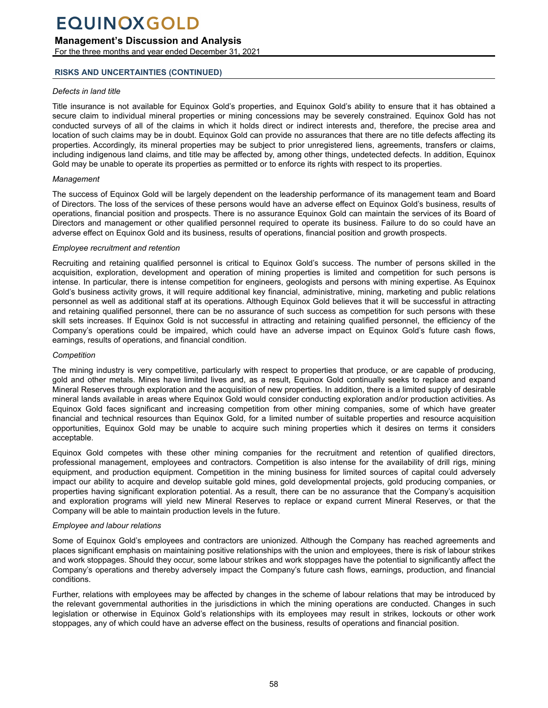## **Management's Discussion and Analysis**

For the three months and year ended December 31, 2021

### **RISKS AND UNCERTAINTIES (CONTINUED)**

#### *Defects in land title*

Title insurance is not available for Equinox Gold's properties, and Equinox Gold's ability to ensure that it has obtained a secure claim to individual mineral properties or mining concessions may be severely constrained. Equinox Gold has not conducted surveys of all of the claims in which it holds direct or indirect interests and, therefore, the precise area and location of such claims may be in doubt. Equinox Gold can provide no assurances that there are no title defects affecting its properties. Accordingly, its mineral properties may be subject to prior unregistered liens, agreements, transfers or claims, including indigenous land claims, and title may be affected by, among other things, undetected defects. In addition, Equinox Gold may be unable to operate its properties as permitted or to enforce its rights with respect to its properties.

#### *Management*

The success of Equinox Gold will be largely dependent on the leadership performance of its management team and Board of Directors. The loss of the services of these persons would have an adverse effect on Equinox Gold's business, results of operations, financial position and prospects. There is no assurance Equinox Gold can maintain the services of its Board of Directors and management or other qualified personnel required to operate its business. Failure to do so could have an adverse effect on Equinox Gold and its business, results of operations, financial position and growth prospects.

#### *Employee recruitment and retention*

Recruiting and retaining qualified personnel is critical to Equinox Gold's success. The number of persons skilled in the acquisition, exploration, development and operation of mining properties is limited and competition for such persons is intense. In particular, there is intense competition for engineers, geologists and persons with mining expertise. As Equinox Gold's business activity grows, it will require additional key financial, administrative, mining, marketing and public relations personnel as well as additional staff at its operations. Although Equinox Gold believes that it will be successful in attracting and retaining qualified personnel, there can be no assurance of such success as competition for such persons with these skill sets increases. If Equinox Gold is not successful in attracting and retaining qualified personnel, the efficiency of the Company's operations could be impaired, which could have an adverse impact on Equinox Gold's future cash flows, earnings, results of operations, and financial condition.

#### *Competition*

The mining industry is very competitive, particularly with respect to properties that produce, or are capable of producing, gold and other metals. Mines have limited lives and, as a result, Equinox Gold continually seeks to replace and expand Mineral Reserves through exploration and the acquisition of new properties. In addition, there is a limited supply of desirable mineral lands available in areas where Equinox Gold would consider conducting exploration and/or production activities. As Equinox Gold faces significant and increasing competition from other mining companies, some of which have greater financial and technical resources than Equinox Gold, for a limited number of suitable properties and resource acquisition opportunities, Equinox Gold may be unable to acquire such mining properties which it desires on terms it considers acceptable.

Equinox Gold competes with these other mining companies for the recruitment and retention of qualified directors, professional management, employees and contractors. Competition is also intense for the availability of drill rigs, mining equipment, and production equipment. Competition in the mining business for limited sources of capital could adversely impact our ability to acquire and develop suitable gold mines, gold developmental projects, gold producing companies, or properties having significant exploration potential. As a result, there can be no assurance that the Company's acquisition and exploration programs will yield new Mineral Reserves to replace or expand current Mineral Reserves, or that the Company will be able to maintain production levels in the future.

#### *Employee and labour relations*

Some of Equinox Gold's employees and contractors are unionized. Although the Company has reached agreements and places significant emphasis on maintaining positive relationships with the union and employees, there is risk of labour strikes and work stoppages. Should they occur, some labour strikes and work stoppages have the potential to significantly affect the Company's operations and thereby adversely impact the Company's future cash flows, earnings, production, and financial conditions.

Further, relations with employees may be affected by changes in the scheme of labour relations that may be introduced by the relevant governmental authorities in the jurisdictions in which the mining operations are conducted. Changes in such legislation or otherwise in Equinox Gold's relationships with its employees may result in strikes, lockouts or other work stoppages, any of which could have an adverse effect on the business, results of operations and financial position.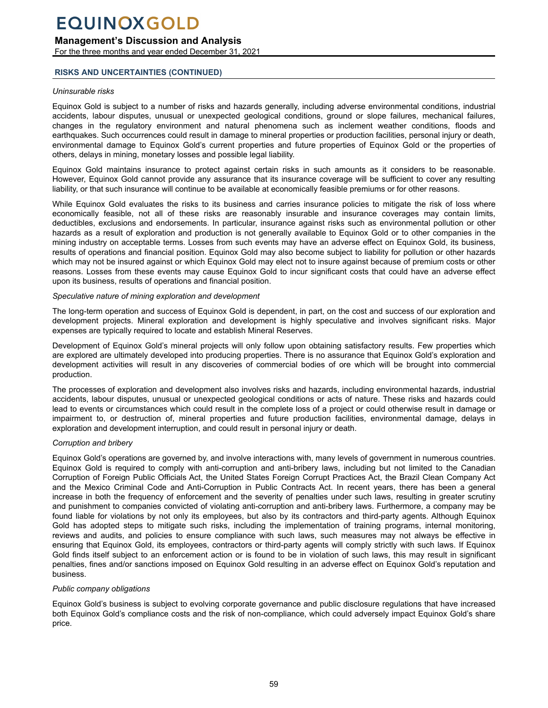### **Management's Discussion and Analysis**

For the three months and year ended December 31, 2021

### **RISKS AND UNCERTAINTIES (CONTINUED)**

#### *Uninsurable risks*

Equinox Gold is subject to a number of risks and hazards generally, including adverse environmental conditions, industrial accidents, labour disputes, unusual or unexpected geological conditions, ground or slope failures, mechanical failures, changes in the regulatory environment and natural phenomena such as inclement weather conditions, floods and earthquakes. Such occurrences could result in damage to mineral properties or production facilities, personal injury or death, environmental damage to Equinox Gold's current properties and future properties of Equinox Gold or the properties of others, delays in mining, monetary losses and possible legal liability.

Equinox Gold maintains insurance to protect against certain risks in such amounts as it considers to be reasonable. However, Equinox Gold cannot provide any assurance that its insurance coverage will be sufficient to cover any resulting liability, or that such insurance will continue to be available at economically feasible premiums or for other reasons.

While Equinox Gold evaluates the risks to its business and carries insurance policies to mitigate the risk of loss where economically feasible, not all of these risks are reasonably insurable and insurance coverages may contain limits, deductibles, exclusions and endorsements. In particular, insurance against risks such as environmental pollution or other hazards as a result of exploration and production is not generally available to Equinox Gold or to other companies in the mining industry on acceptable terms. Losses from such events may have an adverse effect on Equinox Gold, its business, results of operations and financial position. Equinox Gold may also become subject to liability for pollution or other hazards which may not be insured against or which Equinox Gold may elect not to insure against because of premium costs or other reasons. Losses from these events may cause Equinox Gold to incur significant costs that could have an adverse effect upon its business, results of operations and financial position.

#### *Speculative nature of mining exploration and development*

The long-term operation and success of Equinox Gold is dependent, in part, on the cost and success of our exploration and development projects. Mineral exploration and development is highly speculative and involves significant risks. Major expenses are typically required to locate and establish Mineral Reserves.

Development of Equinox Gold's mineral projects will only follow upon obtaining satisfactory results. Few properties which are explored are ultimately developed into producing properties. There is no assurance that Equinox Gold's exploration and development activities will result in any discoveries of commercial bodies of ore which will be brought into commercial production.

The processes of exploration and development also involves risks and hazards, including environmental hazards, industrial accidents, labour disputes, unusual or unexpected geological conditions or acts of nature. These risks and hazards could lead to events or circumstances which could result in the complete loss of a project or could otherwise result in damage or impairment to, or destruction of, mineral properties and future production facilities, environmental damage, delays in exploration and development interruption, and could result in personal injury or death.

### *Corruption and bribery*

Equinox Gold's operations are governed by, and involve interactions with, many levels of government in numerous countries. Equinox Gold is required to comply with anti-corruption and anti-bribery laws, including but not limited to the Canadian Corruption of Foreign Public Officials Act, the United States Foreign Corrupt Practices Act, the Brazil Clean Company Act and the Mexico Criminal Code and Anti-Corruption in Public Contracts Act. In recent years, there has been a general increase in both the frequency of enforcement and the severity of penalties under such laws, resulting in greater scrutiny and punishment to companies convicted of violating anti-corruption and anti-bribery laws. Furthermore, a company may be found liable for violations by not only its employees, but also by its contractors and third-party agents. Although Equinox Gold has adopted steps to mitigate such risks, including the implementation of training programs, internal monitoring, reviews and audits, and policies to ensure compliance with such laws, such measures may not always be effective in ensuring that Equinox Gold, its employees, contractors or third-party agents will comply strictly with such laws. If Equinox Gold finds itself subject to an enforcement action or is found to be in violation of such laws, this may result in significant penalties, fines and/or sanctions imposed on Equinox Gold resulting in an adverse effect on Equinox Gold's reputation and business.

### *Public company obligations*

Equinox Gold's business is subject to evolving corporate governance and public disclosure regulations that have increased both Equinox Gold's compliance costs and the risk of non-compliance, which could adversely impact Equinox Gold's share price.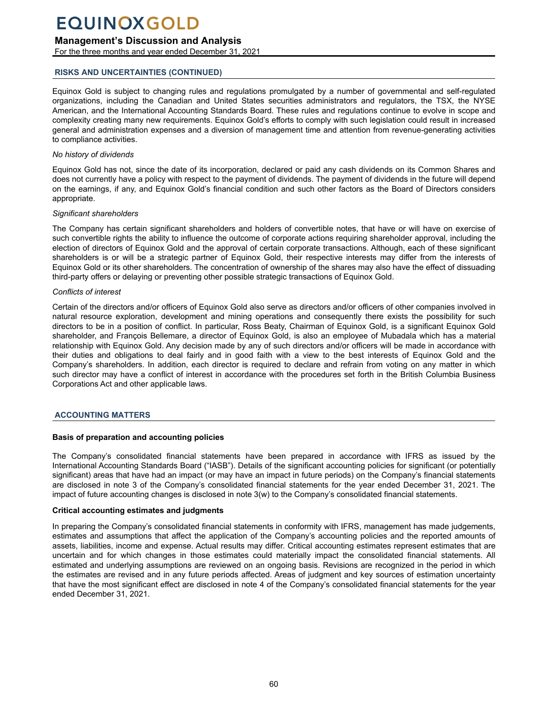## <span id="page-59-0"></span>**Management's Discussion and Analysis**

For the three months and year ended December 31, 2021

## **RISKS AND UNCERTAINTIES (CONTINUED)**

Equinox Gold is subject to changing rules and regulations promulgated by a number of governmental and self-regulated organizations, including the Canadian and United States securities administrators and regulators, the TSX, the NYSE American, and the International Accounting Standards Board. These rules and regulations continue to evolve in scope and complexity creating many new requirements. Equinox Gold's efforts to comply with such legislation could result in increased general and administration expenses and a diversion of management time and attention from revenue-generating activities to compliance activities.

## *No history of dividends*

Equinox Gold has not, since the date of its incorporation, declared or paid any cash dividends on its Common Shares and does not currently have a policy with respect to the payment of dividends. The payment of dividends in the future will depend on the earnings, if any, and Equinox Gold's financial condition and such other factors as the Board of Directors considers appropriate.

## *Significant shareholders*

The Company has certain significant shareholders and holders of convertible notes, that have or will have on exercise of such convertible rights the ability to influence the outcome of corporate actions requiring shareholder approval, including the election of directors of Equinox Gold and the approval of certain corporate transactions. Although, each of these significant shareholders is or will be a strategic partner of Equinox Gold, their respective interests may differ from the interests of Equinox Gold or its other shareholders. The concentration of ownership of the shares may also have the effect of dissuading third-party offers or delaying or preventing other possible strategic transactions of Equinox Gold.

## *Conflicts of interest*

Certain of the directors and/or officers of Equinox Gold also serve as directors and/or officers of other companies involved in natural resource exploration, development and mining operations and consequently there exists the possibility for such directors to be in a position of conflict. In particular, Ross Beaty, Chairman of Equinox Gold, is a significant Equinox Gold shareholder, and François Bellemare, a director of Equinox Gold, is also an employee of Mubadala which has a material relationship with Equinox Gold. Any decision made by any of such directors and/or officers will be made in accordance with their duties and obligations to deal fairly and in good faith with a view to the best interests of Equinox Gold and the Company's shareholders. In addition, each director is required to declare and refrain from voting on any matter in which such director may have a conflict of interest in accordance with the procedures set forth in the British Columbia Business Corporations Act and other applicable laws.

## **ACCOUNTING MATTERS**

## **Basis of preparation and accounting policies**

The Company's consolidated financial statements have been prepared in accordance with IFRS as issued by the International Accounting Standards Board ("IASB"). Details of the significant accounting policies for significant (or potentially significant) areas that have had an impact (or may have an impact in future periods) on the Company's financial statements are disclosed in note 3 of the Company's consolidated financial statements for the year ended December 31, 2021. The impact of future accounting changes is disclosed in note 3(w) to the Company's consolidated financial statements.

## **Critical accounting estimates and judgments**

In preparing the Company's consolidated financial statements in conformity with IFRS, management has made judgements, estimates and assumptions that affect the application of the Company's accounting policies and the reported amounts of assets, liabilities, income and expense. Actual results may differ. Critical accounting estimates represent estimates that are uncertain and for which changes in those estimates could materially impact the consolidated financial statements. All estimated and underlying assumptions are reviewed on an ongoing basis. Revisions are recognized in the period in which the estimates are revised and in any future periods affected. Areas of judgment and key sources of estimation uncertainty that have the most significant effect are disclosed in note 4 of the Company's consolidated financial statements for the year ended December 31, 2021.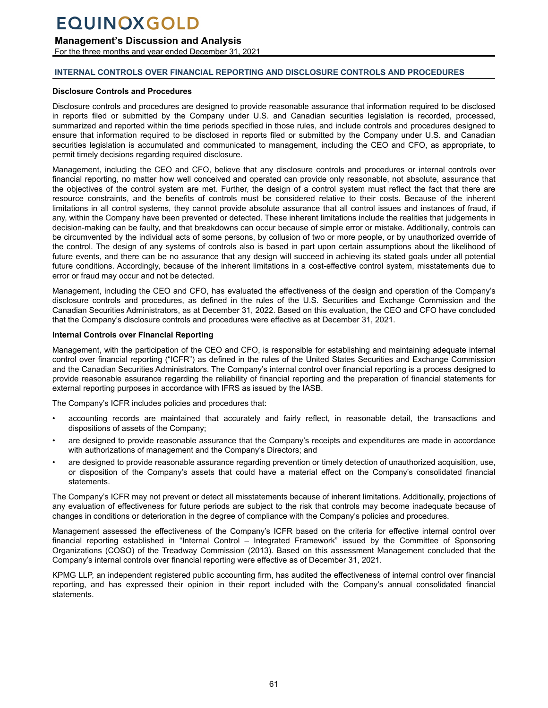## **Management's Discussion and Analysis**

For the three months and year ended December 31, 2021

### **INTERNAL CONTROLS OVER FINANCIAL REPORTING AND DISCLOSURE CONTROLS AND PROCEDURES**

#### **Disclosure Controls and Procedures**

Disclosure controls and procedures are designed to provide reasonable assurance that information required to be disclosed in reports filed or submitted by the Company under U.S. and Canadian securities legislation is recorded, processed, summarized and reported within the time periods specified in those rules, and include controls and procedures designed to ensure that information required to be disclosed in reports filed or submitted by the Company under U.S. and Canadian securities legislation is accumulated and communicated to management, including the CEO and CFO, as appropriate, to permit timely decisions regarding required disclosure.

Management, including the CEO and CFO, believe that any disclosure controls and procedures or internal controls over financial reporting, no matter how well conceived and operated can provide only reasonable, not absolute, assurance that the objectives of the control system are met. Further, the design of a control system must reflect the fact that there are resource constraints, and the benefits of controls must be considered relative to their costs. Because of the inherent limitations in all control systems, they cannot provide absolute assurance that all control issues and instances of fraud, if any, within the Company have been prevented or detected. These inherent limitations include the realities that judgements in decision-making can be faulty, and that breakdowns can occur because of simple error or mistake. Additionally, controls can be circumvented by the individual acts of some persons, by collusion of two or more people, or by unauthorized override of the control. The design of any systems of controls also is based in part upon certain assumptions about the likelihood of future events, and there can be no assurance that any design will succeed in achieving its stated goals under all potential future conditions. Accordingly, because of the inherent limitations in a cost-effective control system, misstatements due to error or fraud may occur and not be detected.

Management, including the CEO and CFO, has evaluated the effectiveness of the design and operation of the Company's disclosure controls and procedures, as defined in the rules of the U.S. Securities and Exchange Commission and the Canadian Securities Administrators, as at December 31, 2022. Based on this evaluation, the CEO and CFO have concluded that the Company's disclosure controls and procedures were effective as at December 31, 2021.

### **Internal Controls over Financial Reporting**

Management, with the participation of the CEO and CFO, is responsible for establishing and maintaining adequate internal control over financial reporting ("ICFR") as defined in the rules of the United States Securities and Exchange Commission and the Canadian Securities Administrators. The Company's internal control over financial reporting is a process designed to provide reasonable assurance regarding the reliability of financial reporting and the preparation of financial statements for external reporting purposes in accordance with IFRS as issued by the IASB.

The Company's ICFR includes policies and procedures that:

- accounting records are maintained that accurately and fairly reflect, in reasonable detail, the transactions and dispositions of assets of the Company;
- are designed to provide reasonable assurance that the Company's receipts and expenditures are made in accordance with authorizations of management and the Company's Directors; and
- are designed to provide reasonable assurance regarding prevention or timely detection of unauthorized acquisition, use, or disposition of the Company's assets that could have a material effect on the Company's consolidated financial statements.

The Company's ICFR may not prevent or detect all misstatements because of inherent limitations. Additionally, projections of any evaluation of effectiveness for future periods are subject to the risk that controls may become inadequate because of changes in conditions or deterioration in the degree of compliance with the Company's policies and procedures.

Management assessed the effectiveness of the Company's ICFR based on the criteria for effective internal control over financial reporting established in "Internal Control – Integrated Framework" issued by the Committee of Sponsoring Organizations (COSO) of the Treadway Commission (2013). Based on this assessment Management concluded that the Company's internal controls over financial reporting were effective as of December 31, 2021.

KPMG LLP, an independent registered public accounting firm, has audited the effectiveness of internal control over financial reporting, and has expressed their opinion in their report included with the Company's annual consolidated financial statements.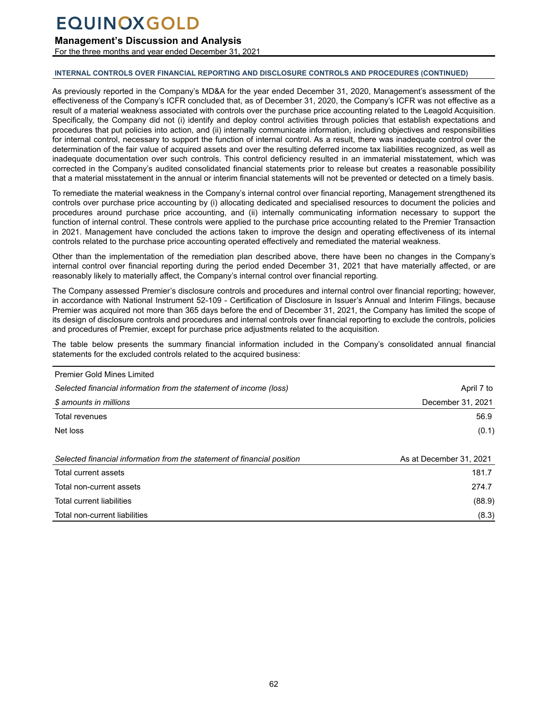## <span id="page-61-0"></span>**Management's Discussion and Analysis**

For the three months and year ended December 31, 2021

#### **INTERNAL CONTROLS OVER FINANCIAL REPORTING AND DISCLOSURE CONTROLS AND PROCEDURES (CONTINUED)**

As previously reported in the Company's MD&A for the year ended December 31, 2020, Management's assessment of the effectiveness of the Company's ICFR concluded that, as of December 31, 2020, the Company's ICFR was not effective as a result of a material weakness associated with controls over the purchase price accounting related to the Leagold Acquisition. Specifically, the Company did not (i) identify and deploy control activities through policies that establish expectations and procedures that put policies into action, and (ii) internally communicate information, including objectives and responsibilities for internal control, necessary to support the function of internal control. As a result, there was inadequate control over the determination of the fair value of acquired assets and over the resulting deferred income tax liabilities recognized, as well as inadequate documentation over such controls. This control deficiency resulted in an immaterial misstatement, which was corrected in the Company's audited consolidated financial statements prior to release but creates a reasonable possibility that a material misstatement in the annual or interim financial statements will not be prevented or detected on a timely basis.

To remediate the material weakness in the Company's internal control over financial reporting, Management strengthened its controls over purchase price accounting by (i) allocating dedicated and specialised resources to document the policies and procedures around purchase price accounting, and (ii) internally communicating information necessary to support the function of internal control. These controls were applied to the purchase price accounting related to the Premier Transaction in 2021. Management have concluded the actions taken to improve the design and operating effectiveness of its internal controls related to the purchase price accounting operated effectively and remediated the material weakness.

Other than the implementation of the remediation plan described above, there have been no changes in the Company's internal control over financial reporting during the period ended December 31, 2021 that have materially affected, or are reasonably likely to materially affect, the Company's internal control over financial reporting.

The Company assessed Premier's disclosure controls and procedures and internal control over financial reporting; however, in accordance with National Instrument 52-109 - Certification of Disclosure in Issuer's Annual and Interim Filings, because Premier was acquired not more than 365 days before the end of December 31, 2021, the Company has limited the scope of its design of disclosure controls and procedures and internal controls over financial reporting to exclude the controls, policies and procedures of Premier, except for purchase price adjustments related to the acquisition.

The table below presents the summary financial information included in the Company's consolidated annual financial statements for the excluded controls related to the acquired business:

| <b>Premier Gold Mines Limited</b>                                       |                         |
|-------------------------------------------------------------------------|-------------------------|
| Selected financial information from the statement of income (loss)      | April 7 to              |
| \$ amounts in millions                                                  | December 31, 2021       |
| Total revenues                                                          | 56.9                    |
| Net loss                                                                | (0.1)                   |
|                                                                         |                         |
| Selected financial information from the statement of financial position | As at December 31, 2021 |
| Total current assets                                                    | 181.7                   |
| Total non-current assets                                                | 274.7                   |
| Total current liabilities                                               | (88.9)                  |
| Total non-current liabilities                                           | (8.3)                   |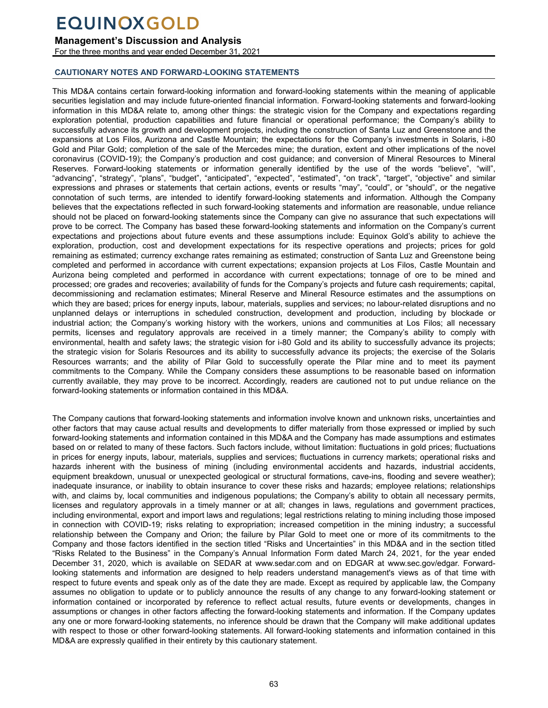## **Management's Discussion and Analysis**

For the three months and year ended December 31, 2021

### **CAUTIONARY NOTES AND FORWARD-LOOKING STATEMENTS**

This MD&A contains certain forward-looking information and forward-looking statements within the meaning of applicable securities legislation and may include future-oriented financial information. Forward-looking statements and forward-looking information in this MD&A relate to, among other things: the strategic vision for the Company and expectations regarding exploration potential, production capabilities and future financial or operational performance; the Company's ability to successfully advance its growth and development projects, including the construction of Santa Luz and Greenstone and the expansions at Los Filos, Aurizona and Castle Mountain; the expectations for the Company's investments in Solaris, i-80 Gold and Pilar Gold; completion of the sale of the Mercedes mine; the duration, extent and other implications of the novel coronavirus (COVID-19); the Company's production and cost guidance; and conversion of Mineral Resources to Mineral Reserves. Forward-looking statements or information generally identified by the use of the words "believe", "will", "advancing", "strategy", "plans", "budget", "anticipated", "expected", "estimated", "on track", "target", "objective" and similar expressions and phrases or statements that certain actions, events or results "may", "could", or "should", or the negative connotation of such terms, are intended to identify forward-looking statements and information. Although the Company believes that the expectations reflected in such forward-looking statements and information are reasonable, undue reliance should not be placed on forward-looking statements since the Company can give no assurance that such expectations will prove to be correct. The Company has based these forward-looking statements and information on the Company's current expectations and projections about future events and these assumptions include: Equinox Gold's ability to achieve the exploration, production, cost and development expectations for its respective operations and projects; prices for gold remaining as estimated; currency exchange rates remaining as estimated; construction of Santa Luz and Greenstone being completed and performed in accordance with current expectations; expansion projects at Los Filos, Castle Mountain and Aurizona being completed and performed in accordance with current expectations; tonnage of ore to be mined and processed; ore grades and recoveries; availability of funds for the Company's projects and future cash requirements; capital, decommissioning and reclamation estimates; Mineral Reserve and Mineral Resource estimates and the assumptions on which they are based; prices for energy inputs, labour, materials, supplies and services; no labour-related disruptions and no unplanned delays or interruptions in scheduled construction, development and production, including by blockade or industrial action; the Company's working history with the workers, unions and communities at Los Filos; all necessary permits, licenses and regulatory approvals are received in a timely manner; the Company's ability to comply with environmental, health and safety laws; the strategic vision for i-80 Gold and its ability to successfully advance its projects; the strategic vision for Solaris Resources and its ability to successfully advance its projects; the exercise of the Solaris Resources warrants; and the ability of Pilar Gold to successfully operate the Pilar mine and to meet its payment commitments to the Company. While the Company considers these assumptions to be reasonable based on information currently available, they may prove to be incorrect. Accordingly, readers are cautioned not to put undue reliance on the forward-looking statements or information contained in this MD&A.

The Company cautions that forward-looking statements and information involve known and unknown risks, uncertainties and other factors that may cause actual results and developments to differ materially from those expressed or implied by such forward-looking statements and information contained in this MD&A and the Company has made assumptions and estimates based on or related to many of these factors. Such factors include, without limitation: fluctuations in gold prices; fluctuations in prices for energy inputs, labour, materials, supplies and services; fluctuations in currency markets; operational risks and hazards inherent with the business of mining (including environmental accidents and hazards, industrial accidents, equipment breakdown, unusual or unexpected geological or structural formations, cave-ins, flooding and severe weather); inadequate insurance, or inability to obtain insurance to cover these risks and hazards; employee relations; relationships with, and claims by, local communities and indigenous populations; the Company's ability to obtain all necessary permits, licenses and regulatory approvals in a timely manner or at all; changes in laws, regulations and government practices, including environmental, export and import laws and regulations; legal restrictions relating to mining including those imposed in connection with COVID-19; risks relating to expropriation; increased competition in the mining industry; a successful relationship between the Company and Orion; the failure by Pilar Gold to meet one or more of its commitments to the Company and those factors identified in the section titled "Risks and Uncertainties" in this MD&A and in the section titled "Risks Related to the Business" in the Company's Annual Information Form dated March 24, 2021, for the year ended December 31, 2020, which is available on SEDAR at www.sedar.com and on EDGAR at www.sec.gov/edgar. Forwardlooking statements and information are designed to help readers understand management's views as of that time with respect to future events and speak only as of the date they are made. Except as required by applicable law, the Company assumes no obligation to update or to publicly announce the results of any change to any forward-looking statement or information contained or incorporated by reference to reflect actual results, future events or developments, changes in assumptions or changes in other factors affecting the forward-looking statements and information. If the Company updates any one or more forward-looking statements, no inference should be drawn that the Company will make additional updates with respect to those or other forward-looking statements. All forward-looking statements and information contained in this MD&A are expressly qualified in their entirety by this cautionary statement.